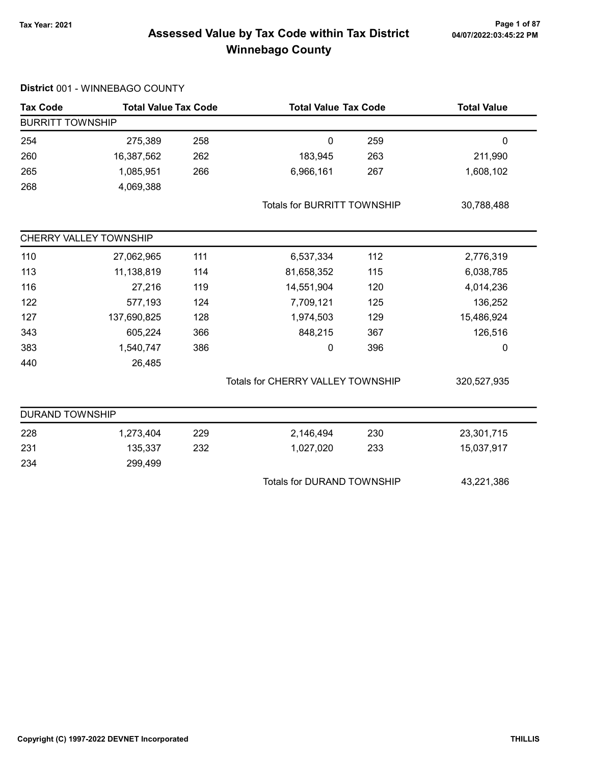### Page 1 of 87<br>Assessed Value by Tax Code within Tax District <sub>04/07/2022:03:45:22 PM</sub> Winnebago County

### Tax Code Total Value Tax Code Total Value Tax Code Total Value Tax Code BURRITT TOWNSHIP 254 275,389 0 258 259 0 260 16,387,562 183,945 262 263 211,990 265 1,085,951 6,966,161 266 267 1,608,102 268 4,069,388 Totals for BURRITT TOWNSHIP 30,788,488 CHERRY VALLEY TOWNSHIP 110 27,062,965 111 6,537,334 112 2,776,319 113 11,138,819 114 81,658,352 115 6,038,785 116 27,216 14,551,904 119 120 4,014,236 122 577,193 124 7,709,121 125 136,252 127 137,690,825 1,974,503 128 129 15,486,924 343 605,224 366 848,215 367 126,516 383 1,540,747 386 0 396 0 396 440 26,485 Totals for CHERRY VALLEY TOWNSHIP 320,527,935 DURAND TOWNSHIP 228 1,273,404 229 2,146,494 230 23,301,715 231 135,337 1,027,020 232 233 15,037,917 234 299,499 Totals for DURAND TOWNSHIP 43,221,386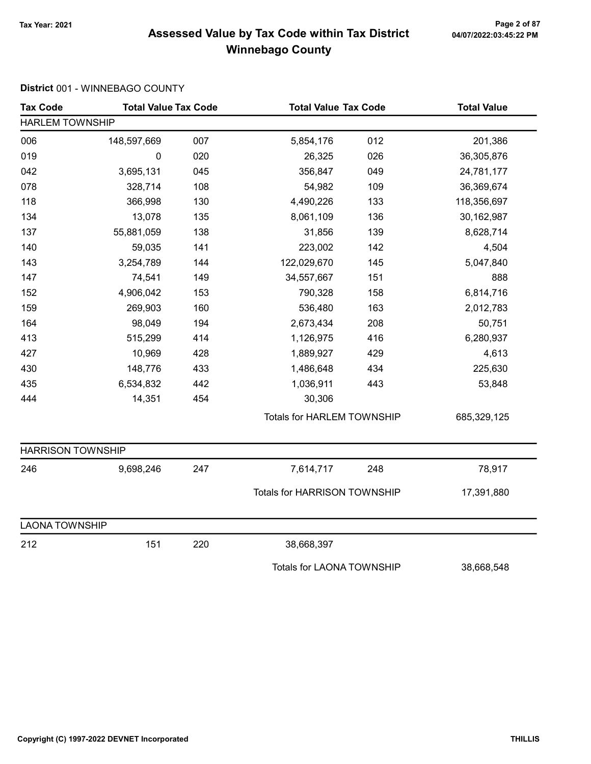# Page 2 of 87<br>Assessed Value by Tax Code within Tax District <sub>04/07/2022:03:45:22 PM</sub> Winnebago County

| <b>Tax Code</b>          | <b>Total Value Tax Code</b> |     | <b>Total Value Tax Code</b>       |     | <b>Total Value</b> |  |
|--------------------------|-----------------------------|-----|-----------------------------------|-----|--------------------|--|
| <b>HARLEM TOWNSHIP</b>   |                             |     |                                   |     |                    |  |
| 006                      | 148,597,669                 | 007 | 5,854,176                         | 012 | 201,386            |  |
| 019                      | 0                           | 020 | 26,325                            | 026 | 36,305,876         |  |
| 042                      | 3,695,131                   | 045 | 356,847                           | 049 | 24,781,177         |  |
| 078                      | 328,714                     | 108 | 54,982                            | 109 | 36,369,674         |  |
| 118                      | 366,998                     | 130 | 4,490,226                         | 133 | 118,356,697        |  |
| 134                      | 13,078                      | 135 | 8,061,109                         | 136 | 30,162,987         |  |
| 137                      | 55,881,059                  | 138 | 31,856                            | 139 | 8,628,714          |  |
| 140                      | 59,035                      | 141 | 223,002                           | 142 | 4,504              |  |
| 143                      | 3,254,789                   | 144 | 122,029,670                       | 145 | 5,047,840          |  |
| 147                      | 74,541                      | 149 | 34,557,667                        | 151 | 888                |  |
| 152                      | 4,906,042                   | 153 | 790,328                           | 158 | 6,814,716          |  |
| 159                      | 269,903                     | 160 | 536,480                           | 163 | 2,012,783          |  |
| 164                      | 98,049                      | 194 | 2,673,434                         | 208 | 50,751             |  |
| 413                      | 515,299                     | 414 | 1,126,975                         | 416 | 6,280,937          |  |
| 427                      | 10,969                      | 428 | 1,889,927                         | 429 | 4,613              |  |
| 430                      | 148,776                     | 433 | 1,486,648                         | 434 | 225,630            |  |
| 435                      | 6,534,832                   | 442 | 1,036,911                         | 443 | 53,848             |  |
| 444                      | 14,351                      | 454 | 30,306                            |     |                    |  |
|                          |                             |     | <b>Totals for HARLEM TOWNSHIP</b> |     | 685,329,125        |  |
| <b>HARRISON TOWNSHIP</b> |                             |     |                                   |     |                    |  |
| 246                      | 9,698,246                   | 247 | 7,614,717                         | 248 | 78,917             |  |
|                          |                             |     | Totals for HARRISON TOWNSHIP      |     | 17,391,880         |  |
| <b>LAONA TOWNSHIP</b>    |                             |     |                                   |     |                    |  |
| 212                      | 151                         | 220 | 38,668,397                        |     |                    |  |
|                          |                             |     | <b>Totals for LAONA TOWNSHIP</b>  |     | 38,668,548         |  |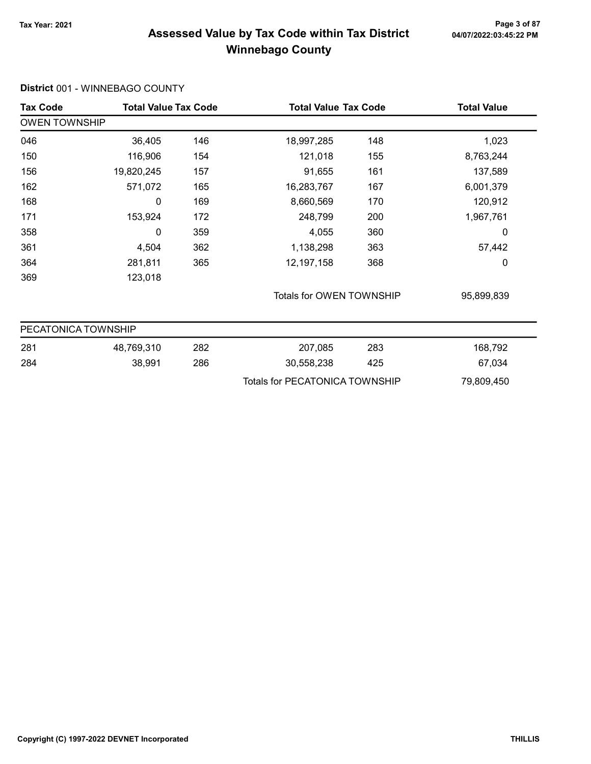### Page 3 of 87<br>Assessed Value by Tax Code within Tax District <sub>04/07/2022:03:45:22 PM</sub> Winnebago County

### Tax Code Total Value Tax Code Total Value Tax Code Total Value Tax Code OWEN TOWNSHIP 046 1,023 36,405 146 18,997,285 148 150 116,906 121,018 154 155 8,763,244 156 19,820,245 91,655 157 161 137,589 162 571,072 16,283,767 165 167 6,001,379 168 0 169 169 8,660,569 170 120,912 171 153,924 248,799 172 200 1,967,761 358 0 4,055 359 360 0 361 4,504 1,138,298 362 363 57,442 364 281,811 365 12,197,158 368 368 0 369 123,018 Totals for OWEN TOWNSHIP 95,899,839 PECATONICA TOWNSHIP 281 48,769,310 207,085 282 283 168,792 284 38,991 30,558,238 286 425 67,034 Totals for PECATONICA TOWNSHIP 79,809,450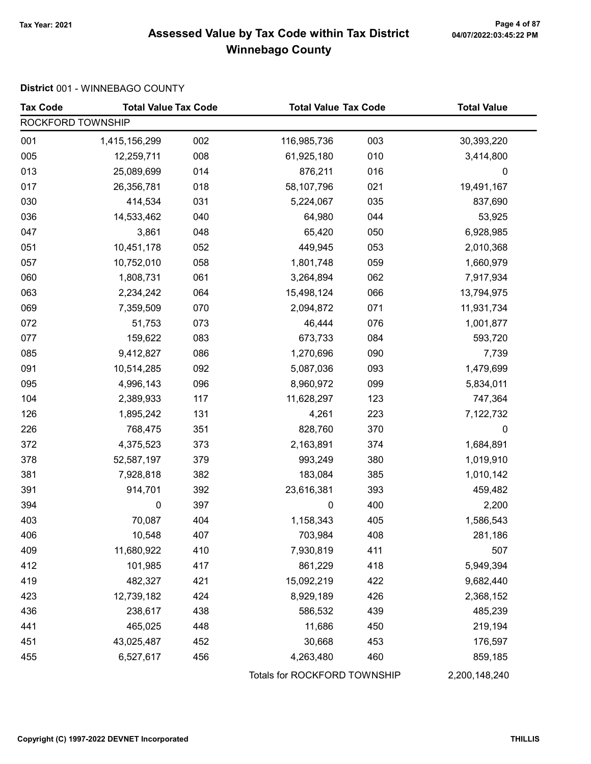# Page 4 of 87<br>Assessed Value by Tax Code within Tax District <sub>04/07/2022:03:45:22 PM</sub> Winnebago County

| <b>Tax Code</b>   | <b>Total Value Tax Code</b> |     |                              | <b>Total Value Tax Code</b> |               |
|-------------------|-----------------------------|-----|------------------------------|-----------------------------|---------------|
| ROCKFORD TOWNSHIP |                             |     |                              |                             |               |
| 001               | 1,415,156,299               | 002 | 116,985,736                  | 003                         | 30,393,220    |
| 005               | 12,259,711                  | 008 | 61,925,180                   | 010                         | 3,414,800     |
| 013               | 25,089,699                  | 014 | 876,211                      | 016                         | 0             |
| 017               | 26,356,781                  | 018 | 58,107,796                   | 021                         | 19,491,167    |
| 030               | 414,534                     | 031 | 5,224,067                    | 035                         | 837,690       |
| 036               | 14,533,462                  | 040 | 64,980                       | 044                         | 53,925        |
| 047               | 3,861                       | 048 | 65,420                       | 050                         | 6,928,985     |
| 051               | 10,451,178                  | 052 | 449,945                      | 053                         | 2,010,368     |
| 057               | 10,752,010                  | 058 | 1,801,748                    | 059                         | 1,660,979     |
| 060               | 1,808,731                   | 061 | 3,264,894                    | 062                         | 7,917,934     |
| 063               | 2,234,242                   | 064 | 15,498,124                   | 066                         | 13,794,975    |
| 069               | 7,359,509                   | 070 | 2,094,872                    | 071                         | 11,931,734    |
| 072               | 51,753                      | 073 | 46,444                       | 076                         | 1,001,877     |
| 077               | 159,622                     | 083 | 673,733                      | 084                         | 593,720       |
| 085               | 9,412,827                   | 086 | 1,270,696                    | 090                         | 7,739         |
| 091               | 10,514,285                  | 092 | 5,087,036                    | 093                         | 1,479,699     |
| 095               | 4,996,143                   | 096 | 8,960,972                    | 099                         | 5,834,011     |
| 104               | 2,389,933                   | 117 | 11,628,297                   | 123                         | 747,364       |
| 126               | 1,895,242                   | 131 | 4,261                        | 223                         | 7,122,732     |
| 226               | 768,475                     | 351 | 828,760                      | 370                         | 0             |
| 372               | 4,375,523                   | 373 | 2,163,891                    | 374                         | 1,684,891     |
| 378               | 52,587,197                  | 379 | 993,249                      | 380                         | 1,019,910     |
| 381               | 7,928,818                   | 382 | 183,084                      | 385                         | 1,010,142     |
| 391               | 914,701                     | 392 | 23,616,381                   | 393                         | 459,482       |
| 394               | $\mathbf 0$                 | 397 | $\pmb{0}$                    | 400                         | 2,200         |
| 403               | 70,087                      | 404 | 1,158,343                    | 405                         | 1,586,543     |
| 406               | 10,548                      | 407 | 703,984                      | 408                         | 281,186       |
| 409               | 11,680,922                  | 410 | 7,930,819                    | 411                         | 507           |
| 412               | 101,985                     | 417 | 861,229                      | 418                         | 5,949,394     |
| 419               | 482,327                     | 421 | 15,092,219                   | 422                         | 9,682,440     |
| 423               | 12,739,182                  | 424 | 8,929,189                    | 426                         | 2,368,152     |
| 436               | 238,617                     | 438 | 586,532                      | 439                         | 485,239       |
| 441               | 465,025                     | 448 | 11,686                       | 450                         | 219,194       |
| 451               | 43,025,487                  | 452 | 30,668                       | 453                         | 176,597       |
| 455               | 6,527,617                   | 456 | 4,263,480                    | 460                         | 859,185       |
|                   |                             |     | Totals for ROCKFORD TOWNSHIP |                             | 2,200,148,240 |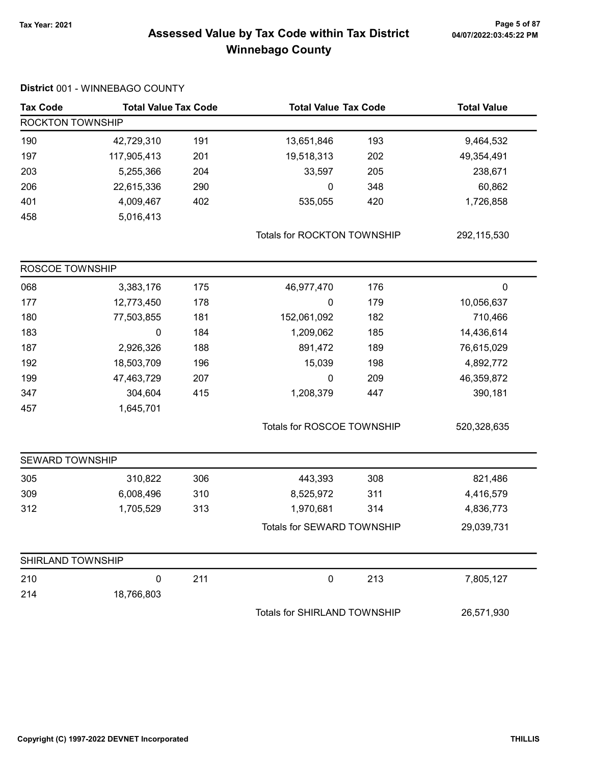# Page 5 of 87<br>Assessed Value by Tax Code within Tax District <sub>04/07/2022:03:45:22 PM</sub> Winnebago County

|  |  | District 001 - WINNEBAGO COUNTY |  |
|--|--|---------------------------------|--|
|--|--|---------------------------------|--|

| <b>Tax Code</b>         | <b>Total Value Tax Code</b> |     |                                     | <b>Total Value Tax Code</b> |                  |
|-------------------------|-----------------------------|-----|-------------------------------------|-----------------------------|------------------|
| <b>ROCKTON TOWNSHIP</b> |                             |     |                                     |                             |                  |
| 190                     | 42,729,310                  | 191 | 13,651,846                          | 193                         | 9,464,532        |
| 197                     | 117,905,413                 | 201 | 19,518,313                          | 202                         | 49,354,491       |
| 203                     | 5,255,366                   | 204 | 33,597                              | 205                         | 238,671          |
| 206                     | 22,615,336                  | 290 | 0                                   | 348                         | 60,862           |
| 401                     | 4,009,467                   | 402 | 535,055                             | 420                         | 1,726,858        |
| 458                     | 5,016,413                   |     |                                     |                             |                  |
|                         |                             |     | Totals for ROCKTON TOWNSHIP         |                             | 292,115,530      |
| ROSCOE TOWNSHIP         |                             |     |                                     |                             |                  |
| 068                     | 3,383,176                   | 175 | 46,977,470                          | 176                         | $\boldsymbol{0}$ |
| 177                     | 12,773,450                  | 178 | 0                                   | 179                         | 10,056,637       |
| 180                     | 77,503,855                  | 181 | 152,061,092                         | 182                         | 710,466          |
| 183                     | 0                           | 184 | 1,209,062                           | 185                         | 14,436,614       |
| 187                     | 2,926,326                   | 188 | 891,472                             | 189                         | 76,615,029       |
| 192                     | 18,503,709                  | 196 | 15,039                              | 198                         | 4,892,772        |
| 199                     | 47,463,729                  | 207 | 0                                   | 209                         | 46,359,872       |
| 347                     | 304,604                     | 415 | 1,208,379                           | 447                         | 390,181          |
| 457                     | 1,645,701                   |     |                                     |                             |                  |
|                         |                             |     | Totals for ROSCOE TOWNSHIP          |                             | 520,328,635      |
| <b>SEWARD TOWNSHIP</b>  |                             |     |                                     |                             |                  |
| 305                     | 310,822                     | 306 | 443,393                             | 308                         | 821,486          |
| 309                     | 6,008,496                   | 310 | 8,525,972                           | 311                         | 4,416,579        |
| 312                     | 1,705,529                   | 313 | 1,970,681                           | 314                         | 4,836,773        |
|                         |                             |     | Totals for SEWARD TOWNSHIP          |                             | 29,039,731       |
| SHIRLAND TOWNSHIP       |                             |     |                                     |                             |                  |
| 210                     | 0                           | 211 | $\pmb{0}$                           | 213                         | 7,805,127        |
| 214                     | 18,766,803                  |     |                                     |                             |                  |
|                         |                             |     | <b>Totals for SHIRLAND TOWNSHIP</b> |                             | 26,571,930       |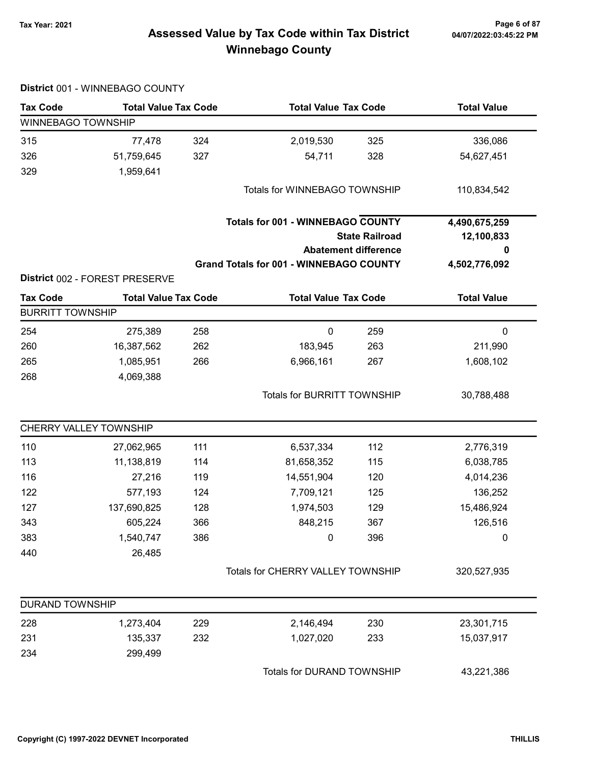# 04/07/2022:03:45:22 PM

# Tax Year: 2021 Page 6 of 87 Assessed Value by Tax Code within Tax District Winnebago County

|                           | District 001 - WINNEBAGO COUNTY |     |                                                |                                    |                    |
|---------------------------|---------------------------------|-----|------------------------------------------------|------------------------------------|--------------------|
| <b>Tax Code</b>           | <b>Total Value Tax Code</b>     |     | <b>Total Value Tax Code</b>                    |                                    | <b>Total Value</b> |
| <b>WINNEBAGO TOWNSHIP</b> |                                 |     |                                                |                                    |                    |
| 315                       | 77,478                          | 324 | 2,019,530                                      | 325                                | 336,086            |
| 326                       | 51,759,645                      | 327 | 54,711                                         | 328                                | 54,627,451         |
| 329                       | 1,959,641                       |     |                                                |                                    |                    |
|                           |                                 |     | Totals for WINNEBAGO TOWNSHIP                  |                                    | 110,834,542        |
|                           |                                 |     | <b>Totals for 001 - WINNEBAGO COUNTY</b>       |                                    | 4,490,675,259      |
|                           |                                 |     |                                                | <b>State Railroad</b>              | 12,100,833         |
|                           |                                 |     |                                                | <b>Abatement difference</b>        | 0                  |
|                           |                                 |     | <b>Grand Totals for 001 - WINNEBAGO COUNTY</b> |                                    | 4,502,776,092      |
|                           | District 002 - FOREST PRESERVE  |     |                                                |                                    |                    |
| <b>Tax Code</b>           | <b>Total Value Tax Code</b>     |     | <b>Total Value Tax Code</b>                    |                                    | <b>Total Value</b> |
| <b>BURRITT TOWNSHIP</b>   |                                 |     |                                                |                                    |                    |
| 254                       | 275,389                         | 258 | $\pmb{0}$                                      | 259                                | $\pmb{0}$          |
| 260                       | 16,387,562                      | 262 | 183,945                                        | 263                                | 211,990            |
| 265                       | 1,085,951                       | 266 | 6,966,161                                      | 267                                | 1,608,102          |
| 268                       | 4,069,388                       |     |                                                |                                    |                    |
|                           |                                 |     |                                                | <b>Totals for BURRITT TOWNSHIP</b> |                    |
|                           | CHERRY VALLEY TOWNSHIP          |     |                                                |                                    |                    |
| 110                       | 27,062,965                      | 111 | 6,537,334                                      | 112                                | 2,776,319          |
| 113                       | 11,138,819                      | 114 | 81,658,352                                     | 115                                | 6,038,785          |
| 116                       | 27,216                          | 119 | 14,551,904                                     | 120                                | 4,014,236          |
| 122                       | 577,193                         | 124 | 7,709,121                                      | 125                                | 136,252            |
| 127                       | 137,690,825                     | 128 | 1,974,503                                      | 129                                | 15,486,924         |
| 343                       | 605,224                         | 366 | 848,215                                        | 367                                | 126,516            |
| 383                       | 1,540,747                       | 386 | 0                                              | 396                                | $\pmb{0}$          |
| 440                       | 26,485                          |     |                                                |                                    |                    |
|                           |                                 |     | Totals for CHERRY VALLEY TOWNSHIP              |                                    | 320,527,935        |
| <b>DURAND TOWNSHIP</b>    |                                 |     |                                                |                                    |                    |
| 228                       | 1,273,404                       | 229 | 2,146,494                                      | 230                                | 23,301,715         |
| 231                       | 135,337                         | 232 | 1,027,020                                      | 233                                | 15,037,917         |
| 234                       | 299,499                         |     |                                                |                                    |                    |
|                           |                                 |     | Totals for DURAND TOWNSHIP                     |                                    | 43,221,386         |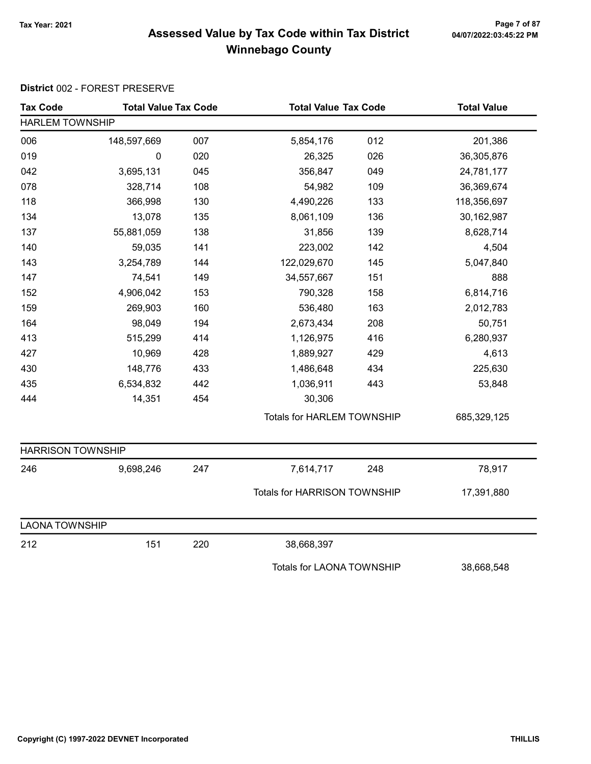# Page 7 of 87<br>Assessed Value by Tax Code within Tax District <sub>04/07/2022:03:45:22 PM</sub> Winnebago County

### District 002 - FOREST PRESERVE

| <b>Tax Code</b>          | <b>Total Value Tax Code</b> |     |                                   | <b>Total Value Tax Code</b> |             |
|--------------------------|-----------------------------|-----|-----------------------------------|-----------------------------|-------------|
| <b>HARLEM TOWNSHIP</b>   |                             |     |                                   |                             |             |
| 006                      | 148,597,669                 | 007 | 5,854,176                         | 012                         | 201,386     |
| 019                      | 0                           | 020 | 26,325                            | 026                         | 36,305,876  |
| 042                      | 3,695,131                   | 045 | 356,847                           | 049                         | 24,781,177  |
| 078                      | 328,714                     | 108 | 54,982                            | 109                         | 36,369,674  |
| 118                      | 366,998                     | 130 | 4,490,226                         | 133                         | 118,356,697 |
| 134                      | 13,078                      | 135 | 8,061,109                         | 136                         | 30,162,987  |
| 137                      | 55,881,059                  | 138 | 31,856                            | 139                         | 8,628,714   |
| 140                      | 59,035                      | 141 | 223,002                           | 142                         | 4,504       |
| 143                      | 3,254,789                   | 144 | 122,029,670                       | 145                         | 5,047,840   |
| 147                      | 74,541                      | 149 | 34,557,667                        | 151                         | 888         |
| 152                      | 4,906,042                   | 153 | 790,328                           | 158                         | 6,814,716   |
| 159                      | 269,903                     | 160 | 536,480                           | 163                         | 2,012,783   |
| 164                      | 98,049                      | 194 | 2,673,434                         | 208                         | 50,751      |
| 413                      | 515,299                     | 414 | 1,126,975                         | 416                         | 6,280,937   |
| 427                      | 10,969                      | 428 | 1,889,927                         | 429                         | 4,613       |
| 430                      | 148,776                     | 433 | 1,486,648                         | 434                         | 225,630     |
| 435                      | 6,534,832                   | 442 | 1,036,911                         | 443                         | 53,848      |
| 444                      | 14,351                      | 454 | 30,306                            |                             |             |
|                          |                             |     | <b>Totals for HARLEM TOWNSHIP</b> |                             | 685,329,125 |
| <b>HARRISON TOWNSHIP</b> |                             |     |                                   |                             |             |
| 246                      | 9,698,246                   | 247 | 7,614,717                         | 248                         | 78,917      |
|                          |                             |     | Totals for HARRISON TOWNSHIP      |                             | 17,391,880  |
| <b>LAONA TOWNSHIP</b>    |                             |     |                                   |                             |             |
| 212                      | 151                         | 220 | 38,668,397                        |                             |             |
|                          |                             |     | <b>Totals for LAONA TOWNSHIP</b>  |                             | 38,668,548  |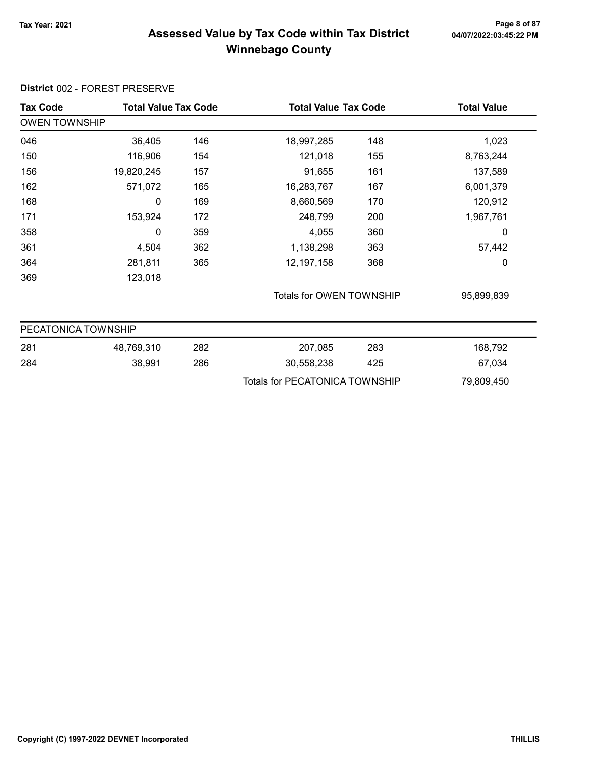# Page 8 of 87<br>Assessed Value by Tax Code within Tax District <sub>04/07/2022:03:45:22 PM</sub> Winnebago County

| <b>Tax Code</b>      | <b>Total Value Tax Code</b> |     | <b>Total Value Tax Code</b>           |     | <b>Total Value</b> |  |  |
|----------------------|-----------------------------|-----|---------------------------------------|-----|--------------------|--|--|
| <b>OWEN TOWNSHIP</b> |                             |     |                                       |     |                    |  |  |
| 046                  | 36,405                      | 146 | 18,997,285                            | 148 | 1,023              |  |  |
| 150                  | 116,906                     | 154 | 121,018                               | 155 | 8,763,244          |  |  |
| 156                  | 19,820,245                  | 157 | 91,655                                | 161 | 137,589            |  |  |
| 162                  | 571,072                     | 165 | 16,283,767                            | 167 | 6,001,379          |  |  |
| 168                  | 0                           | 169 | 8,660,569                             | 170 | 120,912            |  |  |
| 171                  | 153,924                     | 172 | 248,799                               | 200 | 1,967,761          |  |  |
| 358                  | 0                           | 359 | 4,055                                 | 360 | 0                  |  |  |
| 361                  | 4,504                       | 362 | 1,138,298                             | 363 | 57,442             |  |  |
| 364                  | 281,811                     | 365 | 12, 197, 158                          | 368 | 0                  |  |  |
| 369                  | 123,018                     |     |                                       |     |                    |  |  |
|                      |                             |     | Totals for OWEN TOWNSHIP              |     | 95,899,839         |  |  |
| PECATONICA TOWNSHIP  |                             |     |                                       |     |                    |  |  |
| 281                  | 48,769,310                  | 282 | 207,085                               | 283 | 168,792            |  |  |
| 284                  | 38,991                      | 286 | 30,558,238                            | 425 | 67,034             |  |  |
|                      |                             |     | <b>Totals for PECATONICA TOWNSHIP</b> |     | 79,809,450         |  |  |

#### District 002 - FOREST PRESERVE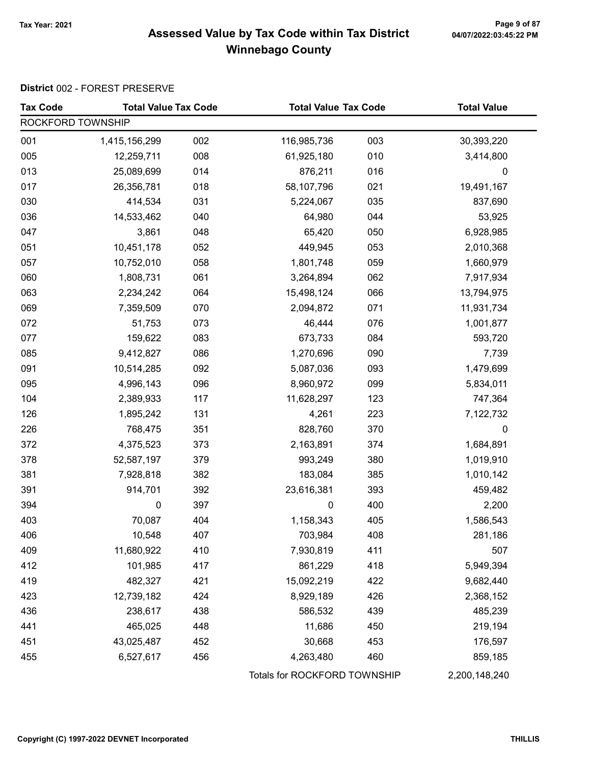# Page 9 of 87<br>Assessed Value by Tax Code within Tax District <sub>04/07/2022:03:45:22 PM</sub> Winnebago County

### District 002 - FOREST PRESERVE

| <b>Tax Code</b>   | <b>Total Value Tax Code</b> |     |                              | <b>Total Value Tax Code</b> |               |
|-------------------|-----------------------------|-----|------------------------------|-----------------------------|---------------|
| ROCKFORD TOWNSHIP |                             |     |                              |                             |               |
| 001               | 1,415,156,299               | 002 | 116,985,736                  | 003                         | 30,393,220    |
| 005               | 12,259,711                  | 008 | 61,925,180                   | 010                         | 3,414,800     |
| 013               | 25,089,699                  | 014 | 876,211                      | 016                         | 0             |
| 017               | 26,356,781                  | 018 | 58,107,796                   | 021                         | 19,491,167    |
| 030               | 414,534                     | 031 | 5,224,067                    | 035                         | 837,690       |
| 036               | 14,533,462                  | 040 | 64,980                       | 044                         | 53,925        |
| 047               | 3,861                       | 048 | 65,420                       | 050                         | 6,928,985     |
| 051               | 10,451,178                  | 052 | 449,945                      | 053                         | 2,010,368     |
| 057               | 10,752,010                  | 058 | 1,801,748                    | 059                         | 1,660,979     |
| 060               | 1,808,731                   | 061 | 3,264,894                    | 062                         | 7,917,934     |
| 063               | 2,234,242                   | 064 | 15,498,124                   | 066                         | 13,794,975    |
| 069               | 7,359,509                   | 070 | 2,094,872                    | 071                         | 11,931,734    |
| 072               | 51,753                      | 073 | 46,444                       | 076                         | 1,001,877     |
| 077               | 159,622                     | 083 | 673,733                      | 084                         | 593,720       |
| 085               | 9,412,827                   | 086 | 1,270,696                    | 090                         | 7,739         |
| 091               | 10,514,285                  | 092 | 5,087,036                    | 093                         | 1,479,699     |
| 095               | 4,996,143                   | 096 | 8,960,972                    | 099                         | 5,834,011     |
| 104               | 2,389,933                   | 117 | 11,628,297                   | 123                         | 747,364       |
| 126               | 1,895,242                   | 131 | 4,261                        | 223                         | 7,122,732     |
| 226               | 768,475                     | 351 | 828,760                      | 370                         | 0             |
| 372               | 4,375,523                   | 373 | 2,163,891                    | 374                         | 1,684,891     |
| 378               | 52,587,197                  | 379 | 993,249                      | 380                         | 1,019,910     |
| 381               | 7,928,818                   | 382 | 183,084                      | 385                         | 1,010,142     |
| 391               | 914,701                     | 392 | 23,616,381                   | 393                         | 459,482       |
| 394               | $\mathbf 0$                 | 397 | $\pmb{0}$                    | 400                         | 2,200         |
| 403               | 70,087                      | 404 | 1,158,343                    | 405                         | 1,586,543     |
| 406               | 10,548                      | 407 | 703,984                      | 408                         | 281,186       |
| 409               | 11,680,922                  | 410 | 7,930,819                    | 411                         | 507           |
| 412               | 101,985                     | 417 | 861,229                      | 418                         | 5,949,394     |
| 419               | 482,327                     | 421 | 15,092,219                   | 422                         | 9,682,440     |
| 423               | 12,739,182                  | 424 | 8,929,189                    | 426                         | 2,368,152     |
| 436               | 238,617                     | 438 | 586,532                      | 439                         | 485,239       |
| 441               | 465,025                     | 448 | 11,686                       | 450                         | 219,194       |
| 451               | 43,025,487                  | 452 | 30,668                       | 453                         | 176,597       |
| 455               | 6,527,617                   | 456 | 4,263,480                    | 460                         | 859,185       |
|                   |                             |     | Totals for ROCKFORD TOWNSHIP |                             | 2,200,148,240 |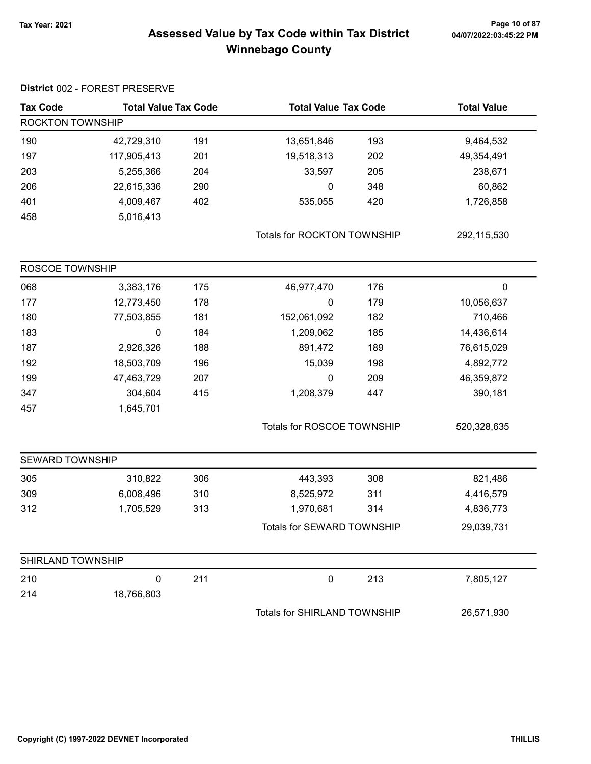# 7ax Year: 2021 Page 10 of 87<br>Assessed Value by Tax Code within Tax District 04/07/2022:03:45:22 PM Winnebago County

| <b>Tax Code</b>   | <b>Total Value Tax Code</b> |                    |                              | <b>Total Value Tax Code</b> |             |
|-------------------|-----------------------------|--------------------|------------------------------|-----------------------------|-------------|
| ROCKTON TOWNSHIP  |                             | <b>Total Value</b> |                              |                             |             |
| 190               | 42,729,310                  | 191                | 13,651,846                   | 193                         | 9,464,532   |
| 197               | 117,905,413                 | 201                | 19,518,313                   | 202                         | 49,354,491  |
| 203               | 5,255,366                   | 204                | 33,597                       | 205                         | 238,671     |
| 206               | 22,615,336                  | 290                | 0                            | 348                         | 60,862      |
| 401               | 4,009,467                   | 402                | 535,055                      | 420                         | 1,726,858   |
| 458               | 5,016,413                   |                    |                              |                             |             |
|                   |                             |                    | Totals for ROCKTON TOWNSHIP  |                             | 292,115,530 |
| ROSCOE TOWNSHIP   |                             |                    |                              |                             |             |
| 068               | 3,383,176                   | 175                | 46,977,470                   | 176                         | 0           |
| 177               | 12,773,450                  | 178                | 0                            | 179                         | 10,056,637  |
| 180               | 77,503,855                  | 181                | 152,061,092                  | 182                         | 710,466     |
| 183               | $\pmb{0}$                   | 184                | 1,209,062                    | 185                         | 14,436,614  |
| 187               | 2,926,326                   | 188                | 891,472                      | 189                         | 76,615,029  |
| 192               | 18,503,709                  | 196                | 15,039                       | 198                         | 4,892,772   |
| 199               | 47,463,729                  | 207                | $\mathbf 0$                  | 209                         | 46,359,872  |
| 347               | 304,604                     | 415                | 1,208,379                    | 447                         | 390,181     |
| 457               | 1,645,701                   |                    |                              |                             |             |
|                   |                             |                    | Totals for ROSCOE TOWNSHIP   |                             | 520,328,635 |
| SEWARD TOWNSHIP   |                             |                    |                              |                             |             |
| 305               | 310,822                     | 306                | 443,393                      | 308                         | 821,486     |
| 309               | 6,008,496                   | 310                | 8,525,972                    | 311                         | 4,416,579   |
| 312               | 1,705,529                   | 313                | 1,970,681                    | 314                         | 4,836,773   |
|                   |                             |                    | Totals for SEWARD TOWNSHIP   |                             | 29,039,731  |
| SHIRLAND TOWNSHIP |                             |                    |                              |                             |             |
| 210               | $\pmb{0}$                   | 211                | 0                            | 213                         | 7,805,127   |
| 214               | 18,766,803                  |                    |                              |                             |             |
|                   |                             |                    | Totals for SHIRLAND TOWNSHIP |                             | 26,571,930  |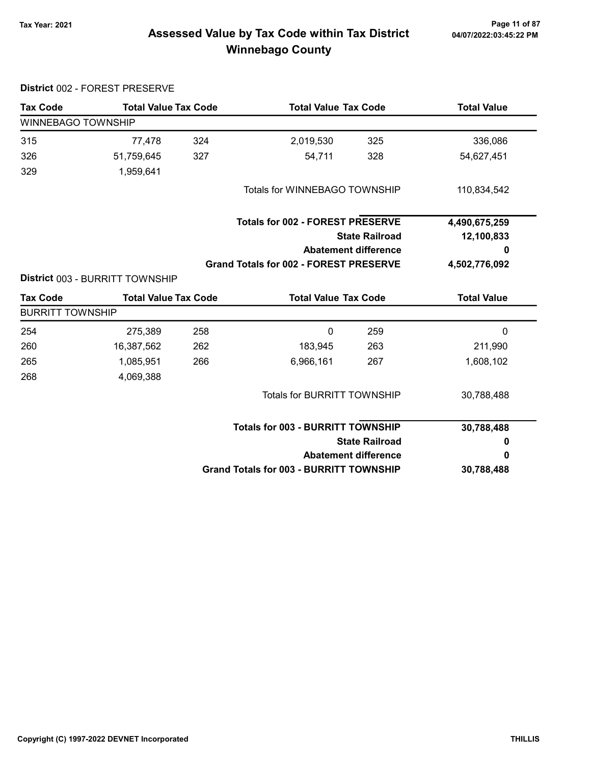# 04/07/2022:03:45:22 PM

# 7ax Year: 2021 Page 11 of 87<br>Assessed Value by Tax Code within Tax District 04/07/2022:03:45:22 PM Winnebago County

|                         | District 002 - FOREST PRESERVE  |     |                                                |                             |                    |
|-------------------------|---------------------------------|-----|------------------------------------------------|-----------------------------|--------------------|
| <b>Tax Code</b>         | <b>Total Value Tax Code</b>     |     | <b>Total Value Tax Code</b>                    |                             | <b>Total Value</b> |
| WINNEBAGO TOWNSHIP      |                                 |     |                                                |                             |                    |
| 315                     | 77,478                          | 324 | 2,019,530                                      | 325                         | 336,086            |
| 326                     | 51,759,645                      | 327 | 54,711                                         | 328                         | 54,627,451         |
| 329                     | 1,959,641                       |     |                                                |                             |                    |
|                         |                                 |     | Totals for WINNEBAGO TOWNSHIP                  |                             | 110,834,542        |
|                         |                                 |     | <b>Totals for 002 - FOREST PRESERVE</b>        |                             | 4,490,675,259      |
|                         |                                 |     |                                                | <b>State Railroad</b>       |                    |
|                         |                                 |     |                                                | <b>Abatement difference</b> | 0                  |
|                         | District 003 - BURRITT TOWNSHIP |     | <b>Grand Totals for 002 - FOREST PRESERVE</b>  |                             | 4,502,776,092      |
| <b>Tax Code</b>         | <b>Total Value Tax Code</b>     |     |                                                | <b>Total Value Tax Code</b> |                    |
| <b>BURRITT TOWNSHIP</b> |                                 |     |                                                |                             |                    |
| 254                     | 275,389                         | 258 | 0                                              | 259                         | 0                  |
| 260                     | 16,387,562                      | 262 | 183,945                                        | 263                         | 211,990            |
| 265                     | 1,085,951                       | 266 | 6,966,161                                      | 267                         | 1,608,102          |
| 268                     | 4,069,388                       |     |                                                |                             |                    |
|                         |                                 |     | Totals for BURRITT TOWNSHIP                    |                             | 30,788,488         |
|                         |                                 |     | <b>Totals for 003 - BURRITT TOWNSHIP</b>       |                             | 30,788,488         |
|                         |                                 |     |                                                | <b>State Railroad</b>       | 0                  |
|                         |                                 |     |                                                | <b>Abatement difference</b> | 0                  |
|                         |                                 |     | <b>Grand Totals for 003 - BURRITT TOWNSHIP</b> |                             | 30,788,488         |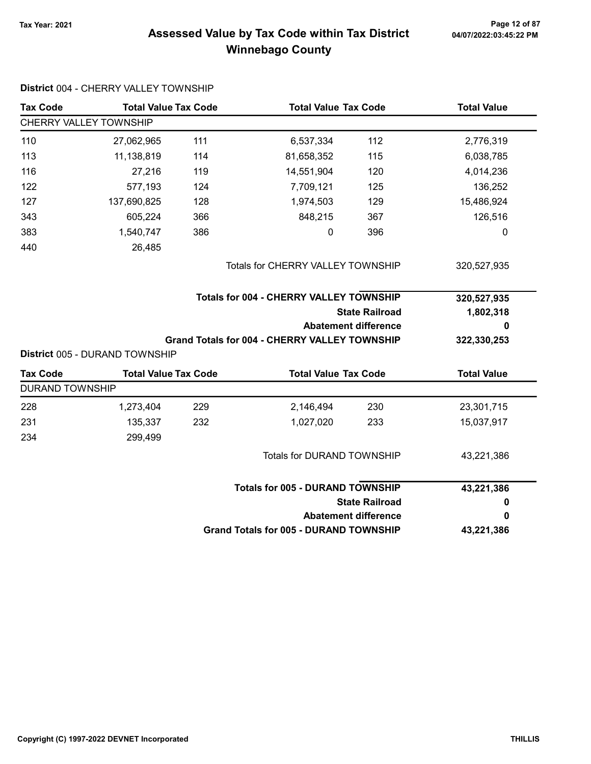District 004 - CHERRY VALLEY TOWNSHIP

# 7ax Year: 2021 Page 12 of 87<br>Assessed Value by Tax Code within Tax District 04/07/2022:03:45:22 PM Winnebago County

| <b>Tax Code</b>        | <b>Total Value Tax Code</b>    |     | <b>Total Value Tax Code</b>                          |                             | <b>Total Value</b> |  |
|------------------------|--------------------------------|-----|------------------------------------------------------|-----------------------------|--------------------|--|
|                        | CHERRY VALLEY TOWNSHIP         |     |                                                      |                             |                    |  |
| 110                    | 27,062,965                     | 111 | 6,537,334                                            | 112                         | 2,776,319          |  |
| 113                    | 11,138,819                     | 114 | 81,658,352                                           | 115                         | 6,038,785          |  |
| 116                    | 27,216                         | 119 | 14,551,904                                           | 120                         | 4,014,236          |  |
| 122                    | 577,193                        | 124 | 7,709,121                                            | 125                         | 136,252            |  |
| 127                    | 137,690,825                    | 128 | 1,974,503                                            | 129                         | 15,486,924         |  |
| 343                    | 605,224                        | 366 | 848,215                                              | 367                         | 126,516            |  |
| 383                    | 1,540,747                      | 386 | 0                                                    | 396                         | 0                  |  |
| 440                    | 26,485                         |     |                                                      |                             |                    |  |
|                        |                                |     | <b>Totals for CHERRY VALLEY TOWNSHIP</b>             |                             | 320,527,935        |  |
|                        |                                |     | <b>Totals for 004 - CHERRY VALLEY TOWNSHIP</b>       |                             | 320,527,935        |  |
|                        |                                |     |                                                      |                             |                    |  |
|                        |                                |     |                                                      | <b>State Railroad</b>       | 1,802,318          |  |
|                        |                                |     |                                                      | <b>Abatement difference</b> | 0                  |  |
|                        | District 005 - DURAND TOWNSHIP |     | <b>Grand Totals for 004 - CHERRY VALLEY TOWNSHIP</b> |                             | 322,330,253        |  |
| <b>Tax Code</b>        | <b>Total Value Tax Code</b>    |     | <b>Total Value Tax Code</b>                          |                             | <b>Total Value</b> |  |
| <b>DURAND TOWNSHIP</b> |                                |     |                                                      |                             |                    |  |
| 228                    | 1,273,404                      | 229 | 2,146,494                                            | 230                         | 23,301,715         |  |
| 231                    | 135,337                        | 232 | 1,027,020                                            | 233                         | 15,037,917         |  |
| 234                    | 299,499                        |     |                                                      |                             |                    |  |
|                        |                                |     | Totals for DURAND TOWNSHIP                           |                             | 43,221,386         |  |
|                        |                                |     | <b>Totals for 005 - DURAND TOWNSHIP</b>              |                             |                    |  |
|                        |                                |     |                                                      | <b>State Railroad</b>       | 43,221,386<br>0    |  |
|                        |                                |     |                                                      | <b>Abatement difference</b> | 0                  |  |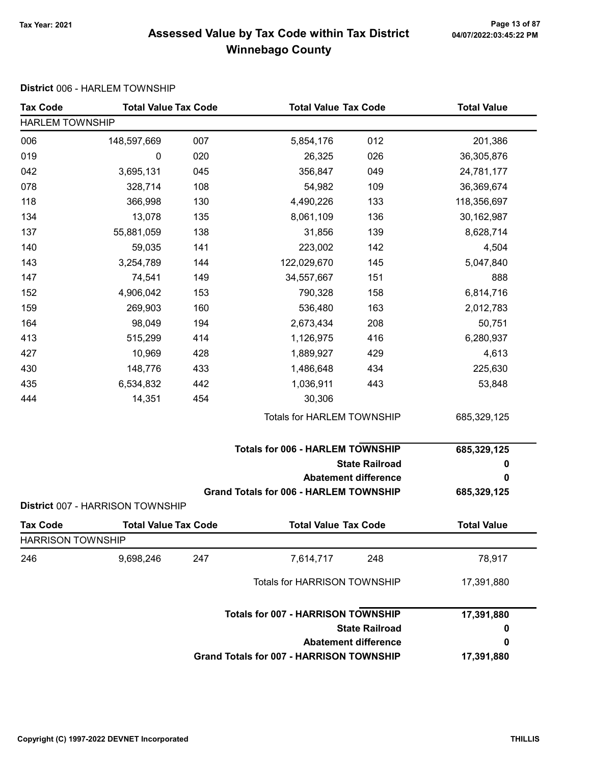# Tax Year: 2021 Page 13 of 87 Assessed Value by Tax Code within Tax District Winnebago County

### District 006 - HARLEM TOWNSHIP

| <b>Tax Code</b>          | <b>Total Value Tax Code</b>      |     | <b>Total Value Tax Code</b>                   |                             | <b>Total Value</b> |  |  |
|--------------------------|----------------------------------|-----|-----------------------------------------------|-----------------------------|--------------------|--|--|
| <b>HARLEM TOWNSHIP</b>   |                                  |     |                                               |                             |                    |  |  |
| 006                      | 148,597,669                      | 007 | 5,854,176                                     | 012                         | 201,386            |  |  |
| 019                      | 0                                | 020 | 26,325                                        | 026                         | 36,305,876         |  |  |
| 042                      | 3,695,131                        | 045 | 356,847                                       | 049                         | 24,781,177         |  |  |
| 078                      | 328,714                          | 108 | 54,982                                        | 109                         | 36,369,674         |  |  |
| 118                      | 366,998                          | 130 | 4,490,226                                     | 133                         | 118,356,697        |  |  |
| 134                      | 13,078                           | 135 | 8,061,109                                     | 136                         | 30,162,987         |  |  |
| 137                      | 55,881,059                       | 138 | 31,856                                        | 139                         | 8,628,714          |  |  |
| 140                      | 59,035                           | 141 | 223,002                                       | 142                         | 4,504              |  |  |
| 143                      | 3,254,789                        | 144 | 122,029,670                                   | 145                         | 5,047,840          |  |  |
| 147                      | 74,541                           | 149 | 34,557,667                                    | 151                         | 888                |  |  |
| 152                      | 4,906,042                        | 153 | 790,328                                       | 158                         | 6,814,716          |  |  |
| 159                      | 269,903                          | 160 | 536,480                                       | 163                         | 2,012,783          |  |  |
| 164                      | 98,049                           | 194 | 2,673,434                                     | 208                         | 50,751             |  |  |
| 413                      | 515,299                          | 414 | 1,126,975                                     | 416                         | 6,280,937          |  |  |
| 427                      | 10,969                           | 428 | 1,889,927                                     | 429                         | 4,613              |  |  |
| 430                      | 148,776                          | 433 | 1,486,648                                     | 434                         | 225,630            |  |  |
| 435                      | 6,534,832                        | 442 | 1,036,911                                     | 443                         | 53,848             |  |  |
| 444                      | 14,351                           | 454 | 30,306                                        |                             |                    |  |  |
|                          |                                  |     | Totals for HARLEM TOWNSHIP                    |                             | 685,329,125        |  |  |
|                          |                                  |     | <b>Totals for 006 - HARLEM TOWNSHIP</b>       |                             | 685,329,125        |  |  |
|                          |                                  |     |                                               | <b>State Railroad</b>       | 0                  |  |  |
|                          |                                  |     |                                               | <b>Abatement difference</b> | 0                  |  |  |
|                          | District 007 - HARRISON TOWNSHIP |     | <b>Grand Totals for 006 - HARLEM TOWNSHIP</b> |                             | 685,329,125        |  |  |
| <b>Tax Code</b>          | <b>Total Value Tax Code</b>      |     | <b>Total Value Tax Code</b>                   |                             | <b>Total Value</b> |  |  |
| <b>HARRISON TOWNSHIP</b> |                                  |     |                                               |                             |                    |  |  |
| 246                      | 9,698,246                        | 247 | 7,614,717                                     | 248                         | 78,917             |  |  |
|                          |                                  |     | <b>Totals for HARRISON TOWNSHIP</b>           |                             | 17,391,880         |  |  |
|                          |                                  |     | <b>Totals for 007 - HARRISON TOWNSHIP</b>     |                             | 17,391,880         |  |  |
|                          |                                  |     |                                               | <b>State Railroad</b>       | 0                  |  |  |
|                          |                                  |     |                                               | <b>Abatement difference</b> | 0                  |  |  |
|                          |                                  |     | Grand Totals for 007 - HARRISON TOWNSHIP      |                             | 17,391,880         |  |  |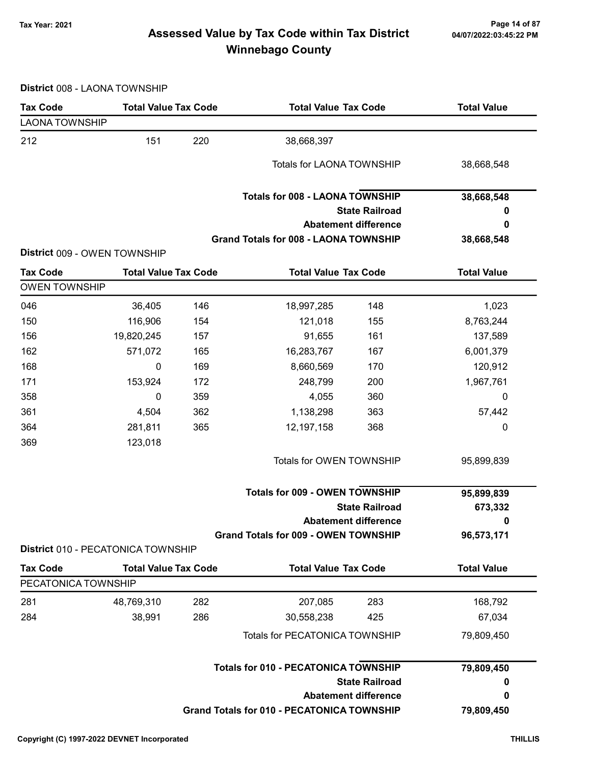# 7ax Year: 2021 Page 14 of 87<br>Assessed Value by Tax Code within Tax District 04/07/2022:03:45:22 PM Winnebago County

District 008 - LAONA TOWNSHIP

| <b>Tax Code</b>                        | <b>Total Value Tax Code</b>        |     | <b>Total Value Tax Code</b>                       |                             | <b>Total Value</b> |
|----------------------------------------|------------------------------------|-----|---------------------------------------------------|-----------------------------|--------------------|
| <b>LAONA TOWNSHIP</b>                  |                                    |     |                                                   |                             |                    |
| 212                                    | 151                                | 220 | 38,668,397                                        |                             |                    |
|                                        |                                    |     | Totals for LAONA TOWNSHIP                         |                             | 38,668,548         |
|                                        |                                    |     | <b>Totals for 008 - LAONA TOWNSHIP</b>            |                             | 38,668,548         |
|                                        |                                    |     |                                                   | <b>State Railroad</b>       | o                  |
|                                        |                                    |     |                                                   | <b>Abatement difference</b> | 0                  |
|                                        | District 009 - OWEN TOWNSHIP       |     | <b>Grand Totals for 008 - LAONA TOWNSHIP</b>      |                             | 38,668,548         |
| <b>Tax Code</b>                        | <b>Total Value Tax Code</b>        |     | <b>Total Value Tax Code</b>                       |                             | <b>Total Value</b> |
| <b>OWEN TOWNSHIP</b>                   |                                    |     |                                                   |                             |                    |
| 046                                    | 36,405                             | 146 | 18,997,285                                        | 148                         | 1,023              |
| 150                                    | 116,906                            | 154 | 121,018                                           | 155                         | 8,763,244          |
| 156                                    | 19,820,245                         | 157 | 91,655                                            | 161                         | 137,589            |
| 162                                    | 571,072                            | 165 | 16,283,767                                        | 167                         | 6,001,379          |
| 168                                    | 0                                  | 169 | 8,660,569                                         | 170                         | 120,912            |
| 171                                    | 153,924                            | 172 | 248,799                                           | 200                         | 1,967,761          |
| 358                                    | 0                                  | 359 | 4,055                                             | 360                         | 0                  |
| 361                                    | 4,504                              | 362 | 1,138,298                                         | 363                         | 57,442             |
| 364                                    | 281,811                            | 365 | 12,197,158                                        | 368                         | 0                  |
| 369                                    | 123,018                            |     |                                                   |                             |                    |
|                                        |                                    |     | Totals for OWEN TOWNSHIP                          |                             | 95,899,839         |
|                                        |                                    |     | <b>Totals for 009 - OWEN TOWNSHIP</b>             |                             | 95,899,839         |
|                                        |                                    |     |                                                   | <b>State Railroad</b>       | 673,332            |
|                                        |                                    |     |                                                   | <b>Abatement difference</b> | 0                  |
|                                        |                                    |     | <b>Grand Totals for 009 - OWEN TOWNSHIP</b>       |                             | 96,573,171         |
|                                        | District 010 - PECATONICA TOWNSHIP |     |                                                   |                             |                    |
| <b>Tax Code</b><br>PECATONICA TOWNSHIP | <b>Total Value Tax Code</b>        |     | <b>Total Value Tax Code</b>                       |                             | <b>Total Value</b> |
|                                        |                                    |     |                                                   |                             |                    |
| 281                                    | 48,769,310                         | 282 | 207,085                                           | 283                         | 168,792            |
| 284                                    | 38,991                             | 286 | 30,558,238                                        | 425                         | 67,034             |
|                                        |                                    |     | Totals for PECATONICA TOWNSHIP                    |                             | 79,809,450         |
|                                        |                                    |     | <b>Totals for 010 - PECATONICA TOWNSHIP</b>       |                             | 79,809,450         |
|                                        |                                    |     |                                                   | <b>State Railroad</b>       | $\mathbf 0$        |
|                                        |                                    |     |                                                   | <b>Abatement difference</b> | 0                  |
|                                        |                                    |     | <b>Grand Totals for 010 - PECATONICA TOWNSHIP</b> |                             | 79,809,450         |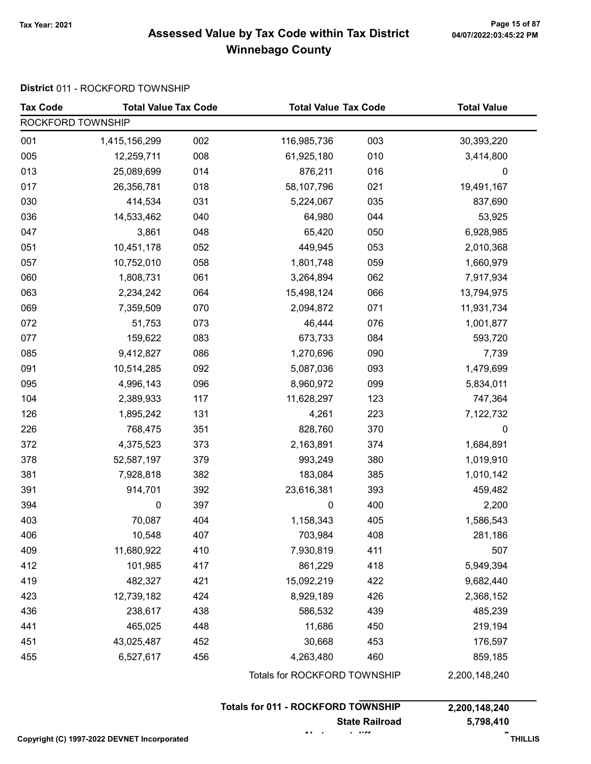# Tax Year: 2021 Page 15 of 87 Assessed Value by Tax Code within Tax District Winnebago County

### District 011 - ROCKFORD TOWNSHIP

| <b>Tax Code</b>   | <b>Total Value Tax Code</b><br><b>Total Value Tax Code</b> |     |                              | <b>Total Value</b> |               |  |
|-------------------|------------------------------------------------------------|-----|------------------------------|--------------------|---------------|--|
| ROCKFORD TOWNSHIP |                                                            |     |                              |                    |               |  |
| 001               | 1,415,156,299                                              | 002 | 116,985,736                  | 003                | 30,393,220    |  |
| 005               | 12,259,711                                                 | 008 | 61,925,180                   | 010                | 3,414,800     |  |
| 013               | 25,089,699                                                 | 014 | 876,211                      | 016                | 0             |  |
| 017               | 26,356,781                                                 | 018 | 58,107,796                   | 021                | 19,491,167    |  |
| 030               | 414,534                                                    | 031 | 5,224,067                    | 035                | 837,690       |  |
| 036               | 14,533,462                                                 | 040 | 64,980                       | 044                | 53,925        |  |
| 047               | 3,861                                                      | 048 | 65,420                       | 050                | 6,928,985     |  |
| 051               | 10,451,178                                                 | 052 | 449,945                      | 053                | 2,010,368     |  |
| 057               | 10,752,010                                                 | 058 | 1,801,748                    | 059                | 1,660,979     |  |
| 060               | 1,808,731                                                  | 061 | 3,264,894                    | 062                | 7,917,934     |  |
| 063               | 2,234,242                                                  | 064 | 15,498,124                   | 066                | 13,794,975    |  |
| 069               | 7,359,509                                                  | 070 | 2,094,872                    | 071                | 11,931,734    |  |
| 072               | 51,753                                                     | 073 | 46,444                       | 076                | 1,001,877     |  |
| 077               | 159,622                                                    | 083 | 673,733                      | 084                | 593,720       |  |
| 085               | 9,412,827                                                  | 086 | 1,270,696                    | 090                | 7,739         |  |
| 091               | 10,514,285                                                 | 092 | 5,087,036                    | 093                | 1,479,699     |  |
| 095               | 4,996,143                                                  | 096 | 8,960,972                    | 099                | 5,834,011     |  |
| 104               | 2,389,933                                                  | 117 | 11,628,297                   | 123                | 747,364       |  |
| 126               | 1,895,242                                                  | 131 | 4,261                        | 223                | 7,122,732     |  |
| 226               | 768,475                                                    | 351 | 828,760                      | 370                | 0             |  |
| 372               | 4,375,523                                                  | 373 | 2,163,891                    | 374                | 1,684,891     |  |
| 378               | 52,587,197                                                 | 379 | 993,249                      | 380                | 1,019,910     |  |
| 381               | 7,928,818                                                  | 382 | 183,084                      | 385                | 1,010,142     |  |
| 391               | 914,701                                                    | 392 | 23,616,381                   | 393                | 459,482       |  |
| 394               | 0                                                          | 397 | 0                            | 400                | 2,200         |  |
| 403               | 70,087                                                     | 404 | 1,158,343                    | 405                | 1,586,543     |  |
| 406               | 10,548                                                     | 407 | 703,984                      | 408                | 281,186       |  |
| 409               | 11,680,922                                                 | 410 | 7,930,819                    | 411                | 507           |  |
| 412               | 101,985                                                    | 417 | 861,229                      | 418                | 5,949,394     |  |
| 419               | 482,327                                                    | 421 | 15,092,219                   | 422                | 9,682,440     |  |
| 423               | 12,739,182                                                 | 424 | 8,929,189                    | 426                | 2,368,152     |  |
| 436               | 238,617                                                    | 438 | 586,532                      | 439                | 485,239       |  |
| 441               | 465,025                                                    | 448 | 11,686                       | 450                | 219,194       |  |
| 451               | 43,025,487                                                 | 452 | 30,668                       | 453                | 176,597       |  |
| 455               | 6,527,617                                                  | 456 | 4,263,480                    | 460                | 859,185       |  |
|                   |                                                            |     | Totals for ROCKFORD TOWNSHIP |                    | 2,200,148,240 |  |

| Totals for 011 - ROCKFORD TOWNSHIP | 2,200,148,240 |
|------------------------------------|---------------|
| <b>State Railroad</b>              | 5.798.410     |
| $\cdots$                           | $\bullet$     |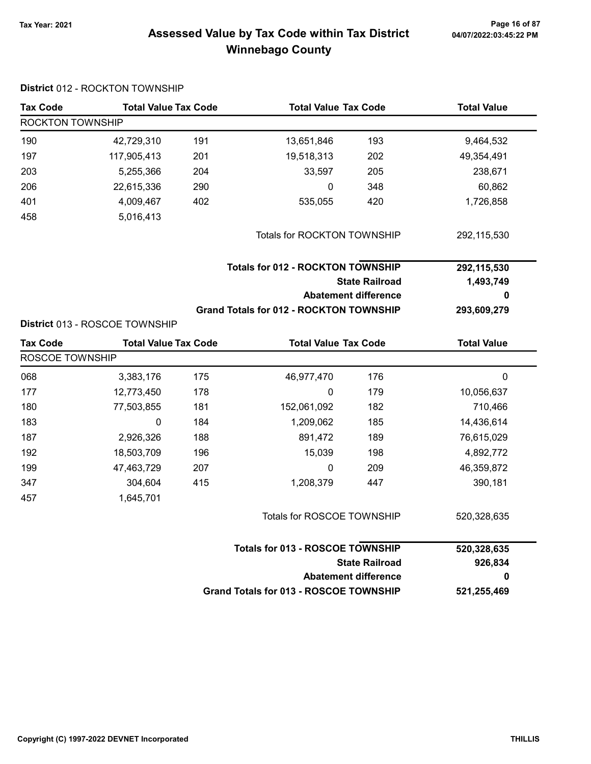# Tax Year: 2021 Page 16 of 87 Assessed Value by Tax Code within Tax District Winnebago County

| <b>Tax Code</b>  | <b>Total Value Tax Code</b>    |     | <b>Total Value Tax Code</b>                    |                             | <b>Total Value</b> |  |
|------------------|--------------------------------|-----|------------------------------------------------|-----------------------------|--------------------|--|
| ROCKTON TOWNSHIP |                                |     |                                                |                             |                    |  |
| 190              | 42,729,310                     | 191 | 13,651,846                                     | 193                         | 9,464,532          |  |
| 197              | 117,905,413                    | 201 | 19,518,313                                     | 202                         | 49,354,491         |  |
| 203              | 5,255,366                      | 204 | 33,597                                         | 205                         | 238,671            |  |
| 206              | 22,615,336                     | 290 | 0                                              | 348                         | 60,862             |  |
| 401              | 4,009,467                      | 402 | 535,055                                        | 420                         | 1,726,858          |  |
| 458              | 5,016,413                      |     |                                                |                             |                    |  |
|                  |                                |     | Totals for ROCKTON TOWNSHIP                    |                             | 292,115,530        |  |
|                  |                                |     | <b>Totals for 012 - ROCKTON TOWNSHIP</b>       |                             | 292,115,530        |  |
|                  |                                |     |                                                | <b>State Railroad</b>       | 1,493,749          |  |
|                  |                                |     |                                                | <b>Abatement difference</b> | 0                  |  |
|                  |                                |     | <b>Grand Totals for 012 - ROCKTON TOWNSHIP</b> |                             | 293,609,279        |  |
|                  | District 013 - ROSCOE TOWNSHIP |     |                                                |                             |                    |  |
| <b>Tax Code</b>  | <b>Total Value Tax Code</b>    |     | <b>Total Value Tax Code</b>                    |                             | <b>Total Value</b> |  |
| ROSCOE TOWNSHIP  |                                |     |                                                |                             |                    |  |
| 068              | 3,383,176                      | 175 | 46,977,470                                     | 176                         | 0                  |  |
| 177              | 12,773,450                     | 178 | 0                                              | 179                         | 10,056,637         |  |
| 180              | 77,503,855                     | 181 | 152,061,092                                    | 182                         | 710,466            |  |
| 183              | 0                              | 184 | 1,209,062                                      | 185                         | 14,436,614         |  |
| 187              | 2,926,326                      | 188 | 891,472                                        | 189                         | 76,615,029         |  |
| 192              | 18,503,709                     | 196 | 15,039                                         | 198                         | 4,892,772          |  |
| 199              | 47,463,729                     | 207 | 0                                              | 209                         | 46,359,872         |  |
| 347              | 304,604                        | 415 | 1,208,379                                      | 447                         | 390,181            |  |
| 457              | 1,645,701                      |     |                                                |                             |                    |  |
|                  |                                |     | Totals for ROSCOE TOWNSHIP                     |                             | 520,328,635        |  |
|                  |                                |     | <b>Totals for 013 - ROSCOE TOWNSHIP</b>        |                             | 520,328,635        |  |
|                  |                                |     |                                                | <b>State Railroad</b>       | 926,834            |  |
|                  |                                |     |                                                | <b>Abatement difference</b> | 0                  |  |
|                  |                                |     | <b>Grand Totals for 013 - ROSCOE TOWNSHIP</b>  |                             | 521,255,469        |  |

### District 012 - ROCKTON TOWNSHIP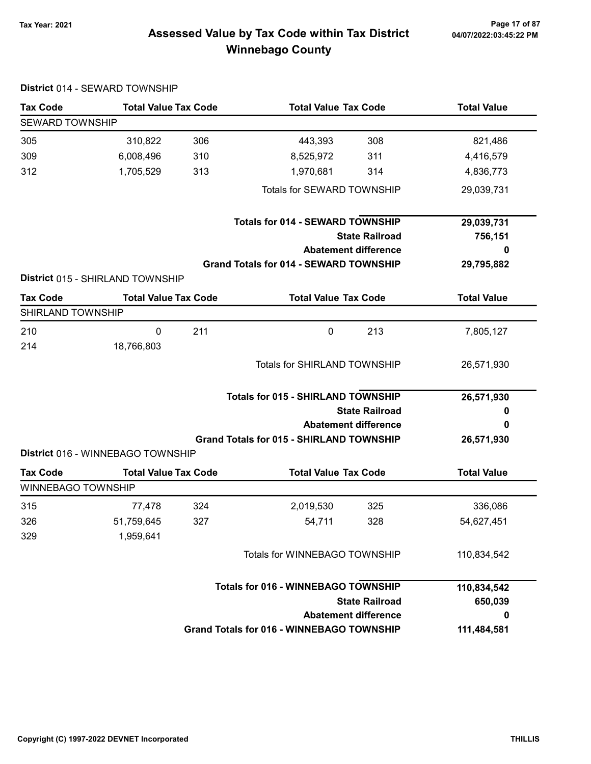# 7ax Year: 2021 Page 17 of 87<br>Assessed Value by Tax Code within Tax District 04/07/2022:03:45:22 PM Winnebago County

| <b>Tax Code</b>           | <b>Total Value Tax Code</b>       |     | <b>Total Value Tax Code</b>                      |                       | <b>Total Value</b> |
|---------------------------|-----------------------------------|-----|--------------------------------------------------|-----------------------|--------------------|
| <b>SEWARD TOWNSHIP</b>    |                                   |     |                                                  |                       |                    |
| 305                       | 310,822                           | 306 | 443,393                                          | 308                   | 821,486            |
| 309                       | 6,008,496                         | 310 | 8,525,972                                        | 311                   | 4,416,579          |
| 312                       | 1,705,529                         | 313 | 1,970,681                                        | 314                   | 4,836,773          |
|                           |                                   |     | Totals for SEWARD TOWNSHIP                       |                       | 29,039,731         |
|                           |                                   |     | <b>Totals for 014 - SEWARD TOWNSHIP</b>          |                       | 29,039,731         |
|                           |                                   |     |                                                  | <b>State Railroad</b> | 756,151            |
|                           |                                   |     | <b>Abatement difference</b>                      |                       | 0                  |
|                           |                                   |     | <b>Grand Totals for 014 - SEWARD TOWNSHIP</b>    |                       | 29,795,882         |
|                           | District 015 - SHIRLAND TOWNSHIP  |     |                                                  |                       |                    |
| <b>Tax Code</b>           | <b>Total Value Tax Code</b>       |     | <b>Total Value Tax Code</b>                      |                       | <b>Total Value</b> |
| SHIRLAND TOWNSHIP         |                                   |     |                                                  |                       |                    |
| 210                       | $\mathbf 0$                       | 211 | $\mathbf 0$                                      | 213                   | 7,805,127          |
| 214                       | 18,766,803                        |     |                                                  |                       |                    |
|                           |                                   |     | <b>Totals for SHIRLAND TOWNSHIP</b>              |                       | 26,571,930         |
|                           |                                   |     |                                                  |                       |                    |
|                           |                                   |     | <b>Totals for 015 - SHIRLAND TOWNSHIP</b>        |                       | 26,571,930         |
|                           |                                   |     |                                                  | <b>State Railroad</b> | 0                  |
|                           |                                   |     | <b>Abatement difference</b>                      |                       | 0                  |
|                           |                                   |     | <b>Grand Totals for 015 - SHIRLAND TOWNSHIP</b>  |                       | 26,571,930         |
|                           | District 016 - WINNEBAGO TOWNSHIP |     |                                                  |                       |                    |
| <b>Tax Code</b>           | <b>Total Value Tax Code</b>       |     | <b>Total Value Tax Code</b>                      |                       | <b>Total Value</b> |
| <b>WINNEBAGO TOWNSHIP</b> |                                   |     |                                                  |                       |                    |
| 315                       | 77,478                            | 324 | 2,019,530                                        | 325                   | 336,086            |
| 326                       | 51,759,645                        | 327 | 54,711                                           | 328                   | 54,627,451         |
| 329                       | 1,959,641                         |     |                                                  |                       |                    |
|                           |                                   |     | Totals for WINNEBAGO TOWNSHIP                    |                       | 110,834,542        |
|                           |                                   |     | <b>Totals for 016 - WINNEBAGO TOWNSHIP</b>       |                       | 110,834,542        |
|                           |                                   |     |                                                  | <b>State Railroad</b> | 650,039            |
|                           |                                   |     | <b>Abatement difference</b>                      |                       | 0                  |
|                           |                                   |     | <b>Grand Totals for 016 - WINNEBAGO TOWNSHIP</b> |                       | 111,484,581        |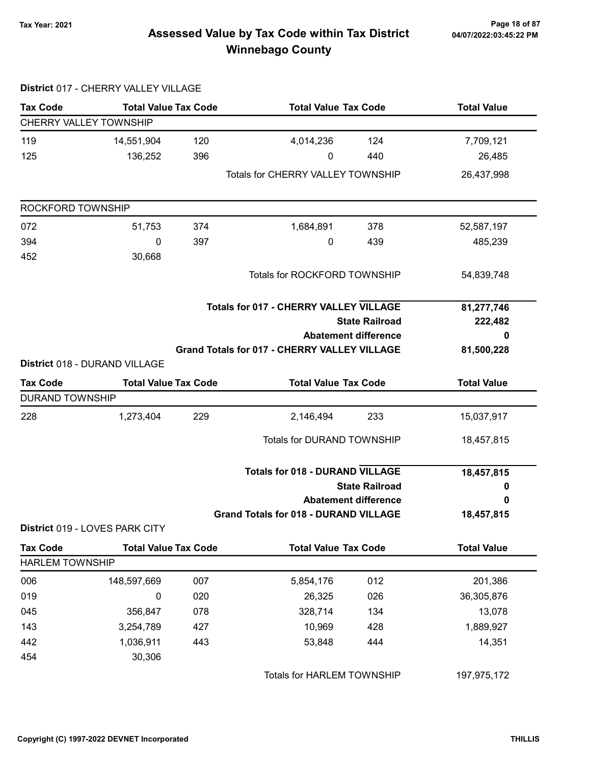# Tax Year: 2021 Page 18 of 87 Assessed Value by Tax Code within Tax District Winnebago County

| District 017 - CHERRY VALLEY VILLAGE             |                                |                             |                                                     |                       |                    |
|--------------------------------------------------|--------------------------------|-----------------------------|-----------------------------------------------------|-----------------------|--------------------|
| <b>Tax Code</b>                                  | <b>Total Value Tax Code</b>    |                             | <b>Total Value Tax Code</b>                         |                       | <b>Total Value</b> |
| CHERRY VALLEY TOWNSHIP                           |                                |                             |                                                     |                       |                    |
| 119                                              | 14,551,904                     | 120                         | 4,014,236                                           | 124                   | 7,709,121          |
| 125                                              | 136,252                        | 396                         | 0                                                   | 440                   | 26,485             |
|                                                  |                                |                             | <b>Totals for CHERRY VALLEY TOWNSHIP</b>            |                       | 26,437,998         |
| ROCKFORD TOWNSHIP                                |                                |                             |                                                     |                       |                    |
| 072                                              | 51,753                         | 374                         | 1,684,891                                           | 378                   | 52,587,197         |
| 394                                              | 0                              | 397                         | 0                                                   | 439                   | 485,239            |
| 452                                              | 30,668                         |                             |                                                     |                       |                    |
|                                                  |                                |                             | Totals for ROCKFORD TOWNSHIP                        |                       | 54,839,748         |
|                                                  |                                |                             | <b>Totals for 017 - CHERRY VALLEY VILLAGE</b>       |                       | 81,277,746         |
|                                                  |                                |                             |                                                     | <b>State Railroad</b> | 222,482            |
|                                                  |                                | <b>Abatement difference</b> |                                                     |                       | 0                  |
|                                                  |                                |                             |                                                     |                       | 81,500,228         |
|                                                  |                                |                             | <b>Grand Totals for 017 - CHERRY VALLEY VILLAGE</b> |                       |                    |
|                                                  | District 018 - DURAND VILLAGE  |                             |                                                     |                       |                    |
|                                                  | <b>Total Value Tax Code</b>    |                             | <b>Total Value Tax Code</b>                         |                       | <b>Total Value</b> |
|                                                  |                                |                             |                                                     |                       |                    |
|                                                  | 1,273,404                      | 229                         | 2,146,494                                           | 233                   | 15,037,917         |
|                                                  |                                |                             | Totals for DURAND TOWNSHIP                          |                       | 18,457,815         |
| <b>Tax Code</b><br><b>DURAND TOWNSHIP</b><br>228 |                                |                             | <b>Totals for 018 - DURAND VILLAGE</b>              |                       | 18,457,815         |
|                                                  |                                |                             |                                                     | <b>State Railroad</b> | 0                  |
|                                                  |                                |                             | <b>Abatement difference</b>                         |                       | 0                  |
|                                                  | District 019 - LOVES PARK CITY |                             | <b>Grand Totals for 018 - DURAND VILLAGE</b>        |                       | 18,457,815         |
| <b>Tax Code</b>                                  | <b>Total Value Tax Code</b>    |                             | <b>Total Value Tax Code</b>                         |                       | <b>Total Value</b> |
| <b>HARLEM TOWNSHIP</b>                           |                                |                             |                                                     |                       |                    |
| 006                                              | 148,597,669                    | 007                         | 5,854,176                                           | 012                   | 201,386            |
| 019                                              | $\pmb{0}$                      | 020                         | 26,325                                              | 026                   | 36,305,876         |
| 045                                              | 356,847                        | 078                         | 328,714                                             | 134                   | 13,078             |
| 143                                              | 3,254,789                      | 427                         | 10,969                                              | 428                   | 1,889,927          |
| 442                                              | 1,036,911                      | 443                         | 53,848                                              | 444                   | 14,351             |

Totals for HARLEM TOWNSHIP 197,975,172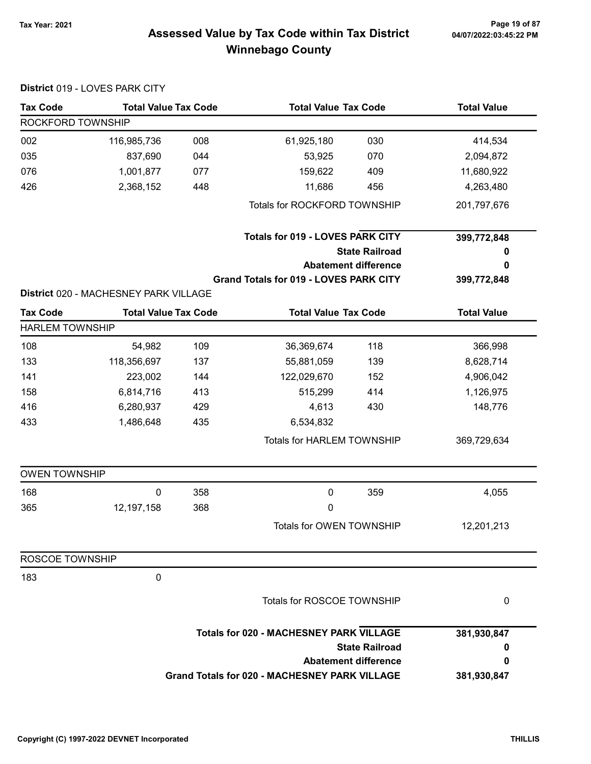# Tax Year: 2021 Page 19 of 87 Assessed Value by Tax Code within Tax District Winnebago County

|                        | District 019 - LOVES PARK CITY        |     |                                                      |                       |                    |
|------------------------|---------------------------------------|-----|------------------------------------------------------|-----------------------|--------------------|
| <b>Tax Code</b>        | <b>Total Value Tax Code</b>           |     | <b>Total Value Tax Code</b>                          |                       | <b>Total Value</b> |
| ROCKFORD TOWNSHIP      |                                       |     |                                                      |                       |                    |
| 002                    | 116,985,736                           | 008 | 61,925,180                                           | 030                   | 414,534            |
| 035                    | 837,690                               | 044 | 53,925                                               | 070                   | 2,094,872          |
| 076                    | 1,001,877                             | 077 | 159,622                                              | 409                   | 11,680,922         |
| 426                    | 2,368,152                             | 448 | 11,686                                               | 456                   | 4,263,480          |
|                        |                                       |     | Totals for ROCKFORD TOWNSHIP                         |                       | 201,797,676        |
|                        |                                       |     | <b>Totals for 019 - LOVES PARK CITY</b>              |                       | 399,772,848        |
|                        |                                       |     |                                                      | <b>State Railroad</b> | o                  |
|                        |                                       |     | <b>Abatement difference</b>                          |                       | 0                  |
|                        |                                       |     | <b>Grand Totals for 019 - LOVES PARK CITY</b>        |                       | 399,772,848        |
|                        | District 020 - MACHESNEY PARK VILLAGE |     |                                                      |                       |                    |
| <b>Tax Code</b>        | <b>Total Value Tax Code</b>           |     | <b>Total Value Tax Code</b>                          |                       | <b>Total Value</b> |
| <b>HARLEM TOWNSHIP</b> |                                       |     |                                                      |                       |                    |
| 108                    | 54,982                                | 109 | 36,369,674                                           | 118                   | 366,998            |
| 133                    | 118,356,697                           | 137 | 55,881,059                                           | 139                   | 8,628,714          |
| 141                    | 223,002                               | 144 | 122,029,670                                          | 152                   | 4,906,042          |
| 158                    | 6,814,716                             | 413 | 515,299                                              | 414                   | 1,126,975          |
| 416                    | 6,280,937                             | 429 | 4,613                                                | 430                   | 148,776            |
| 433                    | 1,486,648                             | 435 | 6,534,832                                            |                       |                    |
|                        |                                       |     | Totals for HARLEM TOWNSHIP                           |                       | 369,729,634        |
| <b>OWEN TOWNSHIP</b>   |                                       |     |                                                      |                       |                    |
| 168                    | $\mathbf 0$                           | 358 | $\mathbf 0$                                          | 359                   | 4,055              |
| 365                    | 12, 197, 158                          | 368 | 0                                                    |                       |                    |
|                        |                                       |     | Totals for OWEN TOWNSHIP                             |                       | 12,201,213         |
| ROSCOE TOWNSHIP        |                                       |     |                                                      |                       |                    |
| 183                    | $\pmb{0}$                             |     |                                                      |                       |                    |
|                        |                                       |     | Totals for ROSCOE TOWNSHIP                           |                       | 0                  |
|                        |                                       |     | <b>Totals for 020 - MACHESNEY PARK VILLAGE</b>       |                       | 381,930,847        |
|                        |                                       |     |                                                      | <b>State Railroad</b> | 0                  |
|                        |                                       |     | <b>Abatement difference</b>                          |                       | 0                  |
|                        |                                       |     | <b>Grand Totals for 020 - MACHESNEY PARK VILLAGE</b> |                       | 381,930,847        |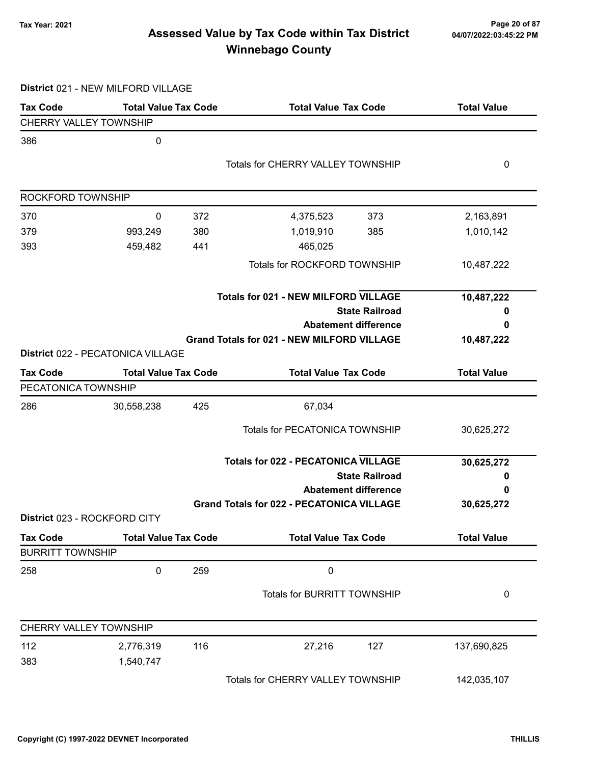# Tax Year: 2021 Page 20 of 87 Assessed Value by Tax Code within Tax District Winnebago County

District 021 - NEW MILFORD VILLAGE

| <b>Tax Code</b>         | <b>Total Value Tax Code</b>       |     | <b>Total Value Tax Code</b>                       | <b>Total Value</b> |
|-------------------------|-----------------------------------|-----|---------------------------------------------------|--------------------|
| CHERRY VALLEY TOWNSHIP  |                                   |     |                                                   |                    |
| 386                     | 0                                 |     |                                                   |                    |
|                         |                                   |     | <b>Totals for CHERRY VALLEY TOWNSHIP</b>          | 0                  |
|                         |                                   |     |                                                   |                    |
| ROCKFORD TOWNSHIP       |                                   |     |                                                   |                    |
| 370                     | 0                                 | 372 | 4,375,523<br>373                                  | 2,163,891          |
| 379                     | 993,249                           | 380 | 1,019,910<br>385                                  | 1,010,142          |
| 393                     | 459,482                           | 441 | 465,025                                           |                    |
|                         |                                   |     | Totals for ROCKFORD TOWNSHIP                      | 10,487,222         |
|                         |                                   |     | <b>Totals for 021 - NEW MILFORD VILLAGE</b>       | 10,487,222         |
|                         |                                   |     | <b>State Railroad</b>                             | o                  |
|                         |                                   |     | <b>Abatement difference</b>                       | 0                  |
|                         |                                   |     | <b>Grand Totals for 021 - NEW MILFORD VILLAGE</b> | 10,487,222         |
|                         | District 022 - PECATONICA VILLAGE |     |                                                   |                    |
| <b>Tax Code</b>         | <b>Total Value Tax Code</b>       |     | <b>Total Value Tax Code</b>                       | <b>Total Value</b> |
| PECATONICA TOWNSHIP     |                                   |     |                                                   |                    |
| 286                     | 30,558,238                        | 425 | 67,034                                            |                    |
|                         |                                   |     | <b>Totals for PECATONICA TOWNSHIP</b>             | 30,625,272         |
|                         |                                   |     | <b>Totals for 022 - PECATONICA VILLAGE</b>        | 30,625,272         |
|                         |                                   |     | <b>State Railroad</b>                             | 0                  |
|                         |                                   |     | <b>Abatement difference</b>                       | 0                  |
|                         |                                   |     | <b>Grand Totals for 022 - PECATONICA VILLAGE</b>  | 30,625,272         |
|                         | District 023 - ROCKFORD CITY      |     |                                                   |                    |
| <b>Tax Code</b>         | <b>Total Value Tax Code</b>       |     | <b>Total Value Tax Code</b>                       | <b>Total Value</b> |
| <b>BURRITT TOWNSHIP</b> |                                   |     |                                                   |                    |
| 258                     | 0                                 | 259 | $\pmb{0}$                                         |                    |
|                         |                                   |     | Totals for BURRITT TOWNSHIP                       | 0                  |
| CHERRY VALLEY TOWNSHIP  |                                   |     |                                                   |                    |
| 112                     | 2,776,319                         | 116 | 27,216<br>127                                     | 137,690,825        |
| 383                     | 1,540,747                         |     |                                                   |                    |
|                         |                                   |     | Totals for CHERRY VALLEY TOWNSHIP                 | 142,035,107        |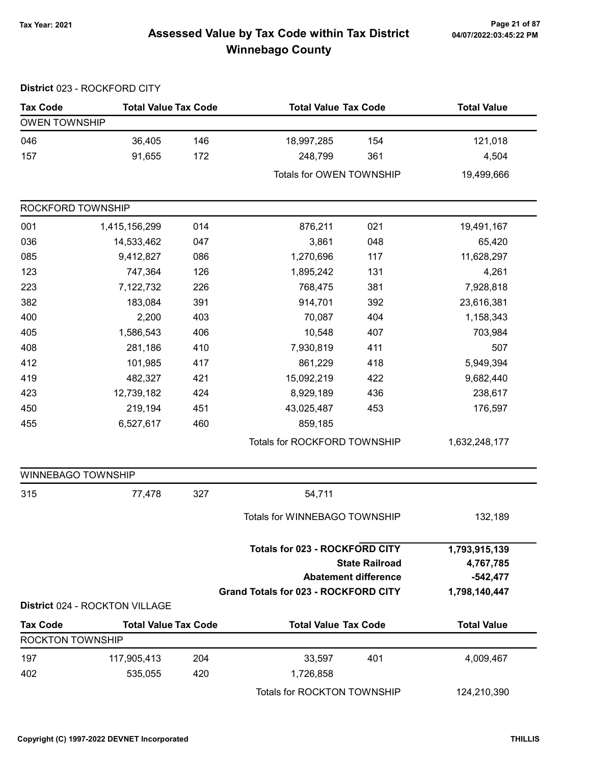# 7ax Year: 2021 Page 21 of 87<br>Assessed Value by Tax Code within Tax District 04/07/2022:03:45:22 PM Winnebago County

|                         | District 023 - ROCKFORD CITY   |     |                                             |                             |                    |
|-------------------------|--------------------------------|-----|---------------------------------------------|-----------------------------|--------------------|
| <b>Tax Code</b>         | <b>Total Value Tax Code</b>    |     | <b>Total Value Tax Code</b>                 |                             | <b>Total Value</b> |
| <b>OWEN TOWNSHIP</b>    |                                |     |                                             |                             |                    |
| 046                     | 36,405                         | 146 | 18,997,285                                  | 154                         | 121,018            |
| 157                     | 91,655                         | 172 | 248,799                                     | 361                         | 4,504              |
|                         |                                |     | Totals for OWEN TOWNSHIP                    |                             | 19,499,666         |
| ROCKFORD TOWNSHIP       |                                |     |                                             |                             |                    |
| 001                     | 1,415,156,299                  | 014 | 876,211                                     | 021                         | 19,491,167         |
| 036                     | 14,533,462                     | 047 | 3,861                                       | 048                         | 65,420             |
| 085                     | 9,412,827                      | 086 | 1,270,696                                   | 117                         | 11,628,297         |
| 123                     | 747,364                        | 126 | 1,895,242                                   | 131                         | 4,261              |
| 223                     | 7,122,732                      | 226 | 768,475                                     | 381                         | 7,928,818          |
| 382                     | 183,084                        | 391 | 914,701                                     | 392                         | 23,616,381         |
| 400                     | 2,200                          | 403 | 70,087                                      | 404                         | 1,158,343          |
| 405                     | 1,586,543                      | 406 | 10,548                                      | 407                         | 703,984            |
| 408                     | 281,186                        | 410 | 7,930,819                                   | 411                         | 507                |
| 412                     | 101,985                        | 417 | 861,229                                     | 418                         | 5,949,394          |
| 419                     | 482,327                        | 421 | 15,092,219                                  | 422                         | 9,682,440          |
| 423                     | 12,739,182                     | 424 | 8,929,189                                   | 436                         | 238,617            |
| 450                     | 219,194                        | 451 | 43,025,487                                  | 453                         | 176,597            |
| 455                     | 6,527,617                      | 460 | 859,185                                     |                             |                    |
|                         |                                |     | Totals for ROCKFORD TOWNSHIP                |                             | 1,632,248,177      |
| WINNEBAGO TOWNSHIP      |                                |     |                                             |                             |                    |
| 315                     | 77,478                         | 327 | 54,711                                      |                             |                    |
|                         |                                |     | Totals for WINNEBAGO TOWNSHIP               |                             | 132,189            |
|                         |                                |     | <b>Totals for 023 - ROCKFORD CITY</b>       |                             | 1,793,915,139      |
|                         |                                |     |                                             | <b>State Railroad</b>       | 4,767,785          |
|                         |                                |     |                                             | <b>Abatement difference</b> | $-542,477$         |
|                         | District 024 - ROCKTON VILLAGE |     | <b>Grand Totals for 023 - ROCKFORD CITY</b> |                             | 1,798,140,447      |
| <b>Tax Code</b>         | <b>Total Value Tax Code</b>    |     | <b>Total Value Tax Code</b>                 |                             | <b>Total Value</b> |
| <b>ROCKTON TOWNSHIP</b> |                                |     |                                             |                             |                    |
| 197                     | 117,905,413                    | 204 | 33,597                                      | 401                         | 4,009,467          |
| 402                     | 535,055                        | 420 | 1,726,858                                   |                             |                    |
|                         |                                |     | Totals for ROCKTON TOWNSHIP                 |                             | 124,210,390        |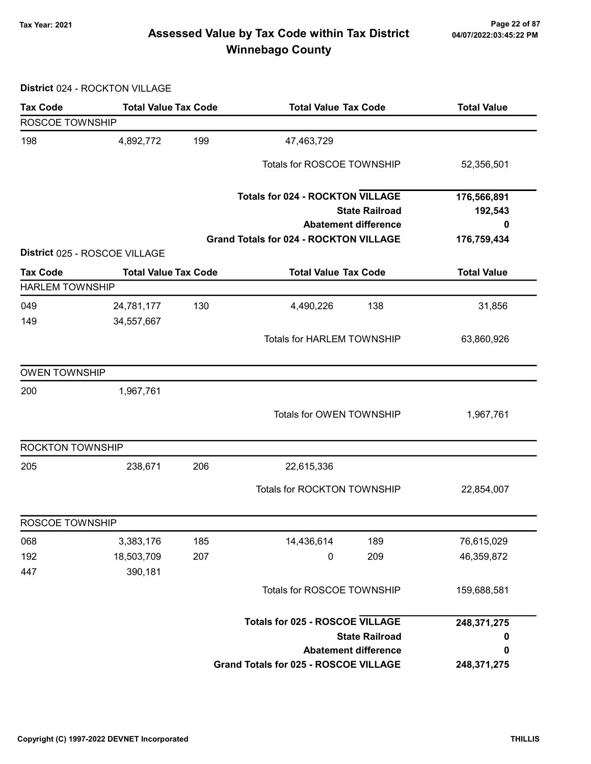# Tax Year: 2021 Page 22 of 87 Assessed Value by Tax Code within Tax District Winnebago County

District 024 - ROCKTON VILLAGE

| <b>Tax Code</b>                           | <b>Total Value Tax Code</b>   |     | <b>Total Value Tax Code</b>                                                                     | <b>Total Value</b>          |
|-------------------------------------------|-------------------------------|-----|-------------------------------------------------------------------------------------------------|-----------------------------|
| ROSCOE TOWNSHIP                           |                               |     |                                                                                                 |                             |
| 198                                       | 4,892,772                     | 199 | 47,463,729                                                                                      |                             |
|                                           |                               |     | Totals for ROSCOE TOWNSHIP                                                                      | 52,356,501                  |
|                                           |                               |     | <b>Totals for 024 - ROCKTON VILLAGE</b><br><b>State Railroad</b><br><b>Abatement difference</b> | 176,566,891<br>192,543<br>0 |
|                                           | District 025 - ROSCOE VILLAGE |     | <b>Grand Totals for 024 - ROCKTON VILLAGE</b>                                                   | 176,759,434                 |
|                                           |                               |     |                                                                                                 |                             |
| <b>Tax Code</b><br><b>HARLEM TOWNSHIP</b> | <b>Total Value Tax Code</b>   |     | <b>Total Value Tax Code</b>                                                                     | <b>Total Value</b>          |
| 049<br>149                                | 24,781,177<br>34,557,667      | 130 | 138<br>4,490,226                                                                                | 31,856                      |
|                                           |                               |     | <b>Totals for HARLEM TOWNSHIP</b>                                                               | 63,860,926                  |
| <b>OWEN TOWNSHIP</b>                      |                               |     |                                                                                                 |                             |
| 200                                       | 1,967,761                     |     |                                                                                                 |                             |
|                                           |                               |     | Totals for OWEN TOWNSHIP                                                                        | 1,967,761                   |
| <b>ROCKTON TOWNSHIP</b>                   |                               |     |                                                                                                 |                             |
| 205                                       | 238,671                       | 206 | 22,615,336                                                                                      |                             |
|                                           |                               |     | Totals for ROCKTON TOWNSHIP                                                                     | 22,854,007                  |
| ROSCOE TOWNSHIP                           |                               |     |                                                                                                 |                             |
| 068                                       | 3,383,176                     | 185 | 14,436,614<br>189                                                                               | 76,615,029                  |
| 192                                       | 18,503,709                    | 207 | 209<br>$\pmb{0}$                                                                                | 46,359,872                  |
| 447                                       | 390,181                       |     | Totals for ROSCOE TOWNSHIP                                                                      | 159,688,581                 |
|                                           |                               |     |                                                                                                 |                             |
|                                           |                               |     | <b>Totals for 025 - ROSCOE VILLAGE</b>                                                          | 248,371,275                 |
|                                           |                               |     | <b>State Railroad</b>                                                                           | 0                           |
|                                           |                               |     | <b>Abatement difference</b><br>Grand Totals for 025 - ROSCOE VILLAGE                            | 0<br>248,371,275            |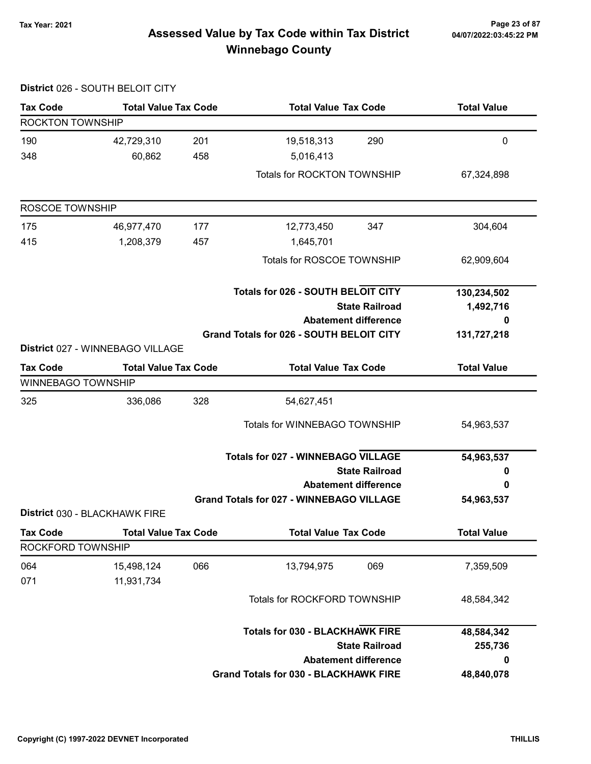# Tax Year: 2021 Page 23 of 87 Assessed Value by Tax Code within Tax District Winnebago County

|                           | District 026 - SOUTH BELOIT CITY |     |                                                 |                             |                    |
|---------------------------|----------------------------------|-----|-------------------------------------------------|-----------------------------|--------------------|
| <b>Tax Code</b>           | <b>Total Value Tax Code</b>      |     | <b>Total Value Tax Code</b>                     |                             | <b>Total Value</b> |
| ROCKTON TOWNSHIP          |                                  |     |                                                 |                             |                    |
| 190                       | 42,729,310                       | 201 | 19,518,313                                      | 290                         | $\mathbf 0$        |
| 348                       | 60,862                           | 458 | 5,016,413                                       |                             |                    |
|                           |                                  |     | Totals for ROCKTON TOWNSHIP                     |                             | 67,324,898         |
| ROSCOE TOWNSHIP           |                                  |     |                                                 |                             |                    |
| 175                       | 46,977,470                       | 177 | 12,773,450                                      | 347                         | 304,604            |
| 415                       | 1,208,379                        | 457 | 1,645,701                                       |                             |                    |
|                           |                                  |     | Totals for ROSCOE TOWNSHIP                      |                             | 62,909,604         |
|                           |                                  |     | <b>Totals for 026 - SOUTH BELOIT CITY</b>       |                             | 130,234,502        |
|                           |                                  |     |                                                 | <b>State Railroad</b>       | 1,492,716          |
|                           |                                  |     |                                                 | <b>Abatement difference</b> | 0                  |
|                           | District 027 - WINNEBAGO VILLAGE |     | <b>Grand Totals for 026 - SOUTH BELOIT CITY</b> |                             | 131,727,218        |
| <b>Tax Code</b>           | <b>Total Value Tax Code</b>      |     | <b>Total Value Tax Code</b>                     |                             | <b>Total Value</b> |
| <b>WINNEBAGO TOWNSHIP</b> |                                  |     |                                                 |                             |                    |
| 325                       | 336,086                          | 328 | 54,627,451                                      |                             |                    |
|                           |                                  |     | Totals for WINNEBAGO TOWNSHIP                   |                             | 54,963,537         |
|                           |                                  |     | <b>Totals for 027 - WINNEBAGO VILLAGE</b>       |                             | 54,963,537         |
|                           |                                  |     |                                                 | <b>State Railroad</b>       | 0                  |
|                           |                                  |     |                                                 | <b>Abatement difference</b> | 0                  |
|                           | District 030 - BLACKHAWK FIRE    |     | <b>Grand Totals for 027 - WINNEBAGO VILLAGE</b> |                             | 54,963,537         |
| <b>Tax Code</b>           | <b>Total Value Tax Code</b>      |     | <b>Total Value Tax Code</b>                     |                             | <b>Total Value</b> |
| ROCKFORD TOWNSHIP         |                                  |     |                                                 |                             |                    |
| 064                       | 15,498,124                       | 066 | 13,794,975                                      | 069                         | 7,359,509          |
| 071                       | 11,931,734                       |     |                                                 |                             |                    |
|                           |                                  |     | Totals for ROCKFORD TOWNSHIP                    |                             | 48,584,342         |
|                           |                                  |     | <b>Totals for 030 - BLACKHAWK FIRE</b>          |                             | 48,584,342         |
|                           |                                  |     |                                                 | <b>State Railroad</b>       | 255,736            |
|                           |                                  |     |                                                 | <b>Abatement difference</b> | 0                  |
|                           |                                  |     | <b>Grand Totals for 030 - BLACKHAWK FIRE</b>    |                             | 48,840,078         |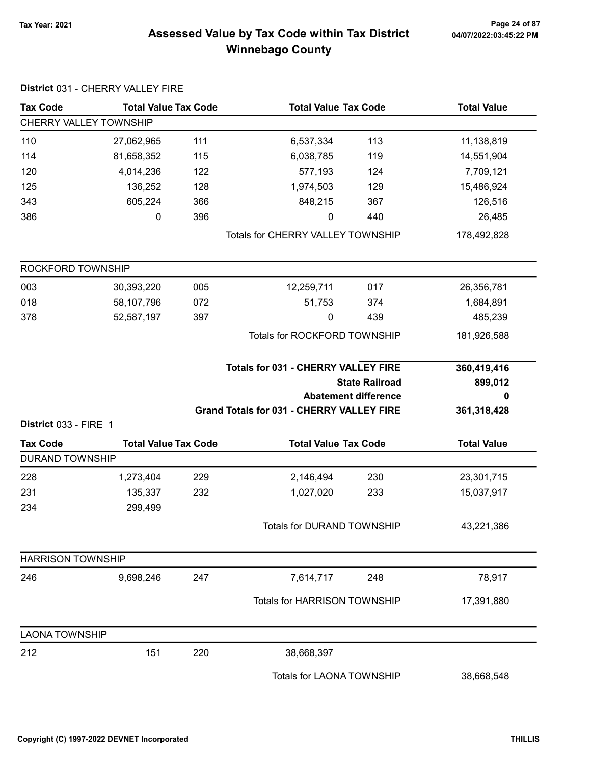# 7ax Year: 2021 Page 24 of 87<br>Assessed Value by Tax Code within Tax District 04/07/2022:03:45:22 PM Winnebago County

|                               | District 031 - CHERRY VALLEY FIRE |     |                                                  |                             |                    |
|-------------------------------|-----------------------------------|-----|--------------------------------------------------|-----------------------------|--------------------|
| <b>Tax Code</b>               | <b>Total Value Tax Code</b>       |     | <b>Total Value Tax Code</b>                      |                             | <b>Total Value</b> |
| <b>CHERRY VALLEY TOWNSHIP</b> |                                   |     |                                                  |                             |                    |
| 110                           | 27,062,965                        | 111 | 6,537,334                                        | 113                         | 11,138,819         |
| 114                           | 81,658,352                        | 115 | 6,038,785                                        | 119                         | 14,551,904         |
| 120                           | 4,014,236                         | 122 | 577,193                                          | 124                         | 7,709,121          |
| 125                           | 136,252                           | 128 | 1,974,503                                        | 129                         | 15,486,924         |
| 343                           | 605,224                           | 366 | 848,215                                          | 367                         | 126,516            |
| 386                           | 0                                 | 396 | 0                                                | 440                         | 26,485             |
|                               |                                   |     | Totals for CHERRY VALLEY TOWNSHIP                |                             | 178,492,828        |
| ROCKFORD TOWNSHIP             |                                   |     |                                                  |                             |                    |
| 003                           | 30,393,220                        | 005 | 12,259,711                                       | 017                         | 26,356,781         |
| 018                           | 58,107,796                        | 072 | 51,753                                           | 374                         | 1,684,891          |
| 378                           | 52,587,197                        | 397 | $\pmb{0}$                                        | 439                         | 485,239            |
|                               |                                   |     | Totals for ROCKFORD TOWNSHIP                     |                             | 181,926,588        |
|                               |                                   |     | <b>Totals for 031 - CHERRY VALLEY FIRE</b>       |                             | 360,419,416        |
|                               |                                   |     |                                                  | <b>State Railroad</b>       | 899,012            |
|                               |                                   |     |                                                  | <b>Abatement difference</b> | 0                  |
| District 033 - FIRE 1         |                                   |     | <b>Grand Totals for 031 - CHERRY VALLEY FIRE</b> |                             | 361,318,428        |
| <b>Tax Code</b>               | <b>Total Value Tax Code</b>       |     | <b>Total Value Tax Code</b>                      |                             | <b>Total Value</b> |
| <b>DURAND TOWNSHIP</b>        |                                   |     |                                                  |                             |                    |
| 228                           | 1,273,404                         | 229 | 2,146,494                                        | 230                         | 23,301,715         |
| 231                           | 135,337                           | 232 | 1,027,020                                        | 233                         | 15,037,917         |
| 234                           | 299,499                           |     |                                                  |                             |                    |
|                               |                                   |     | <b>Totals for DURAND TOWNSHIP</b>                |                             | 43,221,386         |
| <b>HARRISON TOWNSHIP</b>      |                                   |     |                                                  |                             |                    |
| 246                           | 9,698,246                         | 247 | 7,614,717                                        | 248                         | 78,917             |
|                               |                                   |     | <b>Totals for HARRISON TOWNSHIP</b>              |                             | 17,391,880         |
| <b>LAONA TOWNSHIP</b>         |                                   |     |                                                  |                             |                    |
| 212                           | 151                               | 220 | 38,668,397                                       |                             |                    |
|                               |                                   |     | Totals for LAONA TOWNSHIP                        |                             | 38,668,548         |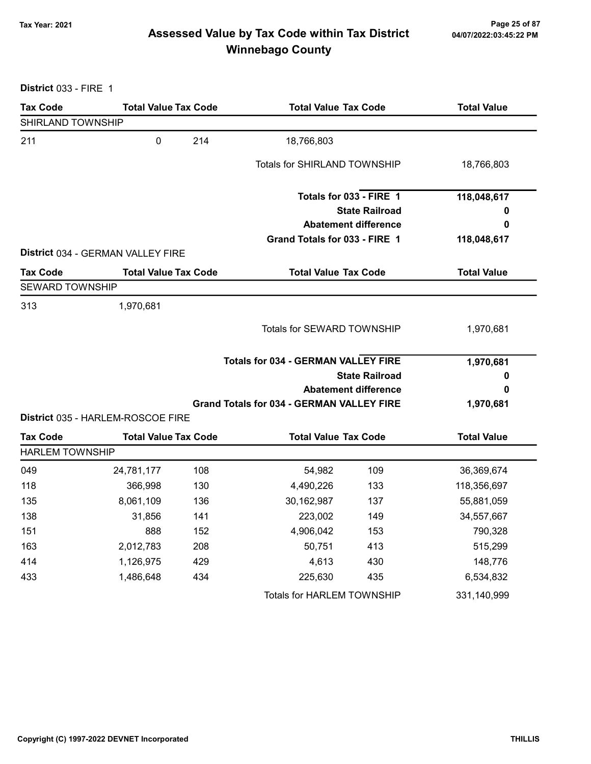# Tax Year: 2021 Page 25 of 87 Assessed Value by Tax Code within Tax District Winnebago County

District 033 - FIRE 1

| <b>Tax Code</b>        | <b>Total Value Tax Code</b>       |     | <b>Total Value Tax Code</b>                          |                             | <b>Total Value</b> |
|------------------------|-----------------------------------|-----|------------------------------------------------------|-----------------------------|--------------------|
| SHIRLAND TOWNSHIP      |                                   |     |                                                      |                             |                    |
| 211                    | $\mathbf 0$                       | 214 | 18,766,803                                           |                             |                    |
|                        |                                   |     | <b>Totals for SHIRLAND TOWNSHIP</b>                  |                             | 18,766,803         |
|                        |                                   |     |                                                      | Totals for 033 - FIRE 1     | 118,048,617        |
|                        |                                   |     |                                                      | <b>State Railroad</b>       | 0                  |
|                        |                                   |     |                                                      | <b>Abatement difference</b> | 0                  |
|                        |                                   |     | Grand Totals for 033 - FIRE 1                        |                             | 118,048,617        |
|                        | District 034 - GERMAN VALLEY FIRE |     |                                                      |                             |                    |
| <b>Tax Code</b>        | <b>Total Value Tax Code</b>       |     | <b>Total Value Tax Code</b>                          |                             | <b>Total Value</b> |
| <b>SEWARD TOWNSHIP</b> |                                   |     |                                                      |                             |                    |
| 313                    | 1,970,681                         |     |                                                      |                             |                    |
|                        |                                   |     | Totals for SEWARD TOWNSHIP                           |                             | 1,970,681          |
|                        |                                   |     | <b>Totals for 034 - GERMAN VALLEY FIRE</b>           |                             | 1,970,681          |
|                        |                                   |     | <b>State Railroad</b><br><b>Abatement difference</b> |                             | 0                  |
|                        |                                   |     |                                                      |                             | 0                  |
|                        | District 035 - HARLEM-ROSCOE FIRE |     | <b>Grand Totals for 034 - GERMAN VALLEY FIRE</b>     |                             | 1,970,681          |
| <b>Tax Code</b>        | <b>Total Value Tax Code</b>       |     | <b>Total Value Tax Code</b>                          |                             | <b>Total Value</b> |
| <b>HARLEM TOWNSHIP</b> |                                   |     |                                                      |                             |                    |
| 049                    | 24,781,177                        | 108 | 54,982                                               | 109                         | 36,369,674         |
| 118                    | 366,998                           | 130 | 4,490,226                                            | 133                         | 118,356,697        |
| 135                    | 8,061,109                         | 136 | 30,162,987                                           | 137                         | 55,881,059         |
| 138                    | 31,856                            | 141 | 223,002                                              | 149                         | 34,557,667         |
| 151                    | 888                               | 152 | 4,906,042                                            | 153                         | 790,328            |
| 163                    | 2,012,783                         | 208 | 50,751                                               | 413                         | 515,299            |
| 414                    | 1,126,975                         | 429 | 4,613                                                | 430                         | 148,776            |
| 433                    | 1,486,648                         | 434 | 225,630                                              | 435                         | 6,534,832          |
|                        |                                   |     | Totals for HARLEM TOWNSHIP                           |                             | 331,140,999        |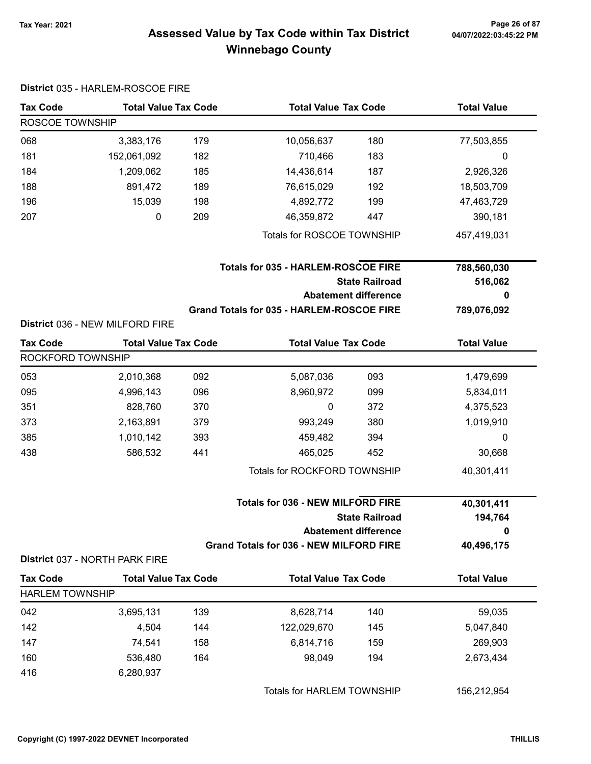# Tax Year: 2021 Page 26 of 87 Assessed Value by Tax Code within Tax District Winnebago County

|                        | District 035 - HARLEM-ROSCOE FIRE                                 |     |                                                |                             |                    |
|------------------------|-------------------------------------------------------------------|-----|------------------------------------------------|-----------------------------|--------------------|
| <b>Tax Code</b>        | <b>Total Value Tax Code</b>                                       |     | <b>Total Value Tax Code</b>                    |                             | <b>Total Value</b> |
| ROSCOE TOWNSHIP        |                                                                   |     |                                                |                             |                    |
| 068                    | 3,383,176                                                         | 179 | 10,056,637                                     | 180                         | 77,503,855         |
| 181                    | 152,061,092                                                       | 182 | 710,466                                        | 183                         | 0                  |
| 184                    | 1,209,062                                                         | 185 | 14,436,614                                     | 187                         | 2,926,326          |
| 188                    | 891,472                                                           | 189 | 76,615,029                                     | 192                         | 18,503,709         |
| 196                    | 15,039                                                            | 198 | 4,892,772                                      | 199                         | 47,463,729         |
| 207                    | 0                                                                 | 209 | 46,359,872                                     | 447                         | 390,181            |
|                        |                                                                   |     | Totals for ROSCOE TOWNSHIP                     |                             | 457,419,031        |
|                        |                                                                   |     | <b>Totals for 035 - HARLEM-ROSCOE FIRE</b>     |                             | 788,560,030        |
|                        |                                                                   |     |                                                | <b>State Railroad</b>       | 516,062            |
|                        |                                                                   |     |                                                | <b>Abatement difference</b> | 0                  |
|                        |                                                                   |     | Grand Totals for 035 - HARLEM-ROSCOE FIRE      |                             | 789,076,092        |
|                        | District 036 - NEW MILFORD FIRE                                   |     |                                                |                             |                    |
| <b>Tax Code</b>        | <b>Total Value Tax Code</b>                                       |     | <b>Total Value Tax Code</b>                    |                             | <b>Total Value</b> |
| ROCKFORD TOWNSHIP      |                                                                   |     |                                                |                             |                    |
| 053                    | 2,010,368                                                         | 092 | 5,087,036                                      | 093                         | 1,479,699          |
| 095                    | 4,996,143                                                         | 096 | 8,960,972                                      | 099                         | 5,834,011          |
| 351                    | 828,760                                                           | 370 | 0                                              | 372                         | 4,375,523          |
| 373                    | 2,163,891                                                         | 379 | 993,249                                        | 380                         | 1,019,910          |
| 385                    | 1,010,142                                                         | 393 | 459,482                                        | 394                         | 0                  |
| 438                    | 586,532                                                           | 441 | 465,025                                        | 452                         | 30,668             |
|                        |                                                                   |     | Totals for ROCKFORD TOWNSHIP                   |                             | 40,301,411         |
|                        | <b>Totals for 036 - NEW MILFORD FIRE</b><br><b>State Railroad</b> |     |                                                | 40,301,411<br>194,764       |                    |
|                        |                                                                   |     | <b>Abatement difference</b>                    |                             | 0                  |
|                        | District 037 - NORTH PARK FIRE                                    |     | <b>Grand Totals for 036 - NEW MILFORD FIRE</b> |                             | 40,496,175         |
| <b>Tax Code</b>        | <b>Total Value Tax Code</b>                                       |     | <b>Total Value Tax Code</b>                    |                             | <b>Total Value</b> |
| <b>HARLEM TOWNSHIP</b> |                                                                   |     |                                                |                             |                    |
| 042                    | 3,695,131                                                         | 139 | 8,628,714                                      | 140                         | 59,035             |
| 142                    | 4,504                                                             | 144 | 122,029,670                                    | 145                         | 5,047,840          |
| 147                    | 74,541                                                            | 158 | 6,814,716                                      | 159                         | 269,903            |
| 160                    | 536,480                                                           | 164 | 98,049                                         | 194                         | 2,673,434          |
| 416                    | 6,280,937                                                         |     |                                                |                             |                    |
|                        |                                                                   |     | Totals for HARLEM TOWNSHIP                     |                             | 156,212,954        |

Copyright (C) 1997-2022 DEVNET Incorporated THILLIS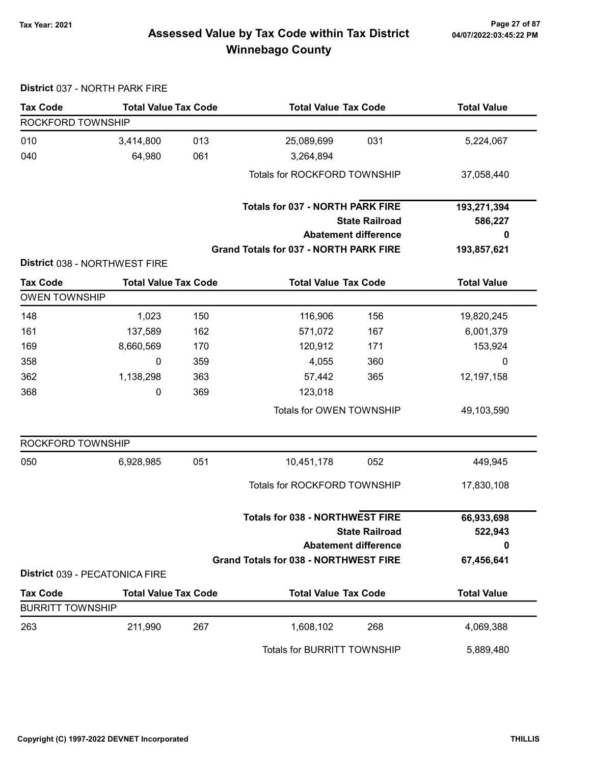# Tax Year: 2021 Page 27 of 87 Assessed Value by Tax Code within Tax District Winnebago County

|                         | District 037 - NORTH PARK FIRE |            |                                                                             |                             |                    |
|-------------------------|--------------------------------|------------|-----------------------------------------------------------------------------|-----------------------------|--------------------|
| <b>Tax Code</b>         | <b>Total Value Tax Code</b>    |            | <b>Total Value Tax Code</b>                                                 |                             | <b>Total Value</b> |
| ROCKFORD TOWNSHIP       |                                |            |                                                                             |                             |                    |
| 010                     | 3,414,800                      | 013        | 25,089,699                                                                  | 031                         | 5,224,067          |
| 040                     | 64,980                         | 061        | 3,264,894                                                                   |                             |                    |
|                         |                                |            | Totals for ROCKFORD TOWNSHIP                                                |                             | 37,058,440         |
|                         |                                |            | <b>Totals for 037 - NORTH PARK FIRE</b>                                     |                             | 193,271,394        |
|                         |                                |            |                                                                             | <b>State Railroad</b>       | 586,227            |
|                         |                                |            |                                                                             | <b>Abatement difference</b> | 0                  |
|                         |                                |            | Grand Totals for 037 - NORTH PARK FIRE                                      |                             | 193,857,621        |
|                         | District 038 - NORTHWEST FIRE  |            |                                                                             |                             |                    |
| <b>Tax Code</b>         | <b>Total Value Tax Code</b>    |            | <b>Total Value Tax Code</b>                                                 |                             | <b>Total Value</b> |
| <b>OWEN TOWNSHIP</b>    |                                |            |                                                                             |                             |                    |
| 148                     | 1,023                          | 150        | 116,906                                                                     | 156                         | 19,820,245         |
| 161                     | 137,589                        | 162        | 571,072                                                                     | 167                         | 6,001,379          |
| 169<br>358              | 8,660,569<br>0                 | 170        | 120,912                                                                     | 171                         | 153,924<br>0       |
| 362                     | 1,138,298                      | 359<br>363 | 4,055<br>57,442                                                             | 360<br>365                  | 12,197,158         |
| 368                     | 0                              | 369        | 123,018                                                                     |                             |                    |
|                         |                                |            | Totals for OWEN TOWNSHIP                                                    |                             | 49,103,590         |
| ROCKFORD TOWNSHIP       |                                |            |                                                                             |                             |                    |
| 050                     | 6,928,985                      | 051        | 10,451,178                                                                  | 052                         | 449,945            |
|                         |                                |            | Totals for ROCKFORD TOWNSHIP                                                |                             | 17,830,108         |
|                         |                                |            | Totals for 038 - NORTHWEST FIRE                                             |                             | 66,933,698         |
|                         |                                |            |                                                                             | <b>State Railroad</b>       | 522,943            |
|                         |                                |            | <b>Abatement difference</b><br><b>Grand Totals for 038 - NORTHWEST FIRE</b> |                             | 0                  |
|                         | District 039 - PECATONICA FIRE |            |                                                                             |                             | 67,456,641         |
| <b>Tax Code</b>         | <b>Total Value Tax Code</b>    |            | <b>Total Value Tax Code</b>                                                 |                             | <b>Total Value</b> |
| <b>BURRITT TOWNSHIP</b> |                                |            |                                                                             |                             |                    |
| 263                     | 211,990                        | 267        | 1,608,102                                                                   | 268                         | 4,069,388          |
|                         |                                |            | Totals for BURRITT TOWNSHIP                                                 |                             | 5,889,480          |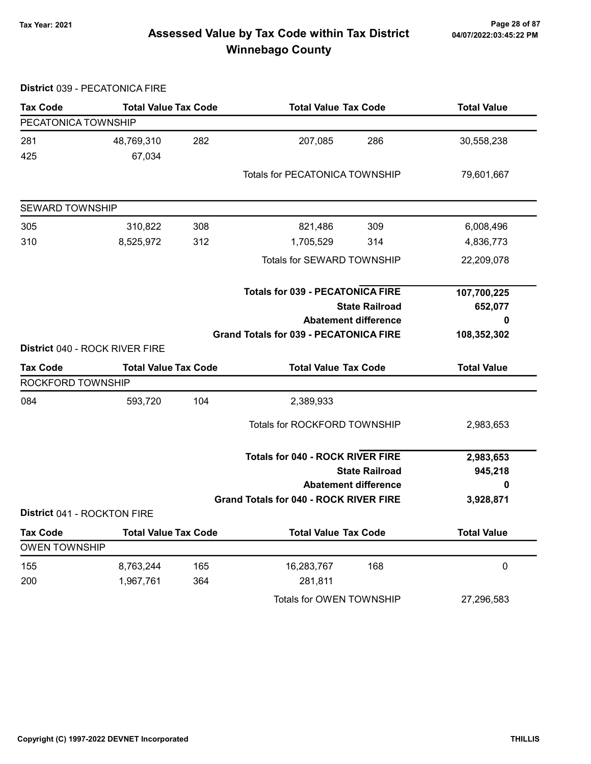# Tax Year: 2021 Page 28 of 87 Assessed Value by Tax Code within Tax District Winnebago County

|                                         | District 039 - PECATONICA FIRE |     |                                               |                             |                    |
|-----------------------------------------|--------------------------------|-----|-----------------------------------------------|-----------------------------|--------------------|
| <b>Tax Code</b>                         | <b>Total Value Tax Code</b>    |     | <b>Total Value Tax Code</b>                   |                             | <b>Total Value</b> |
| PECATONICA TOWNSHIP                     |                                |     |                                               |                             |                    |
| 281                                     | 48,769,310                     | 282 | 207,085                                       | 286                         | 30,558,238         |
| 425                                     | 67,034                         |     |                                               |                             |                    |
|                                         |                                |     | <b>Totals for PECATONICA TOWNSHIP</b>         |                             | 79,601,667         |
| <b>SEWARD TOWNSHIP</b>                  |                                |     |                                               |                             |                    |
| 305                                     | 310,822                        | 308 | 821,486                                       | 309                         | 6,008,496          |
| 310                                     | 8,525,972                      | 312 | 1,705,529                                     | 314                         | 4,836,773          |
|                                         |                                |     | Totals for SEWARD TOWNSHIP                    |                             | 22,209,078         |
|                                         |                                |     | <b>Totals for 039 - PECATONICA FIRE</b>       |                             | 107,700,225        |
|                                         |                                |     |                                               | <b>State Railroad</b>       | 652,077            |
|                                         |                                |     |                                               | <b>Abatement difference</b> | 0                  |
|                                         | District 040 - ROCK RIVER FIRE |     | <b>Grand Totals for 039 - PECATONICA FIRE</b> |                             | 108,352,302        |
| <b>Tax Code</b>                         | <b>Total Value Tax Code</b>    |     | <b>Total Value Tax Code</b>                   |                             |                    |
| ROCKFORD TOWNSHIP                       |                                |     |                                               |                             | <b>Total Value</b> |
| 084                                     | 593,720                        | 104 | 2,389,933                                     |                             |                    |
|                                         |                                |     | Totals for ROCKFORD TOWNSHIP                  |                             | 2,983,653          |
|                                         |                                |     | <b>Totals for 040 - ROCK RIVER FIRE</b>       |                             | 2,983,653          |
|                                         |                                |     |                                               | <b>State Railroad</b>       | 945,218            |
|                                         |                                |     |                                               | <b>Abatement difference</b> | 0                  |
| District 041 - ROCKTON FIRE             |                                |     | <b>Grand Totals for 040 - ROCK RIVER FIRE</b> |                             | 3,928,871          |
|                                         |                                |     |                                               |                             |                    |
| <b>Tax Code</b><br><b>OWEN TOWNSHIP</b> | <b>Total Value Tax Code</b>    |     | <b>Total Value Tax Code</b>                   |                             | <b>Total Value</b> |
|                                         |                                |     |                                               |                             |                    |
| 155                                     | 8,763,244                      | 165 | 16,283,767<br>281,811                         | 168                         | $\pmb{0}$          |
| 200                                     | 1,967,761                      | 364 |                                               |                             |                    |
|                                         |                                |     | Totals for OWEN TOWNSHIP                      |                             | 27,296,583         |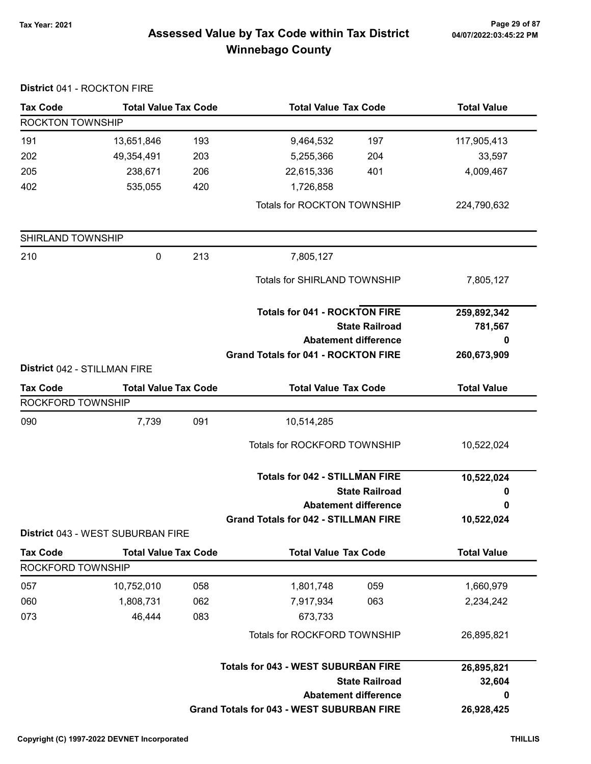# 7ax Year: 2021 Page 29 of 87<br>Assessed Value by Tax Code within Tax District 04/07/2022:03:45:22 PM Winnebago County

| District 041 - ROCKTON FIRE  |                                   |     |                                                  |                       |                    |
|------------------------------|-----------------------------------|-----|--------------------------------------------------|-----------------------|--------------------|
| <b>Tax Code</b>              | <b>Total Value Tax Code</b>       |     | <b>Total Value Tax Code</b>                      |                       | <b>Total Value</b> |
| ROCKTON TOWNSHIP             |                                   |     |                                                  |                       |                    |
| 191                          | 13,651,846                        | 193 | 9,464,532                                        | 197                   | 117,905,413        |
| 202                          | 49,354,491                        | 203 | 5,255,366                                        | 204                   | 33,597             |
| 205                          | 238,671                           | 206 | 22,615,336                                       | 401                   | 4,009,467          |
| 402                          | 535,055                           | 420 | 1,726,858                                        |                       |                    |
|                              |                                   |     | Totals for ROCKTON TOWNSHIP                      |                       | 224,790,632        |
| SHIRLAND TOWNSHIP            |                                   |     |                                                  |                       |                    |
| 210                          | 0                                 | 213 | 7,805,127                                        |                       |                    |
|                              |                                   |     | Totals for SHIRLAND TOWNSHIP                     |                       | 7,805,127          |
|                              |                                   |     | <b>Totals for 041 - ROCKTON FIRE</b>             |                       | 259,892,342        |
|                              |                                   |     | <b>State Railroad</b>                            |                       | 781,567            |
|                              |                                   |     | <b>Abatement difference</b>                      |                       | 0                  |
| District 042 - STILLMAN FIRE |                                   |     | <b>Grand Totals for 041 - ROCKTON FIRE</b>       |                       | 260,673,909        |
| <b>Tax Code</b>              | <b>Total Value Tax Code</b>       |     | <b>Total Value Tax Code</b>                      |                       | <b>Total Value</b> |
| ROCKFORD TOWNSHIP            |                                   |     |                                                  |                       |                    |
| 090                          | 7,739                             | 091 | 10,514,285                                       |                       |                    |
|                              |                                   |     | Totals for ROCKFORD TOWNSHIP                     |                       | 10,522,024         |
|                              |                                   |     | <b>Totals for 042 - STILLMAN FIRE</b>            |                       | 10,522,024         |
|                              |                                   |     |                                                  | <b>State Railroad</b> | 0                  |
|                              |                                   |     | <b>Abatement difference</b>                      |                       | 0                  |
|                              | District 043 - WEST SUBURBAN FIRE |     | <b>Grand Totals for 042 - STILLMAN FIRE</b>      |                       | 10,522,024         |
| <b>Tax Code</b>              | <b>Total Value Tax Code</b>       |     | <b>Total Value Tax Code</b>                      |                       | <b>Total Value</b> |
| ROCKFORD TOWNSHIP            |                                   |     |                                                  |                       |                    |
| 057                          | 10,752,010                        | 058 | 1,801,748                                        | 059                   | 1,660,979          |
| 060                          | 1,808,731                         | 062 | 7,917,934                                        | 063                   | 2,234,242          |
| 073                          | 46,444                            | 083 | 673,733                                          |                       |                    |
|                              |                                   |     | Totals for ROCKFORD TOWNSHIP                     |                       | 26,895,821         |
|                              |                                   |     | <b>Totals for 043 - WEST SUBURBAN FIRE</b>       |                       | 26,895,821         |
|                              |                                   |     |                                                  | <b>State Railroad</b> | 32,604             |
|                              |                                   |     | <b>Abatement difference</b>                      |                       | 0                  |
|                              |                                   |     | <b>Grand Totals for 043 - WEST SUBURBAN FIRE</b> |                       | 26,928,425         |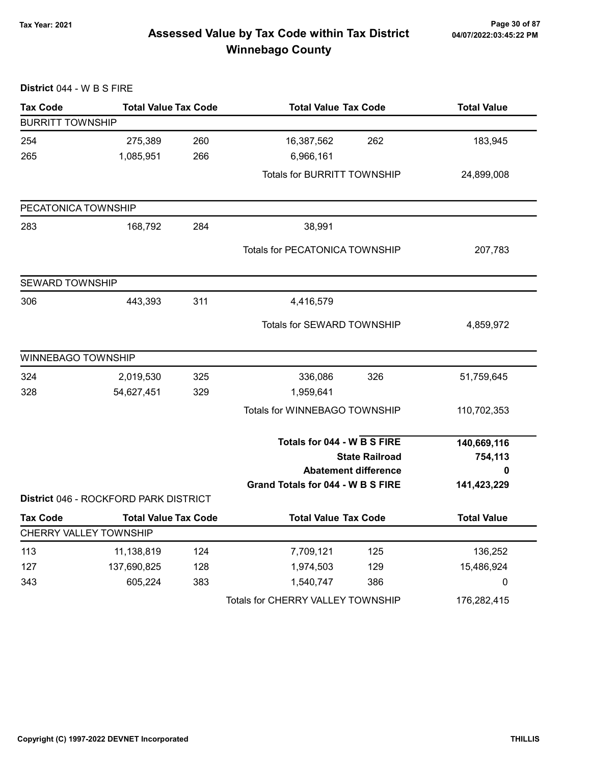# Tax Year: 2021 Page 30 of 87 Assessed Value by Tax Code within Tax District Winnebago County

| District 044 - W B S FIRE |                                       |     |                                    |                             |                    |
|---------------------------|---------------------------------------|-----|------------------------------------|-----------------------------|--------------------|
| <b>Tax Code</b>           | <b>Total Value Tax Code</b>           |     | <b>Total Value Tax Code</b>        |                             | <b>Total Value</b> |
| <b>BURRITT TOWNSHIP</b>   |                                       |     |                                    |                             |                    |
| 254                       | 275,389                               | 260 | 16,387,562                         | 262                         | 183,945            |
| 265                       | 1,085,951                             | 266 | 6,966,161                          |                             |                    |
|                           |                                       |     | <b>Totals for BURRITT TOWNSHIP</b> |                             | 24,899,008         |
| PECATONICA TOWNSHIP       |                                       |     |                                    |                             |                    |
| 283                       | 168,792                               | 284 | 38,991                             |                             |                    |
|                           |                                       |     | Totals for PECATONICA TOWNSHIP     |                             | 207,783            |
| <b>SEWARD TOWNSHIP</b>    |                                       |     |                                    |                             |                    |
| 306                       | 443,393                               | 311 | 4,416,579                          |                             |                    |
|                           |                                       |     | Totals for SEWARD TOWNSHIP         |                             | 4,859,972          |
| <b>WINNEBAGO TOWNSHIP</b> |                                       |     |                                    |                             |                    |
| 324                       | 2,019,530                             | 325 | 336,086                            | 326                         | 51,759,645         |
| 328                       | 54,627,451                            | 329 | 1,959,641                          |                             |                    |
|                           |                                       |     | Totals for WINNEBAGO TOWNSHIP      |                             | 110,702,353        |
|                           |                                       |     | Totals for 044 - W B S FIRE        |                             | 140,669,116        |
|                           |                                       |     |                                    | <b>State Railroad</b>       | 754,113            |
|                           |                                       |     |                                    | <b>Abatement difference</b> |                    |
|                           | District 046 - ROCKFORD PARK DISTRICT |     | Grand Totals for 044 - W B S FIRE  |                             | 141,423,229        |
| <b>Tax Code</b>           | <b>Total Value Tax Code</b>           |     | <b>Total Value Tax Code</b>        |                             | <b>Total Value</b> |
|                           | CHERRY VALLEY TOWNSHIP                |     |                                    |                             |                    |
| 113                       | 11,138,819                            | 124 | 7,709,121                          | 125                         | 136,252            |
| 127                       | 137,690,825                           | 128 | 1,974,503                          | 129                         | 15,486,924         |
| 343                       | 605,224                               | 383 | 1,540,747                          | 386                         | 0                  |
|                           |                                       |     | Totals for CHERRY VALLEY TOWNSHIP  |                             | 176,282,415        |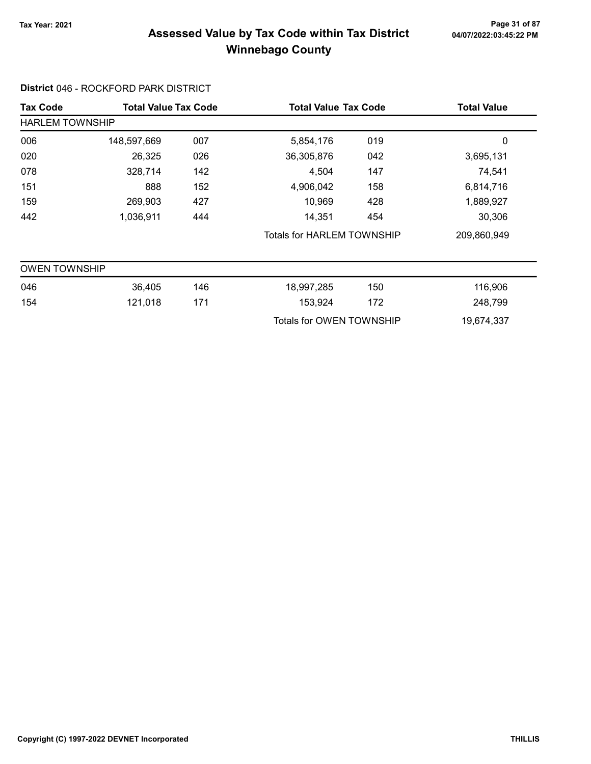# 7ax Year: 2021 Page 31 of 87<br>Assessed Value by Tax Code within Tax District 04/07/2022:03:45:22 PM Winnebago County

### District 046 - ROCKFORD PARK DISTRICT

| <b>Tax Code</b>        | <b>Total Value Tax Code</b> |                                   | <b>Total Value Tax Code</b> |     | <b>Total Value</b> |
|------------------------|-----------------------------|-----------------------------------|-----------------------------|-----|--------------------|
| <b>HARLEM TOWNSHIP</b> |                             |                                   |                             |     |                    |
| 006                    | 148,597,669                 | 007                               | 5,854,176                   | 019 | 0                  |
| 020                    | 26,325                      | 026                               | 36,305,876                  | 042 | 3,695,131          |
| 078                    | 328,714                     | 142                               | 4,504                       | 147 | 74,541             |
| 151                    | 888                         | 152                               | 4,906,042                   | 158 | 6,814,716          |
| 159                    | 269,903                     | 427                               | 10,969                      | 428 | 1,889,927          |
| 442                    | 1,036,911                   | 444                               | 14,351                      | 454 | 30,306             |
|                        |                             | <b>Totals for HARLEM TOWNSHIP</b> |                             |     | 209,860,949        |
| <b>OWEN TOWNSHIP</b>   |                             |                                   |                             |     |                    |
| 046                    | 36,405                      | 146                               | 18,997,285                  | 150 | 116,906            |
| 154                    | 121,018                     | 171                               | 153,924                     | 172 | 248,799            |
|                        |                             |                                   | Totals for OWEN TOWNSHIP    |     | 19,674,337         |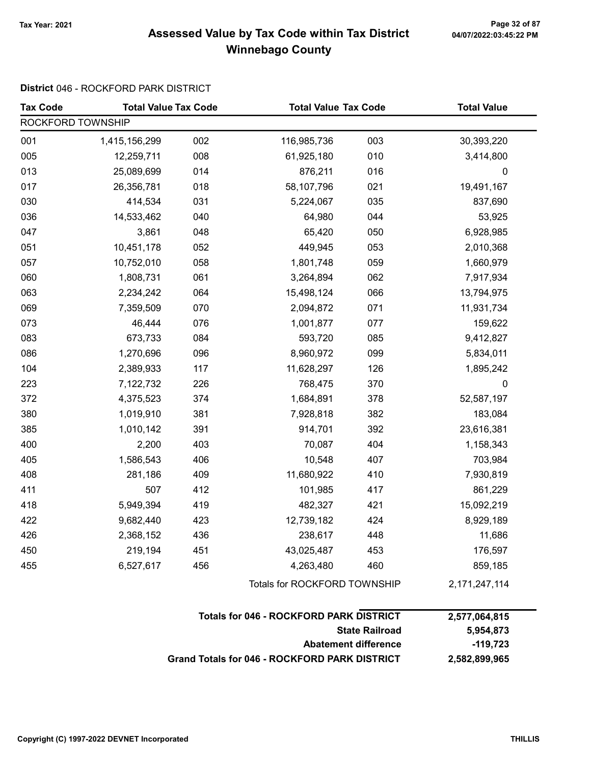# Tax Year: 2021 Page 32 of 87 Assessed Value by Tax Code within Tax District Winnebago County

### District 046 - ROCKFORD PARK DISTRICT

| <b>Tax Code</b>   | <b>Total Value Tax Code</b> |     | <b>Total Value Tax Code</b>  |     | <b>Total Value</b> |  |  |
|-------------------|-----------------------------|-----|------------------------------|-----|--------------------|--|--|
| ROCKFORD TOWNSHIP |                             |     |                              |     |                    |  |  |
| 001               | 1,415,156,299               | 002 | 116,985,736                  | 003 | 30,393,220         |  |  |
| 005               | 12,259,711                  | 008 | 61,925,180                   | 010 | 3,414,800          |  |  |
| 013               | 25,089,699                  | 014 | 876,211                      | 016 | $\mathbf 0$        |  |  |
| 017               | 26,356,781                  | 018 | 58,107,796                   | 021 | 19,491,167         |  |  |
| 030               | 414,534                     | 031 | 5,224,067                    | 035 | 837,690            |  |  |
| 036               | 14,533,462                  | 040 | 64,980                       | 044 | 53,925             |  |  |
| 047               | 3,861                       | 048 | 65,420                       | 050 | 6,928,985          |  |  |
| 051               | 10,451,178                  | 052 | 449,945                      | 053 | 2,010,368          |  |  |
| 057               | 10,752,010                  | 058 | 1,801,748                    | 059 | 1,660,979          |  |  |
| 060               | 1,808,731                   | 061 | 3,264,894                    | 062 | 7,917,934          |  |  |
| 063               | 2,234,242                   | 064 | 15,498,124                   | 066 | 13,794,975         |  |  |
| 069               | 7,359,509                   | 070 | 2,094,872                    | 071 | 11,931,734         |  |  |
| 073               | 46,444                      | 076 | 1,001,877                    | 077 | 159,622            |  |  |
| 083               | 673,733                     | 084 | 593,720                      | 085 | 9,412,827          |  |  |
| 086               | 1,270,696                   | 096 | 8,960,972                    | 099 | 5,834,011          |  |  |
| 104               | 2,389,933                   | 117 | 11,628,297                   | 126 | 1,895,242          |  |  |
| 223               | 7,122,732                   | 226 | 768,475                      | 370 | $\mathbf 0$        |  |  |
| 372               | 4,375,523                   | 374 | 1,684,891                    | 378 | 52,587,197         |  |  |
| 380               | 1,019,910                   | 381 | 7,928,818                    | 382 | 183,084            |  |  |
| 385               | 1,010,142                   | 391 | 914,701                      | 392 | 23,616,381         |  |  |
| 400               | 2,200                       | 403 | 70,087                       | 404 | 1,158,343          |  |  |
| 405               | 1,586,543                   | 406 | 10,548                       | 407 | 703,984            |  |  |
| 408               | 281,186                     | 409 | 11,680,922                   | 410 | 7,930,819          |  |  |
| 411               | 507                         | 412 | 101,985                      | 417 | 861,229            |  |  |
| 418               | 5,949,394                   | 419 | 482,327                      | 421 | 15,092,219         |  |  |
| 422               | 9,682,440                   | 423 | 12,739,182                   | 424 | 8,929,189          |  |  |
| 426               | 2,368,152                   | 436 | 238,617                      | 448 | 11,686             |  |  |
| 450               | 219,194                     | 451 | 43,025,487                   | 453 | 176,597            |  |  |
| 455               | 6,527,617                   | 456 | 4,263,480                    | 460 | 859,185            |  |  |
|                   |                             |     | Totals for ROCKFORD TOWNSHIP |     | 2, 171, 247, 114   |  |  |

| <b>Totals for 046 - ROCKFORD PARK DISTRICT</b> | 2.577.064.815 |
|------------------------------------------------|---------------|
| <b>State Railroad</b>                          | 5.954.873     |
| <b>Abatement difference</b>                    | -119.723      |
| Grand Totals for 046 - ROCKFORD PARK DISTRICT  | 2,582,899,965 |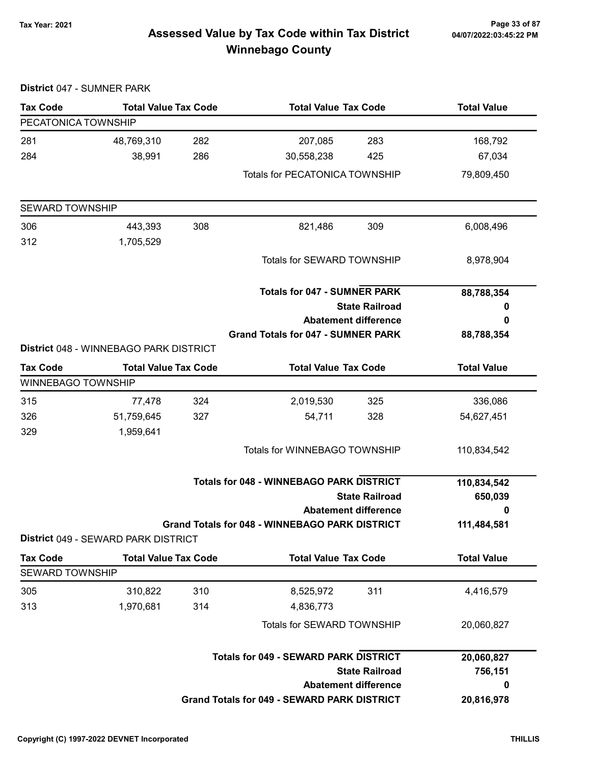# Tax Year: 2021 Page 33 of 87 Assessed Value by Tax Code within Tax District Winnebago County

| District 047 - SUMNER PARK |                                        |     |                                                       |                             |                    |
|----------------------------|----------------------------------------|-----|-------------------------------------------------------|-----------------------------|--------------------|
| <b>Tax Code</b>            | <b>Total Value Tax Code</b>            |     | <b>Total Value Tax Code</b>                           |                             | <b>Total Value</b> |
| PECATONICA TOWNSHIP        |                                        |     |                                                       |                             |                    |
| 281                        | 48,769,310                             | 282 | 207,085                                               | 283                         | 168,792            |
| 284                        | 38,991                                 | 286 | 30,558,238                                            | 425                         | 67,034             |
|                            |                                        |     | <b>Totals for PECATONICA TOWNSHIP</b>                 |                             | 79,809,450         |
| <b>SEWARD TOWNSHIP</b>     |                                        |     |                                                       |                             |                    |
| 306                        | 443,393                                | 308 | 821,486                                               | 309                         | 6,008,496          |
| 312                        | 1,705,529                              |     |                                                       |                             |                    |
|                            |                                        |     | Totals for SEWARD TOWNSHIP                            |                             | 8,978,904          |
|                            |                                        |     | <b>Totals for 047 - SUMNER PARK</b>                   |                             | 88,788,354         |
|                            |                                        |     |                                                       | <b>State Railroad</b>       | 0                  |
|                            |                                        |     | <b>Abatement difference</b>                           |                             | 0                  |
|                            |                                        |     | <b>Grand Totals for 047 - SUMNER PARK</b>             |                             | 88,788,354         |
|                            | District 048 - WINNEBAGO PARK DISTRICT |     |                                                       |                             |                    |
| <b>Tax Code</b>            | <b>Total Value Tax Code</b>            |     | <b>Total Value Tax Code</b>                           |                             | <b>Total Value</b> |
| <b>WINNEBAGO TOWNSHIP</b>  |                                        |     |                                                       |                             |                    |
| 315                        | 77,478                                 | 324 | 2,019,530                                             | 325                         | 336,086            |
| 326                        | 51,759,645                             | 327 | 54,711                                                | 328                         | 54,627,451         |
| 329                        | 1,959,641                              |     |                                                       |                             |                    |
|                            |                                        |     | <b>Totals for WINNEBAGO TOWNSHIP</b>                  |                             | 110,834,542        |
|                            |                                        |     | <b>Totals for 048 - WINNEBAGO PARK DISTRICT</b>       |                             | 110,834,542        |
|                            |                                        |     |                                                       | <b>State Railroad</b>       | 650,039            |
|                            |                                        |     |                                                       | <b>Abatement difference</b> | 0                  |
|                            | District 049 - SEWARD PARK DISTRICT    |     | <b>Grand Totals for 048 - WINNEBAGO PARK DISTRICT</b> |                             | 111,484,581        |
| <b>Tax Code</b>            | <b>Total Value Tax Code</b>            |     | <b>Total Value Tax Code</b>                           |                             | <b>Total Value</b> |
| <b>SEWARD TOWNSHIP</b>     |                                        |     |                                                       |                             |                    |
| 305                        | 310,822                                | 310 | 8,525,972                                             | 311                         | 4,416,579          |
| 313                        | 1,970,681                              | 314 | 4,836,773                                             |                             |                    |
|                            |                                        |     | Totals for SEWARD TOWNSHIP                            |                             | 20,060,827         |
|                            |                                        |     | <b>Totals for 049 - SEWARD PARK DISTRICT</b>          |                             | 20,060,827         |
|                            |                                        |     |                                                       | <b>State Railroad</b>       | 756,151            |
|                            |                                        |     |                                                       | <b>Abatement difference</b> | 0                  |
|                            |                                        |     | Grand Totals for 049 - SEWARD PARK DISTRICT           |                             | 20,816,978         |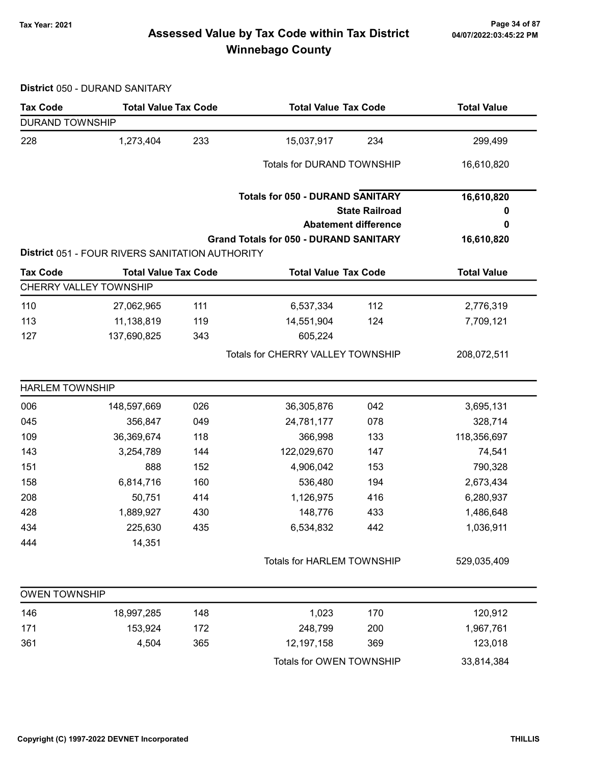# 7ax Year: 2021 Page 34 of 87<br>Assessed Value by Tax Code within Tax District 04/07/2022:03:45:22 PM Winnebago County

District 050 - DURAND SANITARY

| <b>DURAND TOWNSHIP</b>                                 |                                                             |
|--------------------------------------------------------|-------------------------------------------------------------|
| 233                                                    | 15,037,917                                                  |
| 228                                                    | 234                                                         |
| 1,273,404                                              | 299,499                                                     |
|                                                        | <b>Totals for DURAND TOWNSHIP</b><br>16,610,820             |
|                                                        | <b>Totals for 050 - DURAND SANITARY</b><br>16,610,820       |
|                                                        | <b>State Railroad</b><br>o                                  |
|                                                        | <b>Abatement difference</b><br>0                            |
|                                                        | <b>Grand Totals for 050 - DURAND SANITARY</b><br>16,610,820 |
| <b>District 051 - FOUR RIVERS SANITATION AUTHORITY</b> |                                                             |
| <b>Total Value Tax Code</b>                            | <b>Total Value Tax Code</b>                                 |
| <b>Tax Code</b>                                        | <b>Total Value</b>                                          |
| CHERRY VALLEY TOWNSHIP                                 |                                                             |
| 110                                                    | 6,537,334                                                   |
| 111                                                    | 112                                                         |
| 27,062,965                                             | 2,776,319                                                   |
| 113                                                    | 14,551,904                                                  |
| 11,138,819                                             | 124                                                         |
| 119                                                    | 7,709,121                                                   |
| 137,690,825<br>343<br>127                              | 605,224                                                     |
|                                                        | Totals for CHERRY VALLEY TOWNSHIP<br>208,072,511            |
| <b>HARLEM TOWNSHIP</b>                                 |                                                             |
| 006                                                    | 042                                                         |
| 148,597,669                                            | 3,695,131                                                   |
| 026                                                    | 36,305,876                                                  |
| 045                                                    | 24,781,177                                                  |
| 356,847                                                | 078                                                         |
| 049                                                    | 328,714                                                     |
| 109                                                    | 366,998                                                     |
| 36,369,674                                             | 133                                                         |
| 118                                                    | 118,356,697                                                 |
| 144                                                    | 122,029,670                                                 |
| 143                                                    | 147                                                         |
| 3,254,789                                              | 74,541                                                      |
| 151                                                    | 4,906,042                                                   |
| 888                                                    | 153                                                         |
| 152                                                    | 790,328                                                     |
| 158                                                    | 536,480                                                     |
| 160                                                    | 194                                                         |
| 6,814,716                                              | 2,673,434                                                   |
| 208                                                    | 1,126,975                                                   |
| 50,751                                                 | 416                                                         |
| 414                                                    | 6,280,937                                                   |
| 428                                                    | 148,776                                                     |
| 1,889,927                                              | 433                                                         |
| 430                                                    | 1,486,648                                                   |
| 434                                                    | 6,534,832                                                   |
| 225,630                                                | 1,036,911                                                   |
| 435                                                    | 442                                                         |
| 14,351<br>444                                          |                                                             |
|                                                        | <b>Totals for HARLEM TOWNSHIP</b><br>529,035,409            |
| <b>OWEN TOWNSHIP</b>                                   |                                                             |
| 148                                                    | 1,023                                                       |
| 146                                                    | 120,912                                                     |
| 18,997,285                                             | 170                                                         |
| 171                                                    | 248,799                                                     |
| 153,924                                                | 200                                                         |
| 172                                                    | 1,967,761                                                   |
| 361                                                    | 123,018                                                     |
| 4,504                                                  | 12,197,158                                                  |
| 365                                                    | 369                                                         |
|                                                        | Totals for OWEN TOWNSHIP<br>33,814,384                      |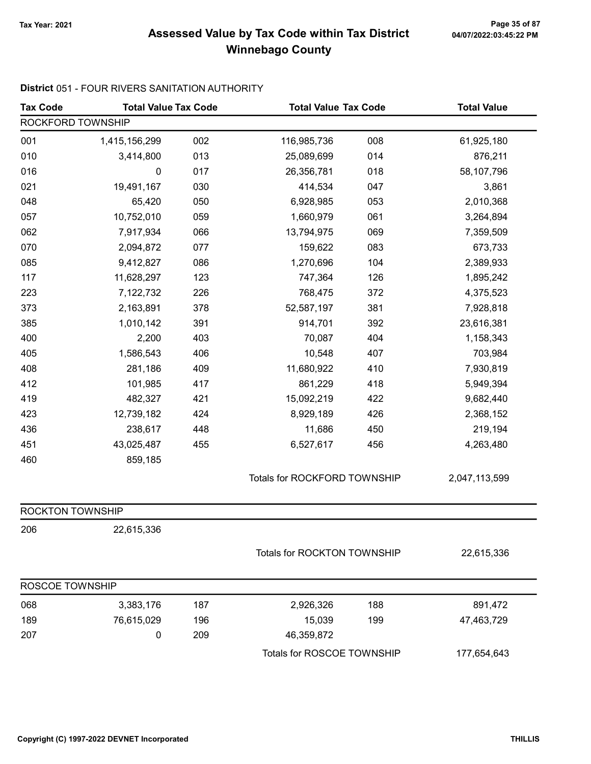# 7ax Year: 2021 Page 35 of 87<br>Assessed Value by Tax Code within Tax District 04/07/2022:03:45:22 PM Winnebago County

### District 051 - FOUR RIVERS SANITATION AUTHORITY

| <b>Tax Code</b>   | <b>Total Value Tax Code</b><br><b>Total Value Tax Code</b> |     |                             | <b>Total Value</b>           |             |
|-------------------|------------------------------------------------------------|-----|-----------------------------|------------------------------|-------------|
| ROCKFORD TOWNSHIP |                                                            |     |                             |                              |             |
| 001               | 1,415,156,299                                              | 002 | 116,985,736                 | 008                          | 61,925,180  |
| 010               | 3,414,800                                                  | 013 | 25,089,699                  | 014                          | 876,211     |
| 016               | $\boldsymbol{0}$                                           | 017 | 26,356,781                  | 018                          | 58,107,796  |
| 021               | 19,491,167                                                 | 030 | 414,534                     | 047                          | 3,861       |
| 048               | 65,420                                                     | 050 | 6,928,985                   | 053                          | 2,010,368   |
| 057               | 10,752,010                                                 | 059 | 1,660,979                   | 061                          | 3,264,894   |
| 062               | 7,917,934                                                  | 066 | 13,794,975                  | 069                          | 7,359,509   |
| 070               | 2,094,872                                                  | 077 | 159,622                     | 083                          | 673,733     |
| 085               | 9,412,827                                                  | 086 | 1,270,696                   | 104                          | 2,389,933   |
| 117               | 11,628,297                                                 | 123 | 747,364                     | 126                          | 1,895,242   |
| 223               | 7,122,732                                                  | 226 | 768,475                     | 372                          | 4,375,523   |
| 373               | 2,163,891                                                  | 378 | 52,587,197                  | 381                          | 7,928,818   |
| 385               | 1,010,142                                                  | 391 | 914,701                     | 392                          | 23,616,381  |
| 400               | 2,200                                                      | 403 | 70,087                      | 404                          | 1,158,343   |
| 405               | 1,586,543                                                  | 406 | 10,548                      | 407                          | 703,984     |
| 408               | 281,186                                                    | 409 | 11,680,922                  | 410                          | 7,930,819   |
| 412               | 101,985                                                    | 417 | 861,229                     | 418                          | 5,949,394   |
| 419               | 482,327                                                    | 421 | 15,092,219                  | 422                          | 9,682,440   |
| 423               | 12,739,182                                                 | 424 | 8,929,189                   | 426                          | 2,368,152   |
| 436               | 238,617                                                    | 448 | 11,686                      | 450                          | 219,194     |
| 451               | 43,025,487                                                 | 455 | 6,527,617                   | 456                          | 4,263,480   |
| 460               | 859,185                                                    |     |                             |                              |             |
|                   |                                                            |     |                             | Totals for ROCKFORD TOWNSHIP |             |
| ROCKTON TOWNSHIP  |                                                            |     |                             |                              |             |
| 206               | 22,615,336                                                 |     |                             |                              |             |
|                   |                                                            |     | Totals for ROCKTON TOWNSHIP |                              | 22,615,336  |
| ROSCOE TOWNSHIP   |                                                            |     |                             |                              |             |
| 068               | 3,383,176                                                  | 187 | 2,926,326                   | 188                          | 891,472     |
| 189               | 76,615,029                                                 | 196 | 15,039                      | 199                          | 47,463,729  |
| 207               | 0                                                          | 209 | 46,359,872                  |                              |             |
|                   |                                                            |     | Totals for ROSCOE TOWNSHIP  |                              | 177,654,643 |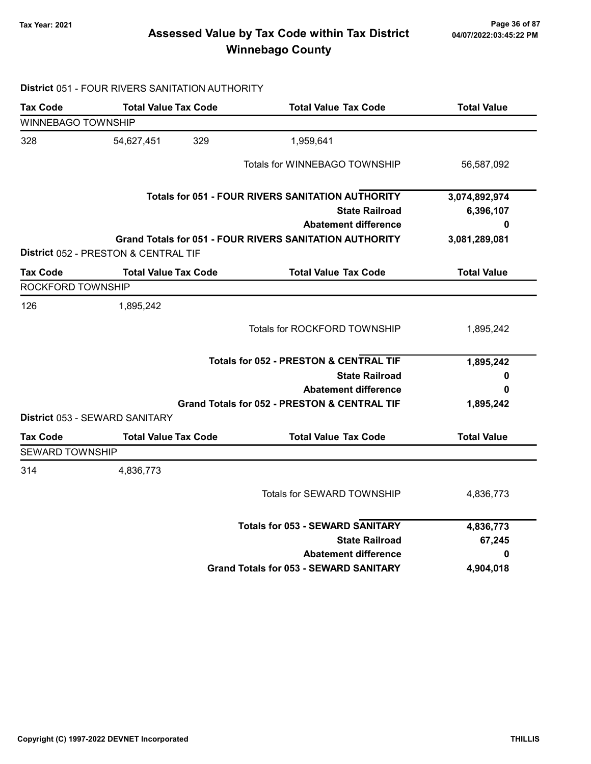# Tax Year: 2021 Page 36 of 87 Assessed Value by Tax Code within Tax District Winnebago County

### District 051 - FOUR RIVERS SANITATION AUTHORITY

| <b>Tax Code</b>    | <b>Total Value Tax Code</b>          | <b>Total Value Tax Code</b>                                    | <b>Total Value</b> |
|--------------------|--------------------------------------|----------------------------------------------------------------|--------------------|
| WINNEBAGO TOWNSHIP |                                      |                                                                |                    |
| 328                | 329<br>54,627,451                    | 1,959,641                                                      |                    |
|                    |                                      | Totals for WINNEBAGO TOWNSHIP                                  | 56,587,092         |
|                    |                                      | Totals for 051 - FOUR RIVERS SANITATION AUTHORITY              | 3,074,892,974      |
|                    |                                      | <b>State Railroad</b>                                          | 6,396,107          |
|                    |                                      | <b>Abatement difference</b>                                    | 0                  |
|                    | District 052 - PRESTON & CENTRAL TIF | <b>Grand Totals for 051 - FOUR RIVERS SANITATION AUTHORITY</b> | 3,081,289,081      |
| <b>Tax Code</b>    | <b>Total Value Tax Code</b>          | <b>Total Value Tax Code</b>                                    | <b>Total Value</b> |
| ROCKFORD TOWNSHIP  |                                      |                                                                |                    |
| 126                | 1,895,242                            |                                                                |                    |
|                    |                                      | Totals for ROCKFORD TOWNSHIP                                   | 1,895,242          |
|                    |                                      | <b>Totals for 052 - PRESTON &amp; CENTRAL TIF</b>              | 1,895,242          |
|                    |                                      | <b>State Railroad</b>                                          | 0                  |
|                    |                                      | <b>Abatement difference</b>                                    | 0                  |
|                    |                                      | <b>Grand Totals for 052 - PRESTON &amp; CENTRAL TIF</b>        | 1,895,242          |
|                    | District 053 - SEWARD SANITARY       |                                                                |                    |
| <b>Tax Code</b>    | <b>Total Value Tax Code</b>          | <b>Total Value Tax Code</b>                                    | <b>Total Value</b> |
| SEWARD TOWNSHIP    |                                      |                                                                |                    |
| 314                | 4,836,773                            |                                                                |                    |
|                    |                                      | Totals for SEWARD TOWNSHIP                                     | 4,836,773          |
|                    |                                      | <b>Totals for 053 - SEWARD SANITARY</b>                        | 4,836,773          |
|                    |                                      | <b>State Railroad</b>                                          | 67,245             |
|                    |                                      | <b>Abatement difference</b>                                    | 0                  |
|                    |                                      | <b>Grand Totals for 053 - SEWARD SANITARY</b>                  | 4,904,018          |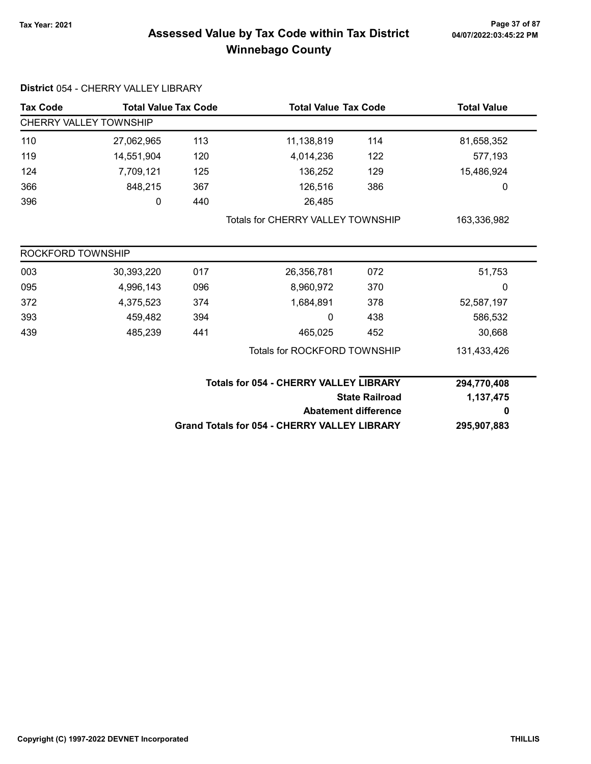### 7ax Year: 2021 Page 37 of 87<br>Assessed Value by Tax Code within Tax District 04/07/2022:03:45:22 PM Winnebago County

| <b>Tax Code</b>               | <b>Total Value Tax Code</b>              |     | <b>Total Value Tax Code</b>                         |                             | <b>Total Value</b> |  |  |
|-------------------------------|------------------------------------------|-----|-----------------------------------------------------|-----------------------------|--------------------|--|--|
| <b>CHERRY VALLEY TOWNSHIP</b> |                                          |     |                                                     |                             |                    |  |  |
| 110                           | 27,062,965                               | 113 | 11,138,819                                          | 114                         | 81,658,352         |  |  |
| 119                           | 14,551,904                               | 120 | 4,014,236                                           | 122                         | 577,193            |  |  |
| 124                           | 7,709,121                                | 125 | 136,252                                             | 129                         | 15,486,924         |  |  |
| 366                           | 848,215                                  | 367 | 126,516                                             | 386                         | 0                  |  |  |
| 396                           | 0                                        | 440 | 26,485                                              |                             |                    |  |  |
|                               | <b>Totals for CHERRY VALLEY TOWNSHIP</b> |     |                                                     | 163,336,982                 |                    |  |  |
| ROCKFORD TOWNSHIP             |                                          |     |                                                     |                             |                    |  |  |
| 003                           | 30,393,220                               | 017 | 26,356,781                                          | 072                         | 51,753             |  |  |
| 095                           | 4,996,143                                | 096 | 8,960,972                                           | 370                         | 0                  |  |  |
| 372                           | 4,375,523                                | 374 | 1,684,891                                           | 378                         | 52,587,197         |  |  |
| 393                           | 459,482                                  | 394 | 0                                                   | 438                         | 586,532            |  |  |
| 439                           | 485,239                                  | 441 | 465,025                                             | 452                         | 30,668             |  |  |
|                               |                                          |     | <b>Totals for ROCKFORD TOWNSHIP</b>                 |                             | 131,433,426        |  |  |
|                               |                                          |     | <b>Totals for 054 - CHERRY VALLEY LIBRARY</b>       |                             | 294,770,408        |  |  |
|                               |                                          |     |                                                     | <b>State Railroad</b>       | 1,137,475          |  |  |
|                               |                                          |     |                                                     | <b>Abatement difference</b> | 0                  |  |  |
|                               |                                          |     | <b>Grand Totals for 054 - CHERRY VALLEY LIBRARY</b> | 295,907,883                 |                    |  |  |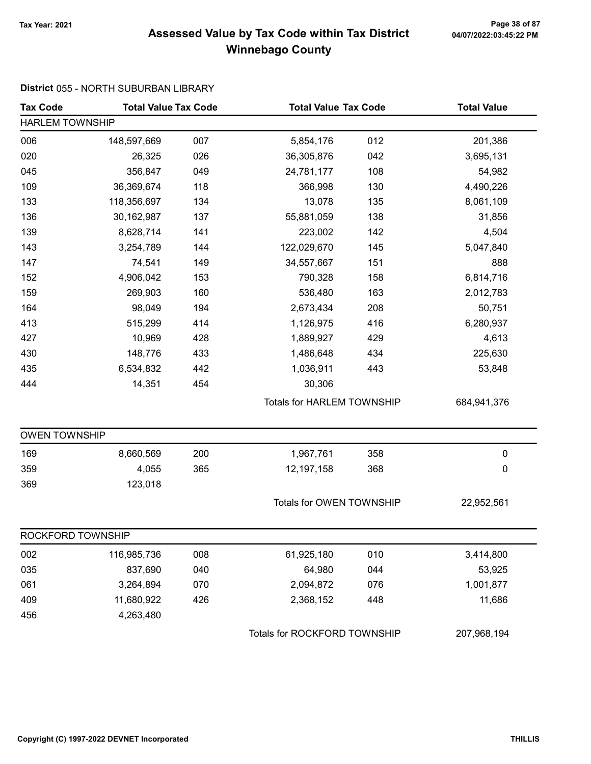### Tax Year: 2021 Page 38 of 87 Assessed Value by Tax Code within Tax District Winnebago County

#### District 055 - NORTH SUBURBAN LIBRARY

| <b>Tax Code</b>        | <b>Total Value Tax Code</b> |     | <b>Total Value Tax Code</b>  |     | <b>Total Value</b> |  |
|------------------------|-----------------------------|-----|------------------------------|-----|--------------------|--|
| <b>HARLEM TOWNSHIP</b> |                             |     |                              |     |                    |  |
| 006                    | 148,597,669                 | 007 | 5,854,176                    | 012 | 201,386            |  |
| 020                    | 26,325                      | 026 | 36,305,876                   | 042 | 3,695,131          |  |
| 045                    | 356,847                     | 049 | 24,781,177                   | 108 | 54,982             |  |
| 109                    | 36,369,674                  | 118 | 366,998                      | 130 | 4,490,226          |  |
| 133                    | 118,356,697                 | 134 | 13,078                       | 135 | 8,061,109          |  |
| 136                    | 30,162,987                  | 137 | 55,881,059                   | 138 | 31,856             |  |
| 139                    | 8,628,714                   | 141 | 223,002                      | 142 | 4,504              |  |
| 143                    | 3,254,789                   | 144 | 122,029,670                  | 145 | 5,047,840          |  |
| 147                    | 74,541                      | 149 | 34,557,667                   | 151 | 888                |  |
| 152                    | 4,906,042                   | 153 | 790,328                      | 158 | 6,814,716          |  |
| 159                    | 269,903                     | 160 | 536,480                      | 163 | 2,012,783          |  |
| 164                    | 98,049                      | 194 | 2,673,434                    | 208 | 50,751             |  |
| 413                    | 515,299                     | 414 | 1,126,975                    | 416 | 6,280,937          |  |
| 427                    | 10,969                      | 428 | 1,889,927                    | 429 | 4,613              |  |
| 430                    | 148,776                     | 433 | 1,486,648                    | 434 | 225,630            |  |
| 435                    | 6,534,832                   | 442 | 1,036,911                    | 443 | 53,848             |  |
| 444                    | 14,351                      | 454 | 30,306                       |     |                    |  |
|                        |                             |     | Totals for HARLEM TOWNSHIP   |     | 684,941,376        |  |
| <b>OWEN TOWNSHIP</b>   |                             |     |                              |     |                    |  |
| 169                    | 8,660,569                   | 200 | 1,967,761                    | 358 | $\pmb{0}$          |  |
| 359                    | 4,055                       | 365 | 12,197,158                   | 368 | 0                  |  |
| 369                    | 123,018                     |     |                              |     |                    |  |
|                        |                             |     | Totals for OWEN TOWNSHIP     |     | 22,952,561         |  |
| ROCKFORD TOWNSHIP      |                             |     |                              |     |                    |  |
| 002                    | 116,985,736                 | 008 | 61,925,180                   | 010 | 3,414,800          |  |
| 035                    | 837,690                     | 040 | 64,980                       | 044 | 53,925             |  |
| 061                    | 3,264,894                   | 070 | 2,094,872                    | 076 | 1,001,877          |  |
| 409                    | 11,680,922                  | 426 | 2,368,152                    | 448 | 11,686             |  |
| 456                    | 4,263,480                   |     |                              |     |                    |  |
|                        |                             |     | Totals for ROCKFORD TOWNSHIP |     | 207,968,194        |  |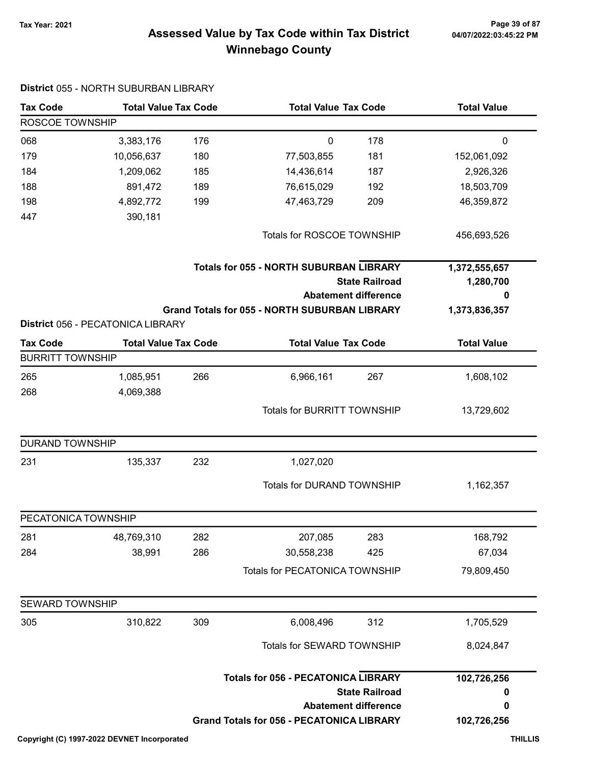### Tax Year: 2021 Page 39 of 87 Assessed Value by Tax Code within Tax District Winnebago County

| <b>Tax Code</b>         | <b>Total Value Tax Code</b><br><b>Total Value Tax Code</b> |     | <b>Total Value</b>                                   |                                                      |                                 |
|-------------------------|------------------------------------------------------------|-----|------------------------------------------------------|------------------------------------------------------|---------------------------------|
| ROSCOE TOWNSHIP         |                                                            |     |                                                      |                                                      |                                 |
| 068                     | 3,383,176                                                  | 176 | 0                                                    | 178                                                  | $\mathbf 0$                     |
| 179                     | 10,056,637                                                 | 180 | 77,503,855                                           | 181                                                  | 152,061,092                     |
| 184                     | 1,209,062                                                  | 185 | 14,436,614                                           | 187                                                  | 2,926,326                       |
| 188                     | 891,472                                                    | 189 | 76,615,029                                           | 192                                                  | 18,503,709                      |
| 198                     | 4,892,772                                                  | 199 | 47,463,729                                           | 209                                                  | 46,359,872                      |
| 447                     | 390,181                                                    |     |                                                      |                                                      |                                 |
|                         |                                                            |     | Totals for ROSCOE TOWNSHIP                           |                                                      | 456,693,526                     |
|                         |                                                            |     | <b>Totals for 055 - NORTH SUBURBAN LIBRARY</b>       | <b>State Railroad</b><br><b>Abatement difference</b> | 1,372,555,657<br>1,280,700<br>0 |
|                         |                                                            |     | <b>Grand Totals for 055 - NORTH SUBURBAN LIBRARY</b> |                                                      | 1,373,836,357                   |
|                         | District 056 - PECATONICA LIBRARY                          |     |                                                      |                                                      |                                 |
| <b>Tax Code</b>         | <b>Total Value Tax Code</b>                                |     | <b>Total Value Tax Code</b>                          |                                                      | <b>Total Value</b>              |
| <b>BURRITT TOWNSHIP</b> |                                                            |     |                                                      |                                                      |                                 |
| 265                     | 1,085,951                                                  | 266 | 6,966,161                                            | 267                                                  | 1,608,102                       |
| 268                     | 4,069,388                                                  |     |                                                      |                                                      |                                 |
|                         |                                                            |     | <b>Totals for BURRITT TOWNSHIP</b>                   |                                                      | 13,729,602                      |
| <b>DURAND TOWNSHIP</b>  |                                                            |     |                                                      |                                                      |                                 |
| 231                     | 135,337                                                    | 232 | 1,027,020                                            |                                                      |                                 |
|                         |                                                            |     | Totals for DURAND TOWNSHIP                           |                                                      | 1,162,357                       |
| PECATONICA TOWNSHIP     |                                                            |     |                                                      |                                                      |                                 |
| 281                     | 48,769,310                                                 | 282 | 207,085                                              | 283                                                  | 168,792                         |
| 284                     | 38,991                                                     | 286 | 30,558,238                                           | 425                                                  | 67,034                          |
|                         |                                                            |     | Totals for PECATONICA TOWNSHIP                       |                                                      | 79,809,450                      |
| <b>SEWARD TOWNSHIP</b>  |                                                            |     |                                                      |                                                      |                                 |
| 305                     | 310,822                                                    | 309 | 6,008,496                                            | 312                                                  | 1,705,529                       |
|                         |                                                            |     | Totals for SEWARD TOWNSHIP                           |                                                      | 8,024,847                       |
|                         |                                                            |     | <b>Totals for 056 - PECATONICA LIBRARY</b>           | <b>State Railroad</b><br><b>Abatement difference</b> | 102,726,256<br>0<br>0           |
|                         |                                                            |     | <b>Grand Totals for 056 - PECATONICA LIBRARY</b>     |                                                      | 102,726,256                     |

#### District 055 - NORTH SUBURBAN LIBRARY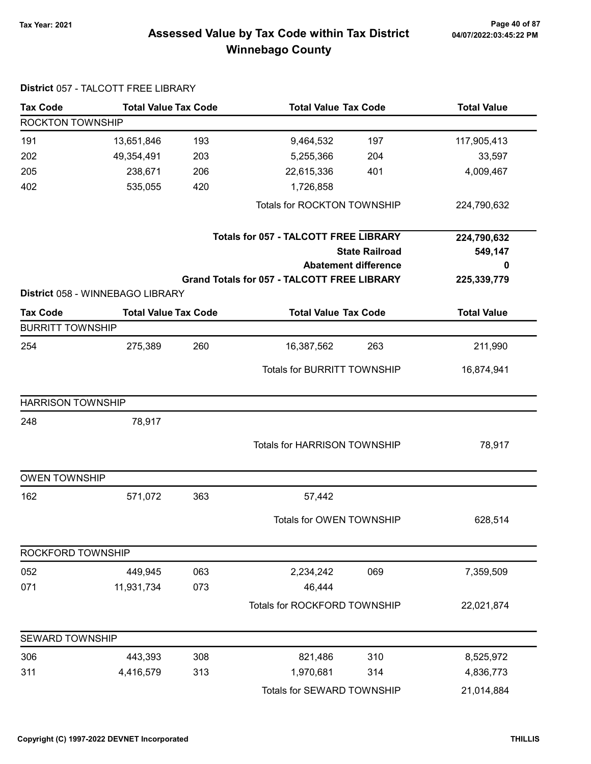### 7ax Year: 2021 Page 40 of 87<br>Assessed Value by Tax Code within Tax District 04/07/2022:03:45:22 PM Winnebago County

| <b>Tax Code</b>          | <b>Total Value Tax Code</b>                                     |     |                                                    | <b>Total Value Tax Code</b> |                    |
|--------------------------|-----------------------------------------------------------------|-----|----------------------------------------------------|-----------------------------|--------------------|
| ROCKTON TOWNSHIP         |                                                                 |     |                                                    |                             |                    |
| 191                      | 13,651,846                                                      | 193 | 9,464,532                                          | 197                         | 117,905,413        |
| 202                      | 49,354,491                                                      | 203 | 5,255,366                                          | 204                         | 33,597             |
| 205                      | 238,671                                                         | 206 | 22,615,336                                         | 401                         | 4,009,467          |
| 402                      | 535,055                                                         | 420 | 1,726,858                                          |                             |                    |
|                          |                                                                 |     | Totals for ROCKTON TOWNSHIP                        |                             | 224,790,632        |
|                          |                                                                 |     | <b>Totals for 057 - TALCOTT FREE LIBRARY</b>       |                             | 224,790,632        |
|                          |                                                                 |     |                                                    | <b>State Railroad</b>       | 549,147            |
|                          |                                                                 |     |                                                    | <b>Abatement difference</b> | 0                  |
|                          |                                                                 |     | <b>Grand Totals for 057 - TALCOTT FREE LIBRARY</b> |                             | 225,339,779        |
| <b>Tax Code</b>          | District 058 - WINNEBAGO LIBRARY<br><b>Total Value Tax Code</b> |     | <b>Total Value Tax Code</b>                        |                             | <b>Total Value</b> |
| <b>BURRITT TOWNSHIP</b>  |                                                                 |     |                                                    |                             |                    |
| 254                      | 275,389                                                         | 260 | 16,387,562                                         | 263                         | 211,990            |
|                          |                                                                 |     |                                                    |                             |                    |
|                          |                                                                 |     | <b>Totals for BURRITT TOWNSHIP</b>                 |                             | 16,874,941         |
| <b>HARRISON TOWNSHIP</b> |                                                                 |     |                                                    |                             |                    |
| 248                      | 78,917                                                          |     |                                                    |                             |                    |
|                          |                                                                 |     | Totals for HARRISON TOWNSHIP                       |                             | 78,917             |
| <b>OWEN TOWNSHIP</b>     |                                                                 |     |                                                    |                             |                    |
| 162                      | 571,072                                                         | 363 | 57,442                                             |                             |                    |
|                          |                                                                 |     | Totals for OWEN TOWNSHIP                           |                             | 628,514            |
| ROCKFORD TOWNSHIP        |                                                                 |     |                                                    |                             |                    |
| 052                      | 449,945                                                         | 063 | 2,234,242                                          | 069                         | 7,359,509          |
| 071                      | 11,931,734                                                      | 073 | 46,444                                             |                             |                    |
|                          |                                                                 |     | Totals for ROCKFORD TOWNSHIP                       |                             | 22,021,874         |
| SEWARD TOWNSHIP          |                                                                 |     |                                                    |                             |                    |
| 306                      | 443,393                                                         | 308 | 821,486                                            | 310                         | 8,525,972          |
| 311                      | 4,416,579                                                       | 313 | 1,970,681                                          | 314                         | 4,836,773          |
|                          |                                                                 |     | Totals for SEWARD TOWNSHIP                         |                             | 21,014,884         |

#### District 057 - TALCOTT FREE LIBRARY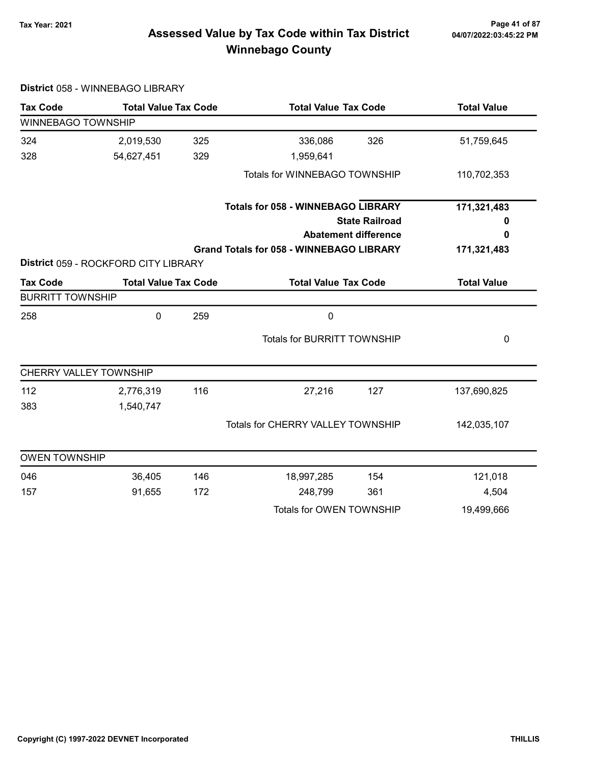# 04/07/2022:03:45:22 PM

### 7ax Year: 2021 Page 41 of 87<br>Assessed Value by Tax Code within Tax District 04/07/2022:03:45:22 PM Winnebago County

| <b>Tax Code</b>         | <b>Total Value Tax Code</b>          |     | <b>Total Value Tax Code</b>                     |                                    | <b>Total Value</b> |  |
|-------------------------|--------------------------------------|-----|-------------------------------------------------|------------------------------------|--------------------|--|
| WINNEBAGO TOWNSHIP      |                                      |     |                                                 |                                    |                    |  |
| 324                     | 2,019,530                            | 325 | 336,086                                         | 326                                | 51,759,645         |  |
| 328                     | 54,627,451                           | 329 | 1,959,641                                       |                                    |                    |  |
|                         |                                      |     | Totals for WINNEBAGO TOWNSHIP                   |                                    | 110,702,353        |  |
|                         |                                      |     | <b>Totals for 058 - WINNEBAGO LIBRARY</b>       |                                    | 171,321,483        |  |
|                         |                                      |     |                                                 | <b>State Railroad</b>              | 0                  |  |
|                         |                                      |     |                                                 | <b>Abatement difference</b>        | 0                  |  |
|                         |                                      |     | <b>Grand Totals for 058 - WINNEBAGO LIBRARY</b> |                                    | 171,321,483        |  |
|                         | District 059 - ROCKFORD CITY LIBRARY |     |                                                 |                                    |                    |  |
| <b>Tax Code</b>         | <b>Total Value Tax Code</b>          |     | <b>Total Value Tax Code</b>                     |                                    | <b>Total Value</b> |  |
| <b>BURRITT TOWNSHIP</b> |                                      |     |                                                 |                                    |                    |  |
| 258                     | 0                                    | 259 | $\mathbf 0$                                     |                                    |                    |  |
|                         |                                      |     |                                                 | <b>Totals for BURRITT TOWNSHIP</b> |                    |  |
|                         | CHERRY VALLEY TOWNSHIP               |     |                                                 |                                    |                    |  |
| 112                     | 2,776,319                            | 116 | 27,216                                          | 127                                | 137,690,825        |  |
| 383                     | 1,540,747                            |     |                                                 |                                    |                    |  |
|                         |                                      |     | Totals for CHERRY VALLEY TOWNSHIP               |                                    | 142,035,107        |  |
| <b>OWEN TOWNSHIP</b>    |                                      |     |                                                 |                                    |                    |  |
| 046                     | 36,405                               | 146 | 18,997,285                                      | 154                                | 121,018            |  |
| 157                     | 91,655                               | 172 | 248,799                                         | 361                                | 4,504              |  |
|                         |                                      |     | Totals for OWEN TOWNSHIP                        |                                    | 19,499,666         |  |

#### District 058 - WINNEBAGO LIBRARY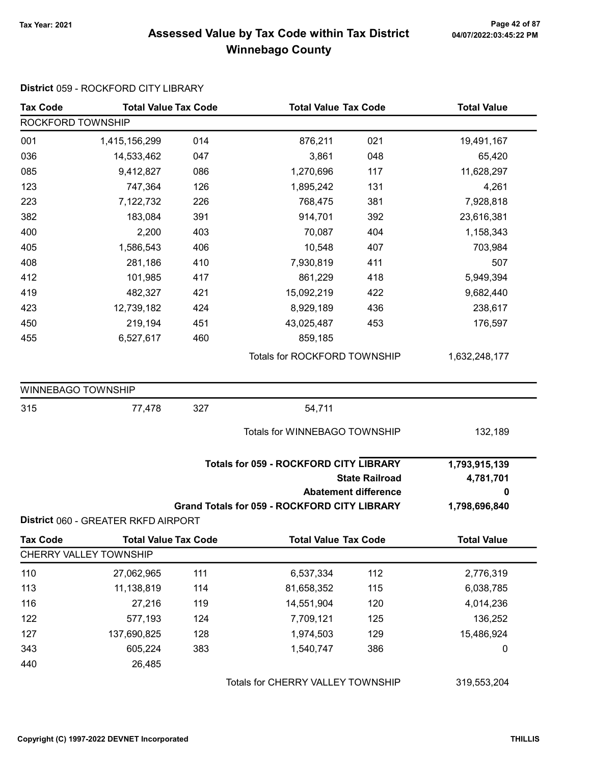### 7ax Year: 2021 Page 42 of 87<br>Assessed Value by Tax Code within Tax District 04/07/2022:03:45:22 PM Winnebago County

| <b>Tax Code</b>           | <b>Total Value Tax Code</b>         |     | <b>Total Value Tax Code</b>                         |                                                      | <b>Total Value</b>              |
|---------------------------|-------------------------------------|-----|-----------------------------------------------------|------------------------------------------------------|---------------------------------|
| ROCKFORD TOWNSHIP         |                                     |     |                                                     |                                                      |                                 |
| 001                       | 1,415,156,299                       | 014 | 876,211                                             | 021                                                  | 19,491,167                      |
| 036                       | 14,533,462                          | 047 | 3,861                                               | 048                                                  | 65,420                          |
| 085                       | 9,412,827                           | 086 | 1,270,696                                           | 117                                                  | 11,628,297                      |
| 123                       | 747,364                             | 126 | 1,895,242                                           | 131                                                  | 4,261                           |
| 223                       | 7,122,732                           | 226 | 768,475                                             | 381                                                  | 7,928,818                       |
| 382                       | 183,084                             | 391 | 914,701                                             | 392                                                  | 23,616,381                      |
| 400                       | 2,200                               | 403 | 70,087                                              | 404                                                  | 1,158,343                       |
| 405                       | 1,586,543                           | 406 | 10,548                                              | 407                                                  | 703,984                         |
| 408                       | 281,186                             | 410 | 7,930,819                                           | 411                                                  | 507                             |
| 412                       | 101,985                             | 417 | 861,229                                             | 418                                                  | 5,949,394                       |
| 419                       | 482,327                             | 421 | 15,092,219                                          | 422                                                  | 9,682,440                       |
| 423                       | 12,739,182                          | 424 | 8,929,189                                           | 436                                                  | 238,617                         |
| 450                       | 219,194                             | 451 | 43,025,487                                          | 453                                                  | 176,597                         |
| 455                       | 6,527,617                           | 460 | 859,185                                             |                                                      |                                 |
|                           |                                     |     | Totals for ROCKFORD TOWNSHIP                        |                                                      | 1,632,248,177                   |
| <b>WINNEBAGO TOWNSHIP</b> |                                     |     |                                                     |                                                      |                                 |
| 315                       | 77,478                              | 327 | 54,711                                              |                                                      |                                 |
|                           |                                     |     | Totals for WINNEBAGO TOWNSHIP                       |                                                      | 132,189                         |
|                           |                                     |     | <b>Totals for 059 - ROCKFORD CITY LIBRARY</b>       | <b>State Railroad</b><br><b>Abatement difference</b> | 1,793,915,139<br>4,781,701<br>0 |
|                           |                                     |     | <b>Grand Totals for 059 - ROCKFORD CITY LIBRARY</b> |                                                      | 1,798,696,840                   |
|                           | District 060 - GREATER RKFD AIRPORT |     |                                                     |                                                      |                                 |
| <b>Tax Code</b>           | <b>Total Value Tax Code</b>         |     | <b>Total Value Tax Code</b>                         |                                                      | <b>Total Value</b>              |
|                           | CHERRY VALLEY TOWNSHIP              |     |                                                     |                                                      |                                 |
| 110                       | 27,062,965                          | 111 | 6,537,334                                           | 112                                                  | 2,776,319                       |
| 113                       | 11,138,819                          | 114 | 81,658,352                                          | 115                                                  | 6,038,785                       |
| 116                       | 27,216                              | 119 | 14,551,904                                          | 120                                                  | 4,014,236                       |
| 122                       | 577,193                             | 124 | 7,709,121                                           | 125                                                  | 136,252                         |
| 127                       | 137,690,825                         | 128 | 1,974,503                                           | 129                                                  | 15,486,924                      |
| 343                       | 605,224                             | 383 | 1,540,747                                           | 386                                                  | 0                               |
| 440                       | 26,485                              |     |                                                     |                                                      |                                 |
|                           |                                     |     | Totals for CHERRY VALLEY TOWNSHIP                   |                                                      | 319,553,204                     |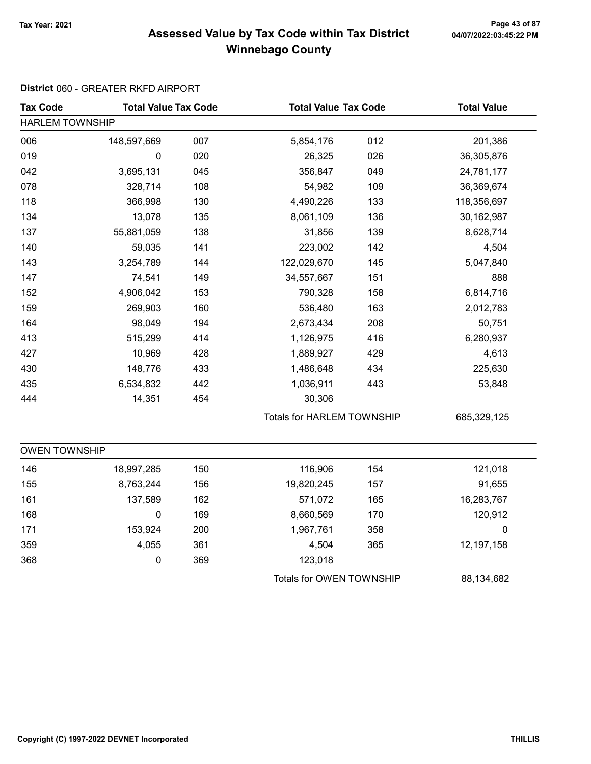### Tax Year: 2021 Page 43 of 87 Assessed Value by Tax Code within Tax District Winnebago County

#### District 060 - GREATER RKFD AIRPORT

| <b>Tax Code</b>        | <b>Total Value Tax Code</b> |     | <b>Total Value Tax Code</b>       |     | <b>Total Value</b> |  |  |
|------------------------|-----------------------------|-----|-----------------------------------|-----|--------------------|--|--|
| <b>HARLEM TOWNSHIP</b> |                             |     |                                   |     |                    |  |  |
| 006                    | 148,597,669                 | 007 | 5,854,176                         | 012 | 201,386            |  |  |
| 019                    | 0                           | 020 | 26,325                            | 026 | 36,305,876         |  |  |
| 042                    | 3,695,131                   | 045 | 356,847                           | 049 | 24,781,177         |  |  |
| 078                    | 328,714                     | 108 | 54,982                            | 109 | 36,369,674         |  |  |
| 118                    | 366,998                     | 130 | 4,490,226                         | 133 | 118,356,697        |  |  |
| 134                    | 13,078                      | 135 | 8,061,109                         | 136 | 30,162,987         |  |  |
| 137                    | 55,881,059                  | 138 | 31,856                            | 139 | 8,628,714          |  |  |
| 140                    | 59,035                      | 141 | 223,002                           | 142 | 4,504              |  |  |
| 143                    | 3,254,789                   | 144 | 122,029,670                       | 145 | 5,047,840          |  |  |
| 147                    | 74,541                      | 149 | 34,557,667                        | 151 | 888                |  |  |
| 152                    | 4,906,042                   | 153 | 790,328                           | 158 | 6,814,716          |  |  |
| 159                    | 269,903                     | 160 | 536,480                           | 163 | 2,012,783          |  |  |
| 164                    | 98,049                      | 194 | 2,673,434                         | 208 | 50,751             |  |  |
| 413                    | 515,299                     | 414 | 1,126,975                         | 416 | 6,280,937          |  |  |
| 427                    | 10,969                      | 428 | 1,889,927                         | 429 | 4,613              |  |  |
| 430                    | 148,776                     | 433 | 1,486,648                         | 434 | 225,630            |  |  |
| 435                    | 6,534,832                   | 442 | 1,036,911                         | 443 | 53,848             |  |  |
| 444                    | 14,351                      | 454 | 30,306                            |     |                    |  |  |
|                        |                             |     | <b>Totals for HARLEM TOWNSHIP</b> |     | 685,329,125        |  |  |
| <b>OWEN TOWNSHIP</b>   |                             |     |                                   |     |                    |  |  |
| 146                    | 18,997,285                  | 150 | 116,906                           | 154 | 121,018            |  |  |
| 155                    | 8,763,244                   | 156 | 19,820,245                        | 157 | 91,655             |  |  |
| 161                    | 137,589                     | 162 | 571,072                           | 165 | 16,283,767         |  |  |
| 168                    | 0                           | 169 | 8,660,569                         | 170 | 120,912            |  |  |
| 171                    | 153,924                     | 200 | 1,967,761                         | 358 | 0                  |  |  |
| 359                    | 4,055                       | 361 | 4,504                             | 365 | 12,197,158         |  |  |
| 368                    | 0                           | 369 | 123,018                           |     |                    |  |  |
|                        |                             |     | Totals for OWEN TOWNSHIP          |     | 88,134,682         |  |  |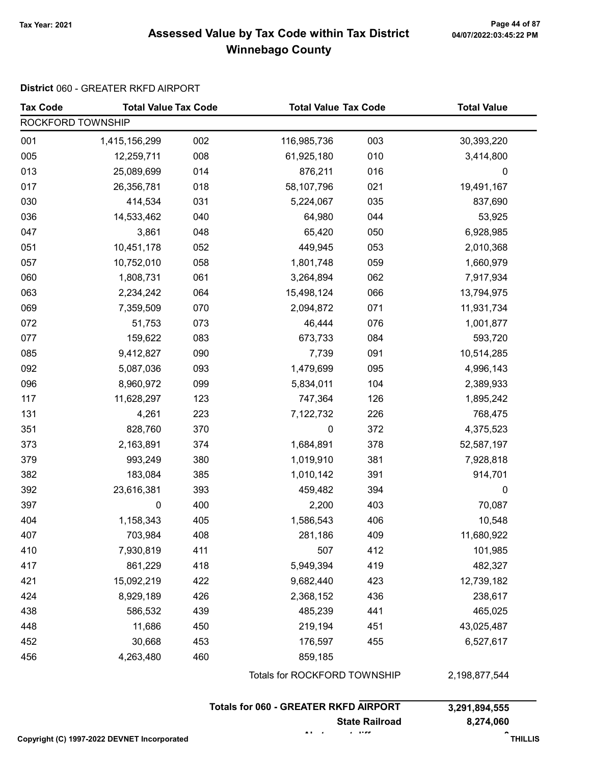### 7ax Year: 2021 Page 44 of 87<br>Assessed Value by Tax Code within Tax District 04/07/2022:03:45:22 PM Winnebago County

#### District 060 - GREATER RKFD AIRPORT

| <b>Tax Code</b>   | <b>Total Value Tax Code</b> |     | <b>Total Value Tax Code</b>                  |                       | <b>Total Value</b> |
|-------------------|-----------------------------|-----|----------------------------------------------|-----------------------|--------------------|
| ROCKFORD TOWNSHIP |                             |     |                                              |                       |                    |
| 001               | 1,415,156,299               | 002 | 116,985,736                                  | 003                   | 30,393,220         |
| 005               | 12,259,711                  | 008 | 61,925,180                                   | 010                   | 3,414,800          |
| 013               | 25,089,699                  | 014 | 876,211                                      | 016                   | $\mathbf 0$        |
| 017               | 26,356,781                  | 018 | 58,107,796                                   | 021                   | 19,491,167         |
| 030               | 414,534                     | 031 | 5,224,067                                    | 035                   | 837,690            |
| 036               | 14,533,462                  | 040 | 64,980                                       | 044                   | 53,925             |
| 047               | 3,861                       | 048 | 65,420                                       | 050                   | 6,928,985          |
| 051               | 10,451,178                  | 052 | 449,945                                      | 053                   | 2,010,368          |
| 057               | 10,752,010                  | 058 | 1,801,748                                    | 059                   | 1,660,979          |
| 060               | 1,808,731                   | 061 | 3,264,894                                    | 062                   | 7,917,934          |
| 063               | 2,234,242                   | 064 | 15,498,124                                   | 066                   | 13,794,975         |
| 069               | 7,359,509                   | 070 | 2,094,872                                    | 071                   | 11,931,734         |
| 072               | 51,753                      | 073 | 46,444                                       | 076                   | 1,001,877          |
| 077               | 159,622                     | 083 | 673,733                                      | 084                   | 593,720            |
| 085               | 9,412,827                   | 090 | 7,739                                        | 091                   | 10,514,285         |
| 092               | 5,087,036                   | 093 | 1,479,699                                    | 095                   | 4,996,143          |
| 096               | 8,960,972                   | 099 | 5,834,011                                    | 104                   | 2,389,933          |
| 117               | 11,628,297                  | 123 | 747,364                                      | 126                   | 1,895,242          |
| 131               | 4,261                       | 223 | 7,122,732                                    | 226                   | 768,475            |
| 351               | 828,760                     | 370 | 0                                            | 372                   | 4,375,523          |
| 373               | 2,163,891                   | 374 | 1,684,891                                    | 378                   | 52,587,197         |
| 379               | 993,249                     | 380 | 1,019,910                                    | 381                   | 7,928,818          |
| 382               | 183,084                     | 385 | 1,010,142                                    | 391                   | 914,701            |
| 392               | 23,616,381                  | 393 | 459,482                                      | 394                   | 0                  |
| 397               | $\pmb{0}$                   | 400 | 2,200                                        | 403                   | 70,087             |
| 404               | 1,158,343                   | 405 | 1,586,543                                    | 406                   | 10,548             |
| 407               | 703,984                     | 408 | 281,186                                      | 409                   | 11,680,922         |
| 410               | 7,930,819                   | 411 | 507                                          | 412                   | 101,985            |
| 417               | 861,229                     | 418 | 5,949,394                                    | 419                   | 482,327            |
| 421               | 15,092,219                  | 422 | 9,682,440                                    | 423                   | 12,739,182         |
| 424               | 8,929,189                   | 426 | 2,368,152                                    | 436                   | 238,617            |
| 438               | 586,532                     | 439 | 485,239                                      | 441                   | 465,025            |
| 448               | 11,686                      | 450 | 219,194                                      | 451                   | 43,025,487         |
| 452               | 30,668                      | 453 | 176,597                                      | 455                   | 6,527,617          |
| 456               | 4,263,480                   | 460 | 859,185                                      |                       |                    |
|                   |                             |     | Totals for ROCKFORD TOWNSHIP                 |                       | 2,198,877,544      |
|                   |                             |     | <b>Totals for 060 - GREATER RKFD AIRPORT</b> |                       | 3,291,894,555      |
|                   |                             |     |                                              | <b>State Railroad</b> | 8,274,060          |

Opyright (C) 1997-2022 DEVNET Incorporated The Context of Context of Context of Context of THILLIS

Abatement difference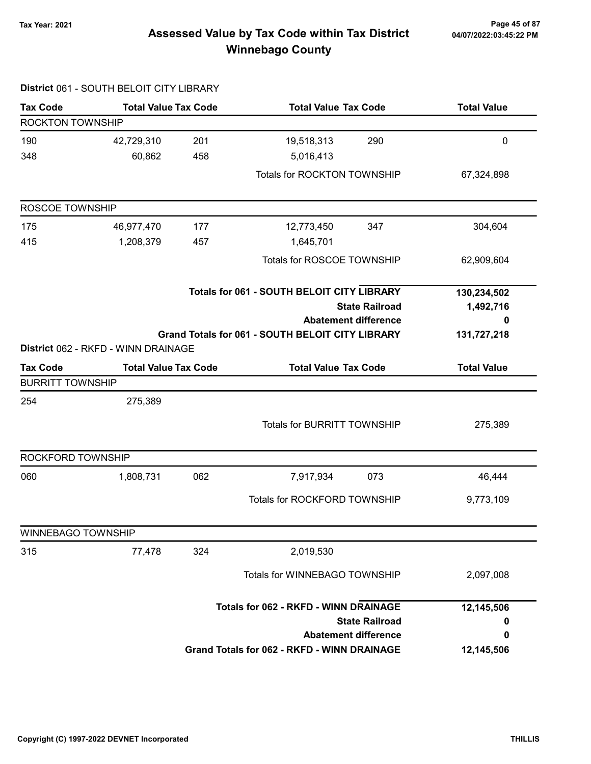### 7ax Year: 2021 Page 45 of 87<br>Assessed Value by Tax Code within Tax District 04/07/2022:03:45:22 PM Winnebago County

|                           | District 061 - SOUTH BELOIT CITY LIBRARY |     |                                                         |                       |                    |
|---------------------------|------------------------------------------|-----|---------------------------------------------------------|-----------------------|--------------------|
| <b>Tax Code</b>           | <b>Total Value Tax Code</b>              |     | <b>Total Value Tax Code</b>                             |                       | <b>Total Value</b> |
| ROCKTON TOWNSHIP          |                                          |     |                                                         |                       |                    |
| 190                       | 42,729,310                               | 201 | 19,518,313                                              | 290                   | $\mathbf 0$        |
| 348                       | 60,862                                   | 458 | 5,016,413                                               |                       |                    |
|                           |                                          |     | Totals for ROCKTON TOWNSHIP                             |                       | 67,324,898         |
| ROSCOE TOWNSHIP           |                                          |     |                                                         |                       |                    |
| 175                       | 46,977,470                               | 177 | 12,773,450                                              | 347                   | 304,604            |
| 415                       | 1,208,379                                | 457 | 1,645,701                                               |                       |                    |
|                           |                                          |     | Totals for ROSCOE TOWNSHIP                              |                       | 62,909,604         |
|                           |                                          |     | <b>Totals for 061 - SOUTH BELOIT CITY LIBRARY</b>       |                       | 130,234,502        |
|                           |                                          |     |                                                         | <b>State Railroad</b> | 1,492,716          |
|                           |                                          |     | <b>Abatement difference</b>                             |                       | 0                  |
|                           | District 062 - RKFD - WINN DRAINAGE      |     | <b>Grand Totals for 061 - SOUTH BELOIT CITY LIBRARY</b> |                       | 131,727,218        |
| <b>Tax Code</b>           | <b>Total Value Tax Code</b>              |     | <b>Total Value Tax Code</b>                             |                       | <b>Total Value</b> |
| <b>BURRITT TOWNSHIP</b>   |                                          |     |                                                         |                       |                    |
| 254                       | 275,389                                  |     |                                                         |                       |                    |
|                           |                                          |     | <b>Totals for BURRITT TOWNSHIP</b>                      |                       | 275,389            |
|                           |                                          |     |                                                         |                       |                    |
| ROCKFORD TOWNSHIP         |                                          |     |                                                         |                       |                    |
| 060                       | 1,808,731                                | 062 | 7,917,934                                               | 073                   | 46,444             |
|                           |                                          |     | Totals for ROCKFORD TOWNSHIP                            |                       | 9,773,109          |
| <b>WINNEBAGO TOWNSHIP</b> |                                          |     |                                                         |                       |                    |
| 315                       | 77,478                                   | 324 | 2,019,530                                               |                       |                    |
|                           |                                          |     | Totals for WINNEBAGO TOWNSHIP                           |                       | 2,097,008          |
|                           |                                          |     | <b>Totals for 062 - RKFD - WINN DRAINAGE</b>            |                       | 12,145,506         |
|                           |                                          |     |                                                         | <b>State Railroad</b> | 0                  |
|                           |                                          |     | <b>Abatement difference</b>                             |                       | 0                  |
|                           |                                          |     | <b>Grand Totals for 062 - RKFD - WINN DRAINAGE</b>      |                       | 12,145,506         |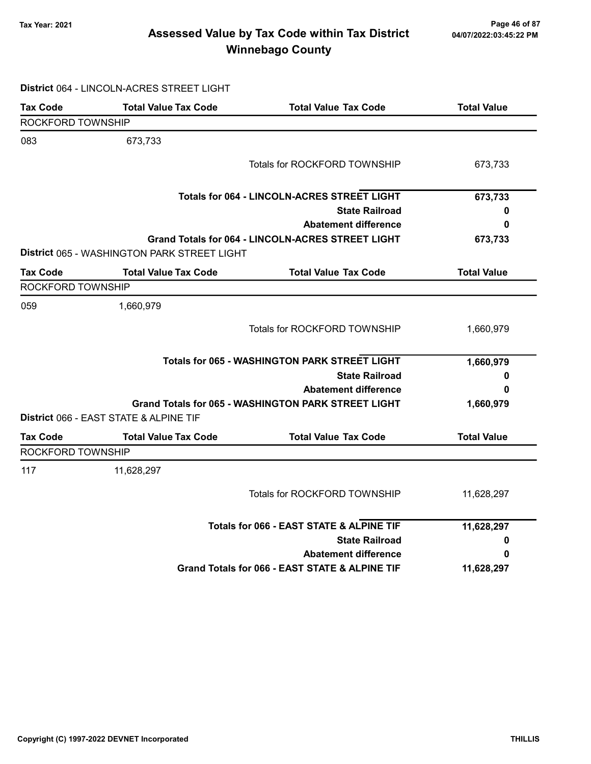### Tax Year: 2021 Page 46 of 87 Assessed Value by Tax Code within Tax District Winnebago County

|                   | District 064 - LINCOLN-ACRES STREET LIGHT   |                                                            |                    |
|-------------------|---------------------------------------------|------------------------------------------------------------|--------------------|
| <b>Tax Code</b>   | <b>Total Value Tax Code</b>                 | <b>Total Value Tax Code</b>                                | <b>Total Value</b> |
| ROCKFORD TOWNSHIP |                                             |                                                            |                    |
| 083               | 673,733                                     |                                                            |                    |
|                   |                                             | Totals for ROCKFORD TOWNSHIP                               | 673,733            |
|                   |                                             | <b>Totals for 064 - LINCOLN-ACRES STREET LIGHT</b>         | 673,733            |
|                   |                                             | <b>State Railroad</b>                                      | 0                  |
|                   |                                             | <b>Abatement difference</b>                                | 0                  |
|                   | District 065 - WASHINGTON PARK STREET LIGHT | Grand Totals for 064 - LINCOLN-ACRES STREET LIGHT          | 673,733            |
| <b>Tax Code</b>   | <b>Total Value Tax Code</b>                 | <b>Total Value Tax Code</b>                                | <b>Total Value</b> |
| ROCKFORD TOWNSHIP |                                             |                                                            |                    |
| 059               | 1,660,979                                   |                                                            |                    |
|                   |                                             | Totals for ROCKFORD TOWNSHIP                               | 1,660,979          |
|                   |                                             | <b>Totals for 065 - WASHINGTON PARK STREET LIGHT</b>       | 1,660,979          |
|                   |                                             | <b>State Railroad</b>                                      | 0                  |
|                   |                                             | <b>Abatement difference</b>                                | 0                  |
|                   | District 066 - EAST STATE & ALPINE TIF      | <b>Grand Totals for 065 - WASHINGTON PARK STREET LIGHT</b> | 1,660,979          |
| <b>Tax Code</b>   | <b>Total Value Tax Code</b>                 | <b>Total Value Tax Code</b>                                | <b>Total Value</b> |
| ROCKFORD TOWNSHIP |                                             |                                                            |                    |
| 117               | 11,628,297                                  |                                                            |                    |
|                   |                                             | Totals for ROCKFORD TOWNSHIP                               | 11,628,297         |
|                   |                                             | Totals for 066 - EAST STATE & ALPINE TIF                   | 11,628,297         |
|                   |                                             | <b>State Railroad</b>                                      | 0                  |
|                   |                                             | <b>Abatement difference</b>                                | 0                  |
|                   |                                             | Grand Totals for 066 - EAST STATE & ALPINE TIF             | 11,628,297         |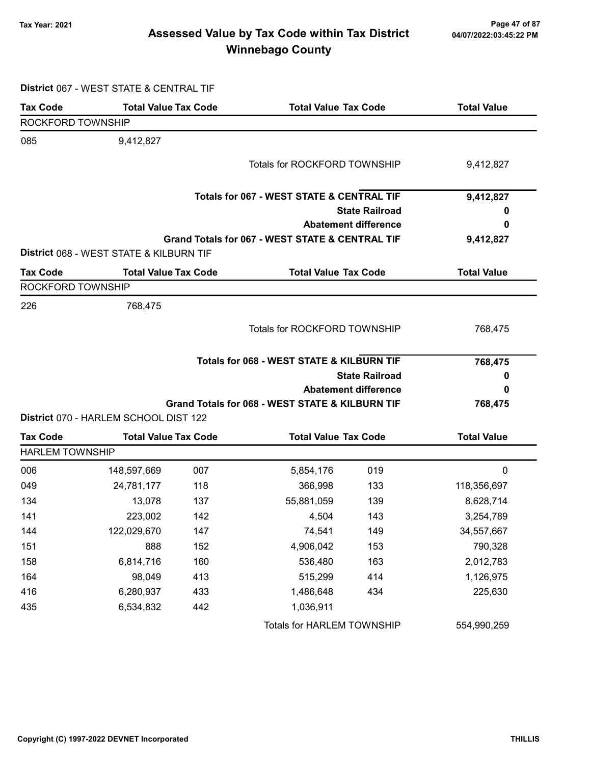### 7ax Year: 2021 Page 47 of 87<br>Assessed Value by Tax Code within Tax District 04/07/2022:03:45:22 PM Winnebago County

| District 067 - WEST STATE & CENTRAL TIF |  |  |  |  |  |  |  |
|-----------------------------------------|--|--|--|--|--|--|--|
|-----------------------------------------|--|--|--|--|--|--|--|

| <b>Tax Code</b>        | <b>Total Value Tax Code</b>             |                       | <b>Total Value Tax Code</b>                          |                             | <b>Total Value</b> |  |
|------------------------|-----------------------------------------|-----------------------|------------------------------------------------------|-----------------------------|--------------------|--|
| ROCKFORD TOWNSHIP      |                                         |                       |                                                      |                             |                    |  |
| 085                    | 9,412,827                               |                       |                                                      |                             |                    |  |
|                        |                                         |                       | Totals for ROCKFORD TOWNSHIP                         |                             | 9,412,827          |  |
|                        |                                         |                       |                                                      |                             |                    |  |
|                        |                                         |                       | <b>Totals for 067 - WEST STATE &amp; CENTRAL TIF</b> |                             | 9,412,827          |  |
|                        |                                         |                       |                                                      | <b>State Railroad</b>       | U                  |  |
|                        |                                         |                       |                                                      | <b>Abatement difference</b> | 0                  |  |
|                        |                                         |                       | Grand Totals for 067 - WEST STATE & CENTRAL TIF      |                             | 9,412,827          |  |
|                        | District 068 - WEST STATE & KILBURN TIF |                       |                                                      |                             |                    |  |
| <b>Tax Code</b>        | <b>Total Value Tax Code</b>             |                       | <b>Total Value Tax Code</b>                          |                             | <b>Total Value</b> |  |
| ROCKFORD TOWNSHIP      |                                         |                       |                                                      |                             |                    |  |
| 226                    | 768,475                                 |                       |                                                      |                             |                    |  |
|                        |                                         |                       | Totals for ROCKFORD TOWNSHIP                         |                             | 768,475            |  |
|                        |                                         |                       |                                                      |                             |                    |  |
|                        |                                         |                       | <b>Totals for 068 - WEST STATE &amp; KILBURN TIF</b> |                             | 768,475            |  |
|                        |                                         | <b>State Railroad</b> |                                                      |                             |                    |  |
|                        |                                         |                       |                                                      | <b>Abatement difference</b> | 0                  |  |
|                        |                                         |                       | Grand Totals for 068 - WEST STATE & KILBURN TIF      |                             | 768,475            |  |
|                        | District 070 - HARLEM SCHOOL DIST 122   |                       |                                                      |                             |                    |  |
| <b>Tax Code</b>        | <b>Total Value Tax Code</b>             |                       |                                                      | <b>Total Value Tax Code</b> |                    |  |
| <b>HARLEM TOWNSHIP</b> |                                         |                       |                                                      |                             |                    |  |
| 006                    | 148,597,669                             | 007                   | 5,854,176                                            | 019                         | $\mathbf{0}$       |  |
| 049                    | 24,781,177                              | 118                   | 366,998                                              | 133                         | 118,356,697        |  |
| 134                    | 13,078                                  | 137                   | 55,881,059                                           | 139                         | 8,628,714          |  |
| 141                    | 223,002                                 | 142                   | 4,504                                                | 143                         | 3,254,789          |  |
| 144                    | 122,029,670                             | 147                   | 74,541                                               | 149                         | 34,557,667         |  |
| 151                    | 888                                     | 152                   | 4,906,042                                            | 153                         | 790,328            |  |
| 158                    | 6,814,716                               | 160                   | 536,480                                              | 163                         | 2,012,783          |  |
| 164                    | 98,049                                  | 413                   | 515,299                                              | 414                         | 1,126,975          |  |
| 416                    | 6,280,937                               | 433                   | 1,486,648                                            | 434                         | 225,630            |  |
| 435                    | 6,534,832                               | 442                   | 1,036,911                                            |                             |                    |  |
|                        |                                         |                       | Totals for HARLEM TOWNSHIP                           |                             | 554,990,259        |  |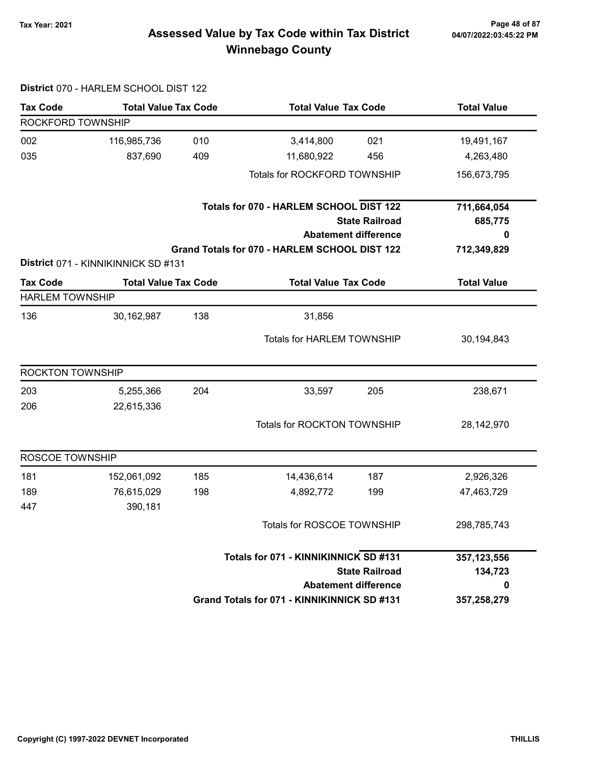# 04/07/2022:03:45:22 PM

### Tax Year: 2021 Page 48 of 87 Assessed Value by Tax Code within Tax District Winnebago County

### District 070 - HARLEM SCHOOL DIST 122 Tax Code Total Value Tax Code Total Value Tax Code Total Value ROCKFORD TOWNSHIP 002 116,985,736 010 3,414,800 021 19,491,167 035 837,690 409 11,680,922 456 4,263,480 Totals for ROCKFORD TOWNSHIP 156,673,795 State Railroad Totals for 070 - HARLEM SCHOOL DIST 122 Abatement difference Grand Totals for 070 - HARLEM SCHOOL DIST 122 711,664,054 685,775 0 712,349,829 District 071 - KINNIKINNICK SD #131 Tax Code Total Value Tax Code Total Value Tax Code Total Value Tax Code HARLEM TOWNSHIP 136 30,162,987 138 31,856 Totals for HARLEM TOWNSHIP 30,194,843 ROCKTON TOWNSHIP 203 5,255,366 33,597 204 205 238,671 206 22,615,336 Totals for ROCKTON TOWNSHIP 28,142,970 ROSCOE TOWNSHIP 181 152,061,092 185 14,436,614 187 2,926,326 189 76,615,029 198 4,892,772 199 47,463,729 447 390,181 Totals for ROSCOE TOWNSHIP 298,785,743 State Railroad Totals for 071 - KINNIKINNICK SD #131 Abatement difference Grand Totals for 071 - KINNIKINNICK SD #131 357,123,556 134,723 0 357,258,279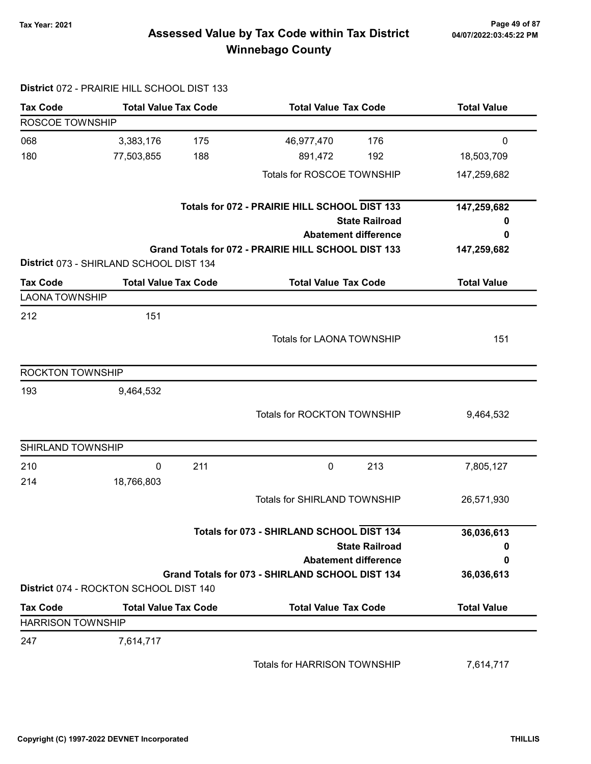# 04/07/2022:03:45:22 PM

### 7ax Year: 2021 Page 49 of 87<br>Assessed Value by Tax Code within Tax District 04/07/2022:03:45:22 PM Winnebago County

|                          | District 072 - PRAIRIE HILL SCHOOL DIST 133 |     |                                                     |                       |                    |
|--------------------------|---------------------------------------------|-----|-----------------------------------------------------|-----------------------|--------------------|
| <b>Tax Code</b>          | <b>Total Value Tax Code</b>                 |     | <b>Total Value Tax Code</b>                         |                       | <b>Total Value</b> |
| ROSCOE TOWNSHIP          |                                             |     |                                                     |                       |                    |
| 068                      | 3,383,176                                   | 175 | 46,977,470                                          | 176                   | $\mathbf 0$        |
| 180                      | 77,503,855                                  | 188 | 891,472                                             | 192                   | 18,503,709         |
|                          |                                             |     | Totals for ROSCOE TOWNSHIP                          |                       | 147,259,682        |
|                          |                                             |     | Totals for 072 - PRAIRIE HILL SCHOOL DIST 133       |                       | 147,259,682        |
|                          |                                             |     |                                                     | <b>State Railroad</b> | 0                  |
|                          |                                             |     | <b>Abatement difference</b>                         |                       | 0                  |
|                          | District 073 - SHIRLAND SCHOOL DIST 134     |     | Grand Totals for 072 - PRAIRIE HILL SCHOOL DIST 133 |                       | 147,259,682        |
| <b>Tax Code</b>          | <b>Total Value Tax Code</b>                 |     | <b>Total Value Tax Code</b>                         |                       | <b>Total Value</b> |
| <b>LAONA TOWNSHIP</b>    |                                             |     |                                                     |                       |                    |
| 212                      | 151                                         |     |                                                     |                       |                    |
|                          |                                             |     | Totals for LAONA TOWNSHIP                           |                       | 151                |
| <b>ROCKTON TOWNSHIP</b>  |                                             |     |                                                     |                       |                    |
| 193                      | 9,464,532                                   |     |                                                     |                       |                    |
|                          |                                             |     | Totals for ROCKTON TOWNSHIP                         |                       | 9,464,532          |
| SHIRLAND TOWNSHIP        |                                             |     |                                                     |                       |                    |
| 210                      | 0                                           | 211 | 0                                                   | 213                   | 7,805,127          |
| 214                      | 18,766,803                                  |     |                                                     |                       |                    |
|                          |                                             |     | <b>Totals for SHIRLAND TOWNSHIP</b>                 |                       | 26,571,930         |
|                          |                                             |     | Totals for 073 - SHIRLAND SCHOOL DIST 134           |                       | 36,036,613         |
|                          |                                             |     |                                                     | <b>State Railroad</b> | 0                  |
|                          |                                             |     | <b>Abatement difference</b>                         |                       | 0                  |
|                          | District 074 - ROCKTON SCHOOL DIST 140      |     | Grand Totals for 073 - SHIRLAND SCHOOL DIST 134     |                       | 36,036,613         |
| <b>Tax Code</b>          | <b>Total Value Tax Code</b>                 |     | <b>Total Value Tax Code</b>                         |                       | <b>Total Value</b> |
| <b>HARRISON TOWNSHIP</b> |                                             |     |                                                     |                       |                    |
| 247                      | 7,614,717                                   |     |                                                     |                       |                    |
|                          |                                             |     | Totals for HARRISON TOWNSHIP                        |                       | 7,614,717          |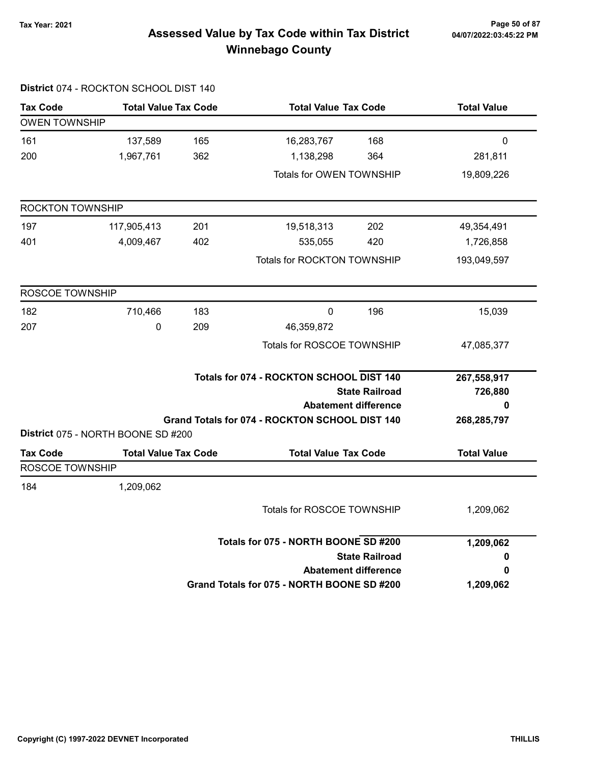### Tax Year: 2021 Page 50 of 87 Assessed Value by Tax Code within Tax District Winnebago County

|                      | District 074 - ROCKTON SCHOOL DIST 140 |     |                                                |                             |                    |
|----------------------|----------------------------------------|-----|------------------------------------------------|-----------------------------|--------------------|
| <b>Tax Code</b>      | <b>Total Value Tax Code</b>            |     | <b>Total Value Tax Code</b>                    |                             | <b>Total Value</b> |
| <b>OWEN TOWNSHIP</b> |                                        |     |                                                |                             |                    |
| 161                  | 137,589                                | 165 | 16,283,767                                     | 168                         | 0                  |
| 200                  | 1,967,761                              | 362 | 1,138,298                                      | 364                         | 281,811            |
|                      |                                        |     | Totals for OWEN TOWNSHIP                       |                             | 19,809,226         |
| ROCKTON TOWNSHIP     |                                        |     |                                                |                             |                    |
| 197                  | 117,905,413                            | 201 | 19,518,313                                     | 202                         | 49,354,491         |
| 401                  | 4,009,467                              | 402 | 535,055                                        | 420                         | 1,726,858          |
|                      |                                        |     | Totals for ROCKTON TOWNSHIP                    |                             | 193,049,597        |
| ROSCOE TOWNSHIP      |                                        |     |                                                |                             |                    |
| 182                  | 710,466                                | 183 | 0                                              | 196                         | 15,039             |
| 207                  | 0                                      | 209 | 46,359,872                                     |                             |                    |
|                      |                                        |     | Totals for ROSCOE TOWNSHIP                     |                             | 47,085,377         |
|                      |                                        |     | Totals for 074 - ROCKTON SCHOOL DIST 140       |                             | 267,558,917        |
|                      |                                        |     |                                                | <b>State Railroad</b>       | 726,880            |
|                      |                                        |     | Grand Totals for 074 - ROCKTON SCHOOL DIST 140 | <b>Abatement difference</b> | 0<br>268,285,797   |
|                      | District 075 - NORTH BOONE SD #200     |     |                                                |                             |                    |
| <b>Tax Code</b>      | <b>Total Value Tax Code</b>            |     | <b>Total Value Tax Code</b>                    |                             | <b>Total Value</b> |
| ROSCOE TOWNSHIP      |                                        |     |                                                |                             |                    |
| 184                  | 1,209,062                              |     |                                                |                             |                    |
|                      |                                        |     | Totals for ROSCOE TOWNSHIP                     |                             | 1,209,062          |
|                      |                                        |     | Totals for 075 - NORTH BOONE SD #200           |                             | 1,209,062          |
|                      |                                        |     |                                                | <b>State Railroad</b>       | 0                  |
|                      |                                        |     |                                                | <b>Abatement difference</b> | 0                  |
|                      |                                        |     | Grand Totals for 075 - NORTH BOONE SD #200     |                             | 1,209,062          |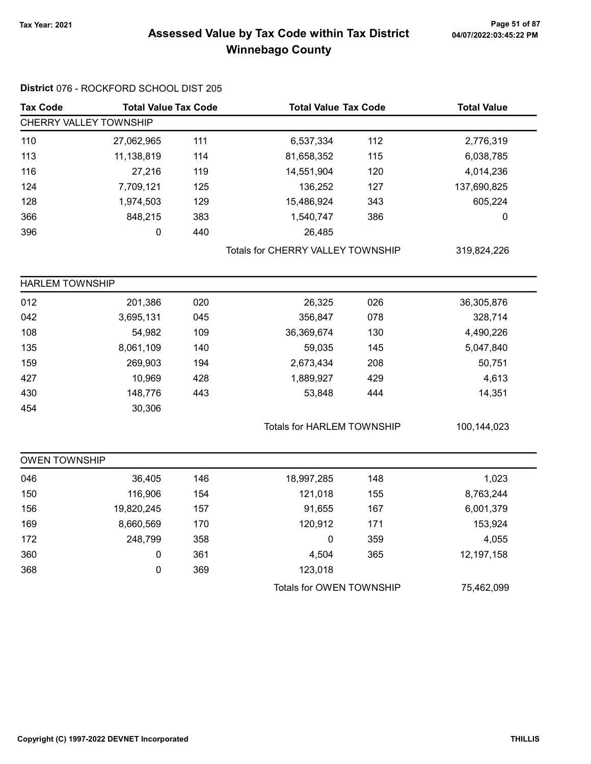### 7ax Year: 2021 Page 51 of 87<br>Assessed Value by Tax Code within Tax District 04/07/2022:03:45:22 PM Winnebago County

| <b>Tax Code</b>        | <b>Total Value Tax Code</b> |     | <b>Total Value Tax Code</b>       |     | <b>Total Value</b> |  |
|------------------------|-----------------------------|-----|-----------------------------------|-----|--------------------|--|
|                        | CHERRY VALLEY TOWNSHIP      |     |                                   |     |                    |  |
| 110                    | 27,062,965                  | 111 | 6,537,334                         | 112 | 2,776,319          |  |
| 113                    | 11,138,819                  | 114 | 81,658,352                        | 115 | 6,038,785          |  |
| 116                    | 27,216                      | 119 | 14,551,904                        | 120 | 4,014,236          |  |
| 124                    | 7,709,121                   | 125 | 136,252                           | 127 | 137,690,825        |  |
| 128                    | 1,974,503                   | 129 | 15,486,924                        | 343 | 605,224            |  |
| 366                    | 848,215                     | 383 | 1,540,747                         | 386 | 0                  |  |
| 396                    | 0                           | 440 | 26,485                            |     |                    |  |
|                        |                             |     | Totals for CHERRY VALLEY TOWNSHIP |     | 319,824,226        |  |
| <b>HARLEM TOWNSHIP</b> |                             |     |                                   |     |                    |  |
| 012                    | 201,386                     | 020 | 26,325                            | 026 | 36,305,876         |  |
| 042                    | 3,695,131                   | 045 | 356,847                           | 078 | 328,714            |  |
| 108                    | 54,982                      | 109 | 36,369,674                        | 130 | 4,490,226          |  |
| 135                    | 8,061,109                   | 140 | 59,035                            | 145 | 5,047,840          |  |
| 159                    | 269,903                     | 194 | 2,673,434                         | 208 | 50,751             |  |
| 427                    | 10,969                      | 428 | 1,889,927                         | 429 | 4,613              |  |
| 430                    | 148,776                     | 443 | 53,848                            | 444 | 14,351             |  |
| 454                    | 30,306                      |     |                                   |     |                    |  |
|                        |                             |     | <b>Totals for HARLEM TOWNSHIP</b> |     | 100,144,023        |  |
| <b>OWEN TOWNSHIP</b>   |                             |     |                                   |     |                    |  |
| 046                    | 36,405                      | 146 | 18,997,285                        | 148 | 1,023              |  |
| 150                    | 116,906                     | 154 | 121,018                           | 155 | 8,763,244          |  |
| 156                    | 19,820,245                  | 157 | 91,655                            | 167 | 6,001,379          |  |
| 169                    | 8,660,569                   | 170 | 120,912                           | 171 | 153,924            |  |
| 172                    | 248,799                     | 358 | $\pmb{0}$                         | 359 | 4,055              |  |
| 360                    | $\pmb{0}$                   | 361 | 4,504                             | 365 | 12,197,158         |  |
| 368                    | 0                           | 369 | 123,018                           |     |                    |  |
|                        |                             |     | Totals for OWEN TOWNSHIP          |     | 75,462,099         |  |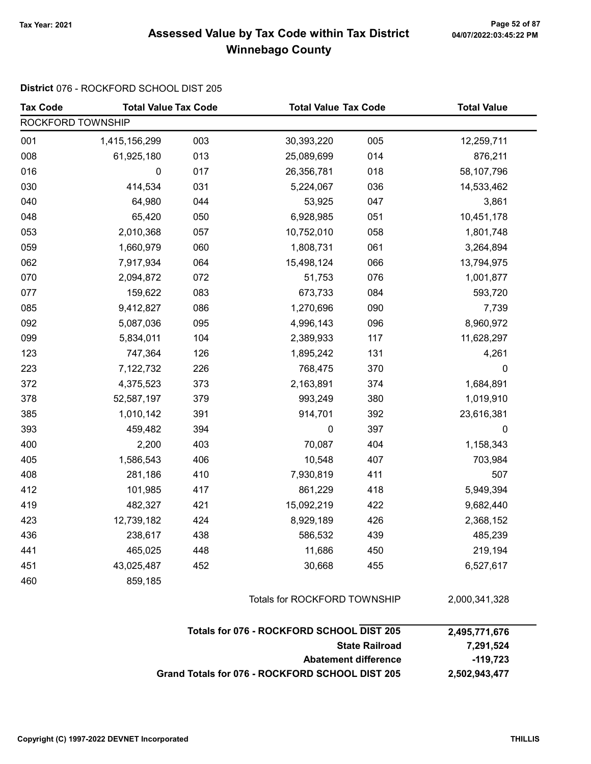### Tax Year: 2021 Page 52 of 87 Assessed Value by Tax Code within Tax District Winnebago County

#### District 076 - ROCKFORD SCHOOL DIST 205

| <b>Tax Code</b>   | <b>Total Value Tax Code</b>                     |                              | <b>Total Value Tax Code</b>               |                             | <b>Total Value</b> |
|-------------------|-------------------------------------------------|------------------------------|-------------------------------------------|-----------------------------|--------------------|
| ROCKFORD TOWNSHIP |                                                 |                              |                                           |                             |                    |
| 001               | 1,415,156,299                                   | 003                          | 30,393,220                                | 005                         | 12,259,711         |
| 008               | 61,925,180                                      | 013                          | 25,089,699                                | 014                         | 876,211            |
| 016               | 0                                               | 017                          | 26,356,781                                | 018                         | 58,107,796         |
| 030               | 414,534                                         | 031                          | 5,224,067                                 | 036                         | 14,533,462         |
| 040               | 64,980                                          | 044                          | 53,925                                    | 047                         | 3,861              |
| 048               | 65,420                                          | 050                          | 6,928,985                                 | 051                         | 10,451,178         |
| 053               | 2,010,368                                       | 057                          | 10,752,010                                | 058                         | 1,801,748          |
| 059               | 1,660,979                                       | 060                          | 1,808,731                                 | 061                         | 3,264,894          |
| 062               | 7,917,934                                       | 064                          | 15,498,124                                | 066                         | 13,794,975         |
| 070               | 2,094,872                                       | 072                          | 51,753                                    | 076                         | 1,001,877          |
| 077               | 159,622                                         | 083                          | 673,733                                   | 084                         | 593,720            |
| 085               | 9,412,827                                       | 086                          | 1,270,696                                 | 090                         | 7,739              |
| 092               | 5,087,036                                       | 095                          | 4,996,143                                 | 096                         | 8,960,972          |
| 099               | 5,834,011                                       | 104                          | 2,389,933                                 | 117                         | 11,628,297         |
| 123               | 747,364                                         | 126                          | 1,895,242                                 | 131                         | 4,261              |
| 223               | 7,122,732                                       | 226                          | 768,475                                   | 370                         | 0                  |
| 372               | 4,375,523                                       | 373                          | 2,163,891                                 | 374                         | 1,684,891          |
| 378               | 52,587,197                                      | 379                          | 993,249                                   | 380                         | 1,019,910          |
| 385               | 1,010,142                                       | 391                          | 914,701                                   | 392                         | 23,616,381         |
| 393               | 459,482                                         | 394                          | $\boldsymbol{0}$                          | 397                         | 0                  |
| 400               | 2,200                                           | 403                          | 70,087                                    | 404                         | 1,158,343          |
| 405               | 1,586,543                                       | 406                          | 10,548                                    | 407                         | 703,984            |
| 408               | 281,186                                         | 410                          | 7,930,819                                 | 411                         | 507                |
| 412               | 101,985                                         | 417                          | 861,229                                   | 418                         | 5,949,394          |
| 419               | 482,327                                         | 421                          | 15,092,219                                | 422                         | 9,682,440          |
| 423               | 12,739,182                                      | 424                          | 8,929,189                                 | 426                         | 2,368,152          |
| 436               | 238,617                                         | 438                          | 586,532                                   | 439                         | 485,239            |
| 441               | 465,025                                         | 448                          | 11,686                                    | 450                         | 219,194            |
| 451               | 43,025,487                                      | 452                          | 30,668                                    | 455                         | 6,527,617          |
| 460               | 859,185                                         |                              |                                           |                             |                    |
|                   |                                                 | Totals for ROCKFORD TOWNSHIP |                                           | 2,000,341,328               |                    |
|                   |                                                 |                              | Totals for 076 - ROCKFORD SCHOOL DIST 205 |                             | 2,495,771,676      |
|                   |                                                 |                              |                                           | <b>State Railroad</b>       | 7,291,524          |
|                   |                                                 |                              |                                           | <b>Abatement difference</b> | $-119,723$         |
|                   | Grand Totals for 076 - ROCKFORD SCHOOL DIST 205 |                              |                                           |                             |                    |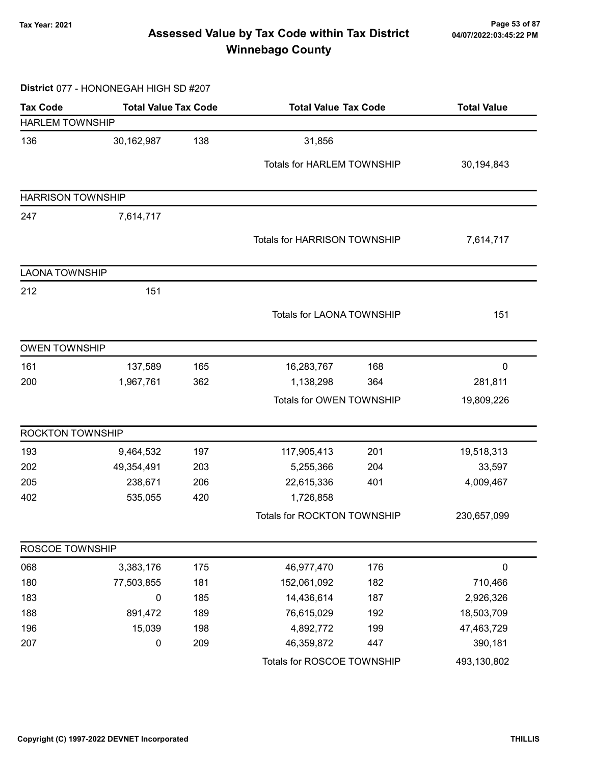### Tax Year: 2021 Page 53 of 87 Assessed Value by Tax Code within Tax District Winnebago County

#### District 077 - HONONEGAH HIGH SD #207

| <b>Tax Code</b>          | <b>Total Value Tax Code</b> |     | <b>Total Value Tax Code</b>         |     | <b>Total Value</b> |  |
|--------------------------|-----------------------------|-----|-------------------------------------|-----|--------------------|--|
| <b>HARLEM TOWNSHIP</b>   |                             |     |                                     |     |                    |  |
| 136                      | 30,162,987                  | 138 | 31,856                              |     |                    |  |
|                          |                             |     | Totals for HARLEM TOWNSHIP          |     | 30,194,843         |  |
| <b>HARRISON TOWNSHIP</b> |                             |     |                                     |     |                    |  |
| 247                      | 7,614,717                   |     |                                     |     |                    |  |
|                          |                             |     |                                     |     |                    |  |
|                          |                             |     | <b>Totals for HARRISON TOWNSHIP</b> |     | 7,614,717          |  |
| <b>LAONA TOWNSHIP</b>    |                             |     |                                     |     |                    |  |
| 212                      | 151                         |     |                                     |     |                    |  |
|                          |                             |     | Totals for LAONA TOWNSHIP           |     | 151                |  |
|                          |                             |     |                                     |     |                    |  |
| <b>OWEN TOWNSHIP</b>     |                             |     |                                     |     |                    |  |
| 161                      | 137,589                     | 165 | 16,283,767                          | 168 | 0                  |  |
| 200                      | 1,967,761                   | 362 | 1,138,298                           | 364 | 281,811            |  |
|                          |                             |     | Totals for OWEN TOWNSHIP            |     | 19,809,226         |  |
| ROCKTON TOWNSHIP         |                             |     |                                     |     |                    |  |
| 193                      | 9,464,532                   | 197 | 117,905,413                         | 201 | 19,518,313         |  |
| 202                      | 49,354,491                  | 203 | 5,255,366                           | 204 | 33,597             |  |
| 205                      | 238,671                     | 206 | 22,615,336                          | 401 | 4,009,467          |  |
| 402                      | 535,055                     | 420 | 1,726,858                           |     |                    |  |
|                          |                             |     | Totals for ROCKTON TOWNSHIP         |     | 230,657,099        |  |
| ROSCOE TOWNSHIP          |                             |     |                                     |     |                    |  |
| 068                      | 3,383,176                   | 175 | 46,977,470                          | 176 | $\pmb{0}$          |  |
| 180                      | 77,503,855                  | 181 | 152,061,092                         | 182 | 710,466            |  |
| 183                      | 0                           | 185 | 14,436,614                          | 187 | 2,926,326          |  |
| 188                      | 891,472                     | 189 | 76,615,029                          | 192 | 18,503,709         |  |
| 196                      | 15,039                      | 198 | 4,892,772                           | 199 | 47,463,729         |  |
| 207                      | $\pmb{0}$                   | 209 | 46,359,872                          | 447 | 390,181            |  |
|                          |                             |     | Totals for ROSCOE TOWNSHIP          |     | 493,130,802        |  |
|                          |                             |     |                                     |     |                    |  |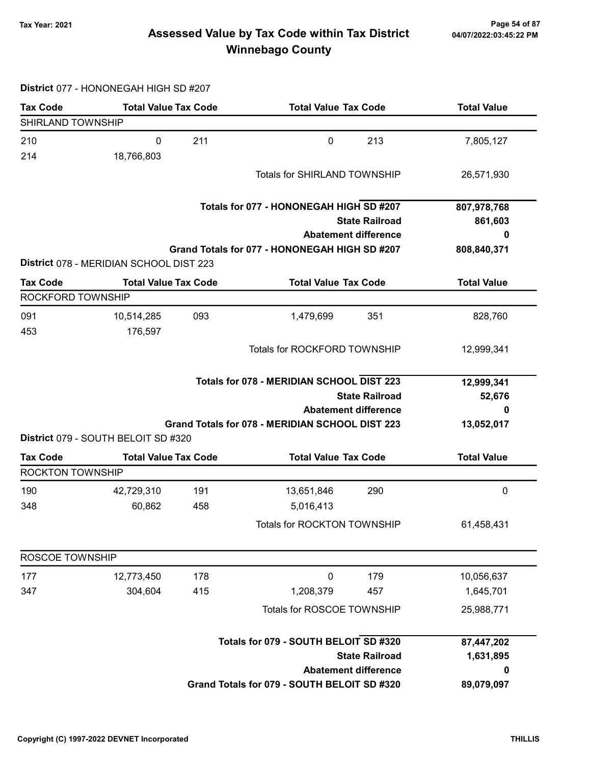### 7ax Year: 2021 Page 54 of 87<br>Assessed Value by Tax Code within Tax District 04/07/2022:03:45:22 PM Winnebago County

#### District 077 - HONONEGAH HIGH SD #207

| <b>Tax Code</b>          | <b>Total Value Tax Code</b>             |     | <b>Total Value Tax Code</b>                     |                             | <b>Total Value</b>   |
|--------------------------|-----------------------------------------|-----|-------------------------------------------------|-----------------------------|----------------------|
| SHIRLAND TOWNSHIP        |                                         |     |                                                 |                             |                      |
| 210                      | 0                                       | 211 | $\mathbf 0$                                     | 213                         | 7,805,127            |
| 214                      | 18,766,803                              |     |                                                 |                             |                      |
|                          |                                         |     | <b>Totals for SHIRLAND TOWNSHIP</b>             |                             | 26,571,930           |
|                          |                                         |     | Totals for 077 - HONONEGAH HIGH SD #207         |                             | 807,978,768          |
|                          |                                         |     |                                                 | <b>State Railroad</b>       | 861,603              |
|                          |                                         |     |                                                 | <b>Abatement difference</b> |                      |
|                          |                                         |     | Grand Totals for 077 - HONONEGAH HIGH SD #207   |                             | 808,840,371          |
|                          | District 078 - MERIDIAN SCHOOL DIST 223 |     |                                                 |                             |                      |
| <b>Tax Code</b>          | <b>Total Value Tax Code</b>             |     | <b>Total Value Tax Code</b>                     |                             | <b>Total Value</b>   |
| <b>ROCKFORD TOWNSHIP</b> |                                         |     |                                                 |                             |                      |
| 091                      | 10,514,285                              | 093 | 1,479,699                                       | 351                         | 828,760              |
| 453                      | 176,597                                 |     |                                                 |                             |                      |
|                          |                                         |     | <b>Totals for ROCKFORD TOWNSHIP</b>             |                             | 12,999,341           |
|                          |                                         |     |                                                 |                             |                      |
|                          |                                         |     | Totals for 078 - MERIDIAN SCHOOL DIST 223       |                             | 12,999,341<br>52,676 |
|                          | <b>State Railroad</b>                   |     |                                                 |                             |                      |
|                          |                                         |     |                                                 | <b>Abatement difference</b> | 0                    |
|                          | District 079 - SOUTH BELOIT SD #320     |     | Grand Totals for 078 - MERIDIAN SCHOOL DIST 223 |                             | 13,052,017           |
| <b>Tax Code</b>          | <b>Total Value Tax Code</b>             |     | <b>Total Value Tax Code</b>                     |                             | <b>Total Value</b>   |
| <b>ROCKTON TOWNSHIP</b>  |                                         |     |                                                 |                             |                      |
| 190                      | 42,729,310                              | 191 | 13,651,846                                      | 290                         | 0                    |
| 348                      | 60,862                                  | 458 | 5,016,413                                       |                             |                      |
|                          |                                         |     | Totals for ROCKTON TOWNSHIP                     |                             | 61,458,431           |
|                          |                                         |     |                                                 |                             |                      |
| <b>ROSCOE TOWNSHIP</b>   |                                         |     |                                                 |                             |                      |
| 177                      | 12,773,450                              | 178 | $\mathbf 0$                                     | 179                         | 10,056,637           |
| 347                      | 304,604                                 | 415 | 1,208,379                                       | 457                         | 1,645,701            |
|                          |                                         |     | Totals for ROSCOE TOWNSHIP                      |                             | 25,988,771           |
|                          |                                         |     | Totals for 079 - SOUTH BELOIT SD #320           |                             | 87,447,202           |
|                          |                                         |     |                                                 | <b>State Railroad</b>       | 1,631,895            |
|                          |                                         |     |                                                 | <b>Abatement difference</b> | 0                    |
|                          |                                         |     | Grand Totals for 079 - SOUTH BELOIT SD #320     |                             | 89,079,097           |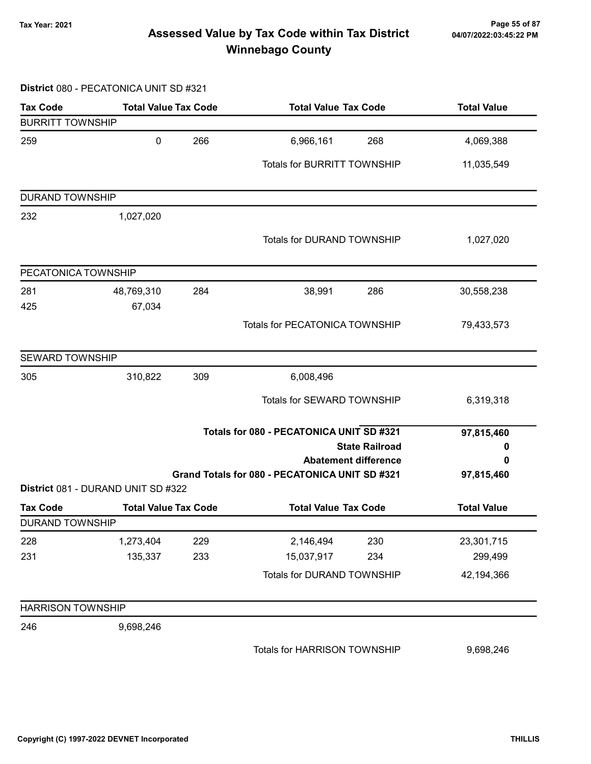### 7ax Year: 2021 Page 55 of 87<br>Assessed Value by Tax Code within Tax District 04/07/2022:03:45:22 PM Winnebago County

#### District 080 - PECATONICA UNIT SD #321

| <b>Tax Code</b>          | <b>Total Value Tax Code</b>        |     | <b>Total Value Tax Code</b>                    |                                                      | <b>Total Value</b> |  |
|--------------------------|------------------------------------|-----|------------------------------------------------|------------------------------------------------------|--------------------|--|
| <b>BURRITT TOWNSHIP</b>  |                                    |     |                                                |                                                      |                    |  |
| 259                      | 0                                  | 266 | 6,966,161                                      | 268                                                  | 4,069,388          |  |
|                          |                                    |     | <b>Totals for BURRITT TOWNSHIP</b>             |                                                      | 11,035,549         |  |
| <b>DURAND TOWNSHIP</b>   |                                    |     |                                                |                                                      |                    |  |
| 232                      | 1,027,020                          |     |                                                |                                                      |                    |  |
|                          |                                    |     | <b>Totals for DURAND TOWNSHIP</b>              |                                                      | 1,027,020          |  |
| PECATONICA TOWNSHIP      |                                    |     |                                                |                                                      |                    |  |
| 281                      | 48,769,310                         | 284 | 38,991                                         | 286                                                  | 30,558,238         |  |
| 425                      | 67,034                             |     |                                                |                                                      |                    |  |
|                          |                                    |     | <b>Totals for PECATONICA TOWNSHIP</b>          |                                                      | 79,433,573         |  |
| <b>SEWARD TOWNSHIP</b>   |                                    |     |                                                |                                                      |                    |  |
| 305                      | 310,822                            | 309 | 6,008,496                                      |                                                      |                    |  |
|                          |                                    |     | Totals for SEWARD TOWNSHIP                     |                                                      | 6,319,318          |  |
|                          |                                    |     | Totals for 080 - PECATONICA UNIT SD #321       |                                                      | 97,815,460         |  |
|                          |                                    |     |                                                | <b>State Railroad</b><br><b>Abatement difference</b> | 0<br>0             |  |
|                          |                                    |     | Grand Totals for 080 - PECATONICA UNIT SD #321 |                                                      | 97,815,460         |  |
|                          | District 081 - DURAND UNIT SD #322 |     |                                                |                                                      |                    |  |
| <b>Tax Code</b>          | <b>Total Value Tax Code</b>        |     | <b>Total Value Tax Code</b>                    |                                                      | <b>Total Value</b> |  |
| <b>DURAND TOWNSHIP</b>   |                                    |     |                                                |                                                      |                    |  |
| 228                      | 1,273,404                          | 229 | 2,146,494                                      | 230                                                  | 23,301,715         |  |
| 231                      | 135,337                            | 233 | 15,037,917                                     | 234                                                  | 299,499            |  |
|                          |                                    |     | Totals for DURAND TOWNSHIP                     |                                                      | 42,194,366         |  |
| <b>HARRISON TOWNSHIP</b> |                                    |     |                                                |                                                      |                    |  |
| 246                      | 9,698,246                          |     |                                                |                                                      |                    |  |
|                          |                                    |     | Totals for HARRISON TOWNSHIP                   |                                                      | 9,698,246          |  |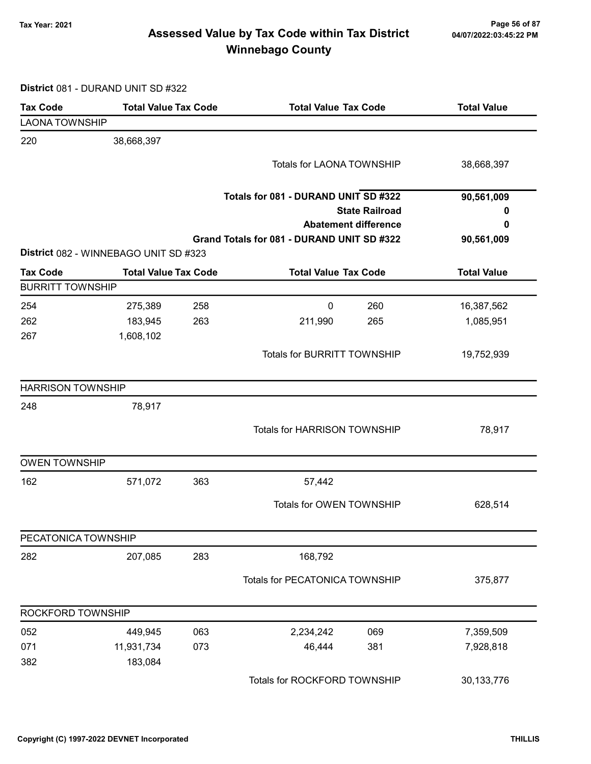### Tax Year: 2021 Page 56 of 87 Assessed Value by Tax Code within Tax District Winnebago County

District 081 - DURAND UNIT SD #322

| <b>Tax Code</b>          | <b>Total Value Tax Code</b>           | <b>Total Value Tax Code</b>                | <b>Total Value</b> |
|--------------------------|---------------------------------------|--------------------------------------------|--------------------|
| <b>LAONA TOWNSHIP</b>    |                                       |                                            |                    |
| 220                      | 38,668,397                            |                                            |                    |
|                          |                                       | Totals for LAONA TOWNSHIP                  | 38,668,397         |
|                          |                                       |                                            |                    |
|                          |                                       | Totals for 081 - DURAND UNIT SD #322       | 90,561,009         |
|                          |                                       | <b>State Railroad</b>                      | 0                  |
|                          |                                       | <b>Abatement difference</b>                | 0                  |
|                          |                                       | Grand Totals for 081 - DURAND UNIT SD #322 | 90,561,009         |
|                          | District 082 - WINNEBAGO UNIT SD #323 |                                            |                    |
| <b>Tax Code</b>          | <b>Total Value Tax Code</b>           | <b>Total Value Tax Code</b>                | <b>Total Value</b> |
| <b>BURRITT TOWNSHIP</b>  |                                       |                                            |                    |
| 254                      | 275,389<br>258                        | 260<br>0                                   | 16,387,562         |
| 262                      | 183,945<br>263                        | 211,990<br>265                             | 1,085,951          |
| 267                      | 1,608,102                             |                                            |                    |
|                          |                                       | <b>Totals for BURRITT TOWNSHIP</b>         | 19,752,939         |
| <b>HARRISON TOWNSHIP</b> |                                       |                                            |                    |
| 248                      | 78,917                                |                                            |                    |
|                          |                                       | Totals for HARRISON TOWNSHIP               | 78,917             |
| <b>OWEN TOWNSHIP</b>     |                                       |                                            |                    |
| 162                      | 571,072<br>363                        | 57,442                                     |                    |
|                          |                                       | Totals for OWEN TOWNSHIP                   | 628,514            |
| PECATONICA TOWNSHIP      |                                       |                                            |                    |
| 282                      | 207,085<br>283                        | 168,792                                    |                    |
|                          |                                       | Totals for PECATONICA TOWNSHIP             | 375,877            |
| ROCKFORD TOWNSHIP        |                                       |                                            |                    |
| 052                      | 063<br>449,945                        | 2,234,242<br>069                           | 7,359,509          |
| 071                      | 11,931,734<br>073                     | 46,444<br>381                              | 7,928,818          |
| 382                      | 183,084                               |                                            |                    |
|                          |                                       | Totals for ROCKFORD TOWNSHIP               | 30,133,776         |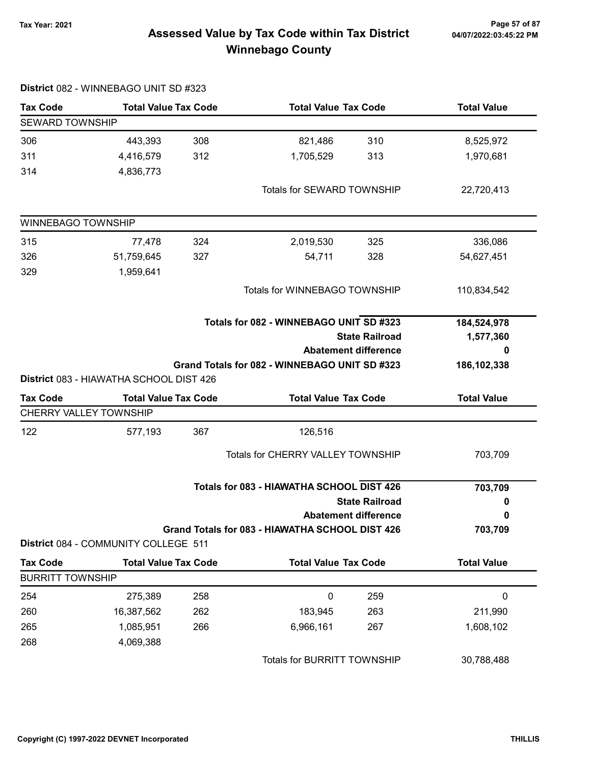### 7ax Year: 2021 Page 57 of 87<br>Assessed Value by Tax Code within Tax District 04/07/2022:03:45:22 PM Winnebago County

| <b>Tax Code</b>               | <b>Total Value Tax Code</b>                                            |                                         | <b>Total Value Tax Code</b>                     |                             | <b>Total Value</b> |
|-------------------------------|------------------------------------------------------------------------|-----------------------------------------|-------------------------------------------------|-----------------------------|--------------------|
| <b>SEWARD TOWNSHIP</b>        |                                                                        |                                         |                                                 |                             |                    |
| 306                           | 443,393                                                                | 308                                     | 821,486                                         | 310                         | 8,525,972          |
| 311                           | 4,416,579                                                              | 312                                     | 1,705,529                                       | 313                         | 1,970,681          |
| 314                           | 4,836,773                                                              |                                         |                                                 |                             |                    |
|                               |                                                                        |                                         | Totals for SEWARD TOWNSHIP                      |                             | 22,720,413         |
| WINNEBAGO TOWNSHIP            |                                                                        |                                         |                                                 |                             |                    |
| 315                           | 77,478                                                                 | 324                                     | 2,019,530                                       | 325                         | 336,086            |
| 326                           | 51,759,645                                                             | 327                                     | 54,711                                          | 328                         | 54,627,451         |
| 329                           | 1,959,641                                                              |                                         |                                                 |                             |                    |
|                               |                                                                        |                                         | Totals for WINNEBAGO TOWNSHIP                   |                             | 110,834,542        |
|                               |                                                                        | Totals for 082 - WINNEBAGO UNIT SD #323 |                                                 |                             | 184,524,978        |
|                               |                                                                        |                                         |                                                 | <b>State Railroad</b>       | 1,577,360          |
|                               |                                                                        |                                         |                                                 | <b>Abatement difference</b> | o                  |
|                               |                                                                        |                                         | Grand Totals for 082 - WINNEBAGO UNIT SD #323   |                             | 186, 102, 338      |
| <b>Tax Code</b>               | District 083 - HIAWATHA SCHOOL DIST 426<br><b>Total Value Tax Code</b> |                                         |                                                 |                             | <b>Total Value</b> |
| <b>CHERRY VALLEY TOWNSHIP</b> |                                                                        |                                         | <b>Total Value Tax Code</b>                     |                             |                    |
|                               |                                                                        |                                         |                                                 |                             |                    |
| 122                           | 577,193                                                                | 367                                     | 126,516                                         |                             |                    |
|                               |                                                                        |                                         | Totals for CHERRY VALLEY TOWNSHIP               |                             | 703,709            |
|                               |                                                                        |                                         | Totals for 083 - HIAWATHA SCHOOL DIST 426       |                             | 703,709            |
|                               |                                                                        |                                         |                                                 | <b>State Railroad</b>       | 0                  |
|                               |                                                                        | <b>Abatement difference</b>             |                                                 |                             |                    |
|                               | District 084 - COMMUNITY COLLEGE 511                                   |                                         | Grand Totals for 083 - HIAWATHA SCHOOL DIST 426 |                             | 703,709            |
| <b>Tax Code</b>               | <b>Total Value Tax Code</b>                                            |                                         |                                                 | <b>Total Value Tax Code</b> |                    |
| <b>BURRITT TOWNSHIP</b>       |                                                                        |                                         |                                                 |                             |                    |
| 254                           | 275,389                                                                | 258                                     | 0                                               | 259                         | $\pmb{0}$          |
| 260                           | 16,387,562                                                             | 262                                     | 183,945                                         | 263                         | 211,990            |
| 265                           | 1,085,951                                                              | 266                                     | 6,966,161                                       | 267                         | 1,608,102          |
| 268                           | 4,069,388                                                              |                                         |                                                 |                             |                    |
|                               |                                                                        |                                         | Totals for BURRITT TOWNSHIP                     |                             | 30,788,488         |

District 082 - WINNEBAGO UNIT SD #323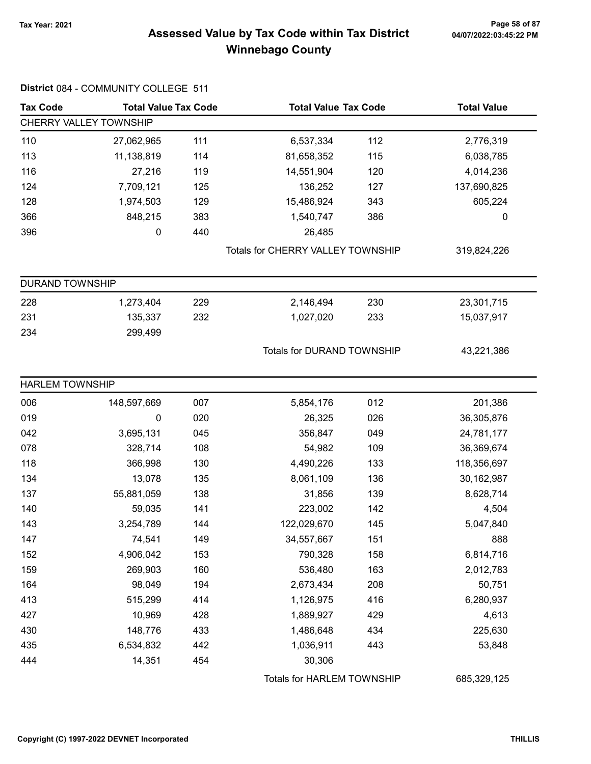District 084 - COMMUNITY COLLEGE 511

### Tax Year: 2021 Page 58 of 87 Assessed Value by Tax Code within Tax District Winnebago County

| <b>Tax Code</b>        | <b>Total Value Tax Code</b><br><b>Total Value Tax Code</b> |     | <b>Total Value</b>                |     |             |
|------------------------|------------------------------------------------------------|-----|-----------------------------------|-----|-------------|
|                        | CHERRY VALLEY TOWNSHIP                                     |     |                                   |     |             |
| 110                    | 27,062,965                                                 | 111 | 6,537,334                         | 112 | 2,776,319   |
| 113                    | 11,138,819                                                 | 114 | 81,658,352                        | 115 | 6,038,785   |
| 116                    | 27,216                                                     | 119 | 14,551,904                        | 120 | 4,014,236   |
| 124                    | 7,709,121                                                  | 125 | 136,252                           | 127 | 137,690,825 |
| 128                    | 1,974,503                                                  | 129 | 15,486,924                        | 343 | 605,224     |
| 366                    | 848,215                                                    | 383 | 1,540,747                         | 386 | 0           |
| 396                    | $\pmb{0}$                                                  | 440 | 26,485                            |     |             |
|                        |                                                            |     | Totals for CHERRY VALLEY TOWNSHIP |     | 319,824,226 |
| <b>DURAND TOWNSHIP</b> |                                                            |     |                                   |     |             |
| 228                    | 1,273,404                                                  | 229 | 2,146,494                         | 230 | 23,301,715  |
| 231                    | 135,337                                                    | 232 | 1,027,020                         | 233 | 15,037,917  |
| 234                    | 299,499                                                    |     |                                   |     |             |
|                        |                                                            |     | <b>Totals for DURAND TOWNSHIP</b> |     | 43,221,386  |
| <b>HARLEM TOWNSHIP</b> |                                                            |     |                                   |     |             |
| 006                    | 148,597,669                                                | 007 | 5,854,176                         | 012 | 201,386     |
| 019                    | 0                                                          | 020 | 26,325                            | 026 | 36,305,876  |
| 042                    | 3,695,131                                                  | 045 | 356,847                           | 049 | 24,781,177  |
| 078                    | 328,714                                                    | 108 | 54,982                            | 109 | 36,369,674  |
| 118                    | 366,998                                                    | 130 | 4,490,226                         | 133 | 118,356,697 |
| 134                    | 13,078                                                     | 135 | 8,061,109                         | 136 | 30,162,987  |
| 137                    | 55,881,059                                                 | 138 | 31,856                            | 139 | 8,628,714   |
| 140                    | 59,035                                                     | 141 | 223,002                           | 142 | 4,504       |
| 143                    | 3,254,789                                                  | 144 | 122,029,670                       | 145 | 5,047,840   |
| 147                    | 74,541                                                     | 149 | 34,557,667                        | 151 | 888         |
| 152                    | 4,906,042                                                  | 153 | 790,328                           | 158 | 6,814,716   |
| 159                    | 269,903                                                    | 160 | 536,480                           | 163 | 2,012,783   |
| 164                    | 98,049                                                     | 194 | 2,673,434                         | 208 | 50,751      |
| 413                    | 515,299                                                    | 414 | 1,126,975                         | 416 | 6,280,937   |
| 427                    | 10,969                                                     | 428 | 1,889,927                         | 429 | 4,613       |
| 430                    | 148,776                                                    | 433 | 1,486,648                         | 434 | 225,630     |
| 435                    | 6,534,832                                                  | 442 | 1,036,911                         | 443 | 53,848      |
| 444                    | 14,351                                                     | 454 | 30,306                            |     |             |
|                        |                                                            |     | Totals for HARLEM TOWNSHIP        |     | 685,329,125 |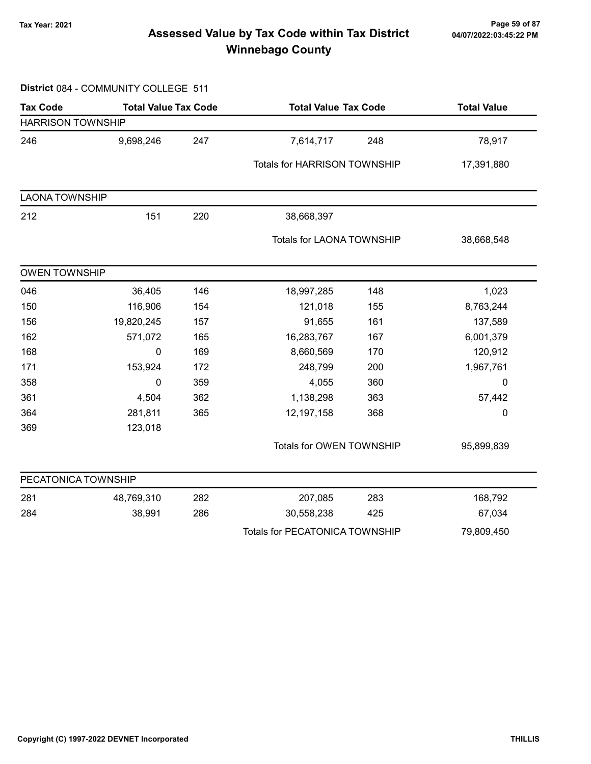### 7ax Year: 2021 Page 59 of 87<br>Assessed Value by Tax Code within Tax District 04/07/2022:03:45:22 PM Winnebago County

#### District 084 - COMMUNITY COLLEGE 511

| <b>Tax Code</b>          | <b>Total Value Tax Code</b> |     | <b>Total Value Tax Code</b>           |     | <b>Total Value</b> |  |
|--------------------------|-----------------------------|-----|---------------------------------------|-----|--------------------|--|
| <b>HARRISON TOWNSHIP</b> |                             |     |                                       |     |                    |  |
| 246                      | 9,698,246                   | 247 | 7,614,717                             | 248 | 78,917             |  |
|                          |                             |     | Totals for HARRISON TOWNSHIP          |     | 17,391,880         |  |
| <b>LAONA TOWNSHIP</b>    |                             |     |                                       |     |                    |  |
| 212                      | 151                         | 220 | 38,668,397                            |     |                    |  |
|                          |                             |     | Totals for LAONA TOWNSHIP             |     | 38,668,548         |  |
| <b>OWEN TOWNSHIP</b>     |                             |     |                                       |     |                    |  |
| 046                      | 36,405                      | 146 | 18,997,285                            | 148 | 1,023              |  |
| 150                      | 116,906                     | 154 | 121,018                               | 155 | 8,763,244          |  |
| 156                      | 19,820,245                  | 157 | 91,655                                | 161 | 137,589            |  |
| 162                      | 571,072                     | 165 | 16,283,767                            | 167 | 6,001,379          |  |
| 168                      | 0                           | 169 | 8,660,569                             | 170 | 120,912            |  |
| 171                      | 153,924                     | 172 | 248,799                               | 200 | 1,967,761          |  |
| 358                      | 0                           | 359 | 4,055                                 | 360 | 0                  |  |
| 361                      | 4,504                       | 362 | 1,138,298                             | 363 | 57,442             |  |
| 364                      | 281,811                     | 365 | 12,197,158                            | 368 | $\mathbf 0$        |  |
| 369                      | 123,018                     |     |                                       |     |                    |  |
|                          |                             |     | Totals for OWEN TOWNSHIP              |     | 95,899,839         |  |
| PECATONICA TOWNSHIP      |                             |     |                                       |     |                    |  |
| 281                      | 48,769,310                  | 282 | 207,085                               | 283 | 168,792            |  |
| 284                      | 38,991                      | 286 | 30,558,238                            | 425 | 67,034             |  |
|                          |                             |     | <b>Totals for PECATONICA TOWNSHIP</b> |     | 79,809,450         |  |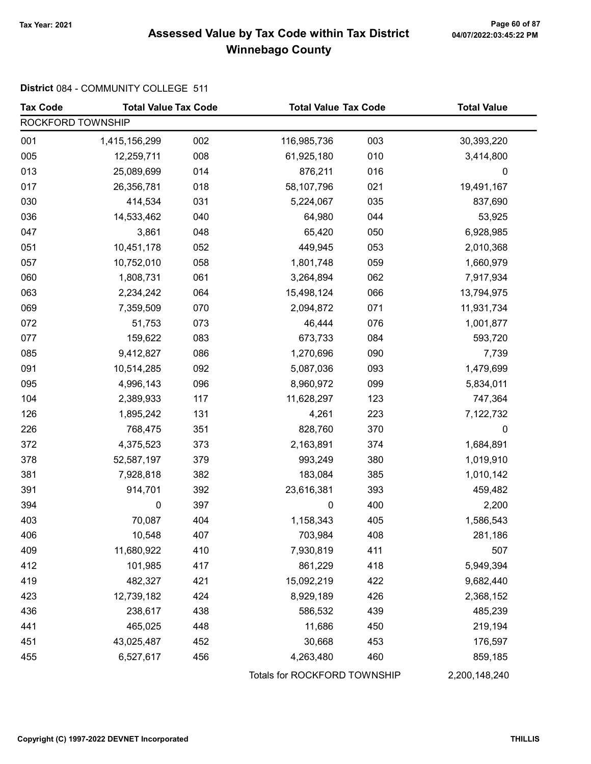### Tax Year: 2021 Page 60 of 87 Assessed Value by Tax Code within Tax District Winnebago County

### District 084 - COMMUNITY COLLEGE 511

| <b>Tax Code</b>   | <b>Total Value Tax Code</b> |     | <b>Total Value Tax Code</b>  |     | <b>Total Value</b> |
|-------------------|-----------------------------|-----|------------------------------|-----|--------------------|
| ROCKFORD TOWNSHIP |                             |     |                              |     |                    |
| 001               | 1,415,156,299               | 002 | 116,985,736                  | 003 | 30,393,220         |
| 005               | 12,259,711                  | 008 | 61,925,180                   | 010 | 3,414,800          |
| 013               | 25,089,699                  | 014 | 876,211                      | 016 | $\mathbf 0$        |
| 017               | 26,356,781                  | 018 | 58,107,796                   | 021 | 19,491,167         |
| 030               | 414,534                     | 031 | 5,224,067                    | 035 | 837,690            |
| 036               | 14,533,462                  | 040 | 64,980                       | 044 | 53,925             |
| 047               | 3,861                       | 048 | 65,420                       | 050 | 6,928,985          |
| 051               | 10,451,178                  | 052 | 449,945                      | 053 | 2,010,368          |
| 057               | 10,752,010                  | 058 | 1,801,748                    | 059 | 1,660,979          |
| 060               | 1,808,731                   | 061 | 3,264,894                    | 062 | 7,917,934          |
| 063               | 2,234,242                   | 064 | 15,498,124                   | 066 | 13,794,975         |
| 069               | 7,359,509                   | 070 | 2,094,872                    | 071 | 11,931,734         |
| 072               | 51,753                      | 073 | 46,444                       | 076 | 1,001,877          |
| 077               | 159,622                     | 083 | 673,733                      | 084 | 593,720            |
| 085               | 9,412,827                   | 086 | 1,270,696                    | 090 | 7,739              |
| 091               | 10,514,285                  | 092 | 5,087,036                    | 093 | 1,479,699          |
| 095               | 4,996,143                   | 096 | 8,960,972                    | 099 | 5,834,011          |
| 104               | 2,389,933                   | 117 | 11,628,297                   | 123 | 747,364            |
| 126               | 1,895,242                   | 131 | 4,261                        | 223 | 7,122,732          |
| 226               | 768,475                     | 351 | 828,760                      | 370 | 0                  |
| 372               | 4,375,523                   | 373 | 2,163,891                    | 374 | 1,684,891          |
| 378               | 52,587,197                  | 379 | 993,249                      | 380 | 1,019,910          |
| 381               | 7,928,818                   | 382 | 183,084                      | 385 | 1,010,142          |
| 391               | 914,701                     | 392 | 23,616,381                   | 393 | 459,482            |
| 394               | 0                           | 397 | $\pmb{0}$                    | 400 | 2,200              |
| 403               | 70,087                      | 404 | 1,158,343                    | 405 | 1,586,543          |
| 406               | 10,548                      | 407 | 703,984                      | 408 | 281,186            |
| 409               | 11,680,922                  | 410 | 7,930,819                    | 411 | 507                |
| 412               | 101,985                     | 417 | 861,229                      | 418 | 5,949,394          |
| 419               | 482,327                     | 421 | 15,092,219                   | 422 | 9,682,440          |
| 423               | 12,739,182                  | 424 | 8,929,189                    | 426 | 2,368,152          |
| 436               | 238,617                     | 438 | 586,532                      | 439 | 485,239            |
| 441               | 465,025                     | 448 | 11,686                       | 450 | 219,194            |
| 451               | 43,025,487                  | 452 | 30,668                       | 453 | 176,597            |
| 455               | 6,527,617                   | 456 | 4,263,480                    | 460 | 859,185            |
|                   |                             |     | Totals for ROCKFORD TOWNSHIP |     | 2,200,148,240      |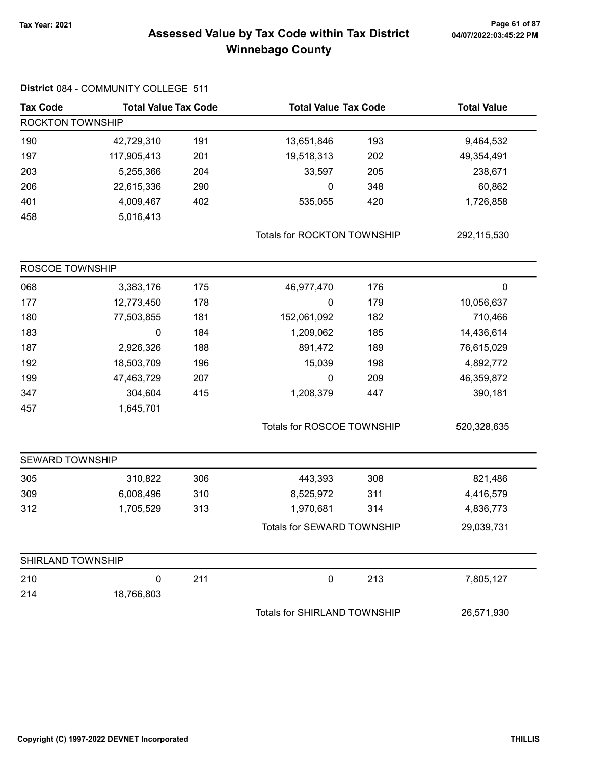### 7ax Year: 2021 Page 61 of 87<br>Assessed Value by Tax Code within Tax District 04/07/2022:03:45:22 PM Winnebago County

| <b>Tax Code</b>   | <b>Total Value Tax Code</b> |     | <b>Total Value Tax Code</b>  |     | <b>Total Value</b> |  |
|-------------------|-----------------------------|-----|------------------------------|-----|--------------------|--|
| ROCKTON TOWNSHIP  |                             |     |                              |     |                    |  |
| 190               | 42,729,310                  | 191 | 13,651,846                   | 193 | 9,464,532          |  |
| 197               | 117,905,413                 | 201 | 19,518,313                   | 202 | 49,354,491         |  |
| 203               | 5,255,366                   | 204 | 33,597                       | 205 | 238,671            |  |
| 206               | 22,615,336                  | 290 | 0                            | 348 | 60,862             |  |
| 401               | 4,009,467                   | 402 | 535,055                      | 420 | 1,726,858          |  |
| 458               | 5,016,413                   |     |                              |     |                    |  |
|                   |                             |     | Totals for ROCKTON TOWNSHIP  |     | 292,115,530        |  |
| ROSCOE TOWNSHIP   |                             |     |                              |     |                    |  |
| 068               | 3,383,176                   | 175 | 46,977,470                   | 176 | $\pmb{0}$          |  |
| 177               | 12,773,450                  | 178 | 0                            | 179 | 10,056,637         |  |
| 180               | 77,503,855                  | 181 | 152,061,092                  | 182 | 710,466            |  |
| 183               | 0                           | 184 | 1,209,062                    | 185 | 14,436,614         |  |
| 187               | 2,926,326                   | 188 | 891,472                      | 189 | 76,615,029         |  |
| 192               | 18,503,709                  | 196 | 15,039                       | 198 | 4,892,772          |  |
| 199               | 47,463,729                  | 207 | 0                            | 209 | 46,359,872         |  |
| 347               | 304,604                     | 415 | 1,208,379                    | 447 | 390,181            |  |
| 457               | 1,645,701                   |     |                              |     |                    |  |
|                   |                             |     | Totals for ROSCOE TOWNSHIP   |     | 520,328,635        |  |
| SEWARD TOWNSHIP   |                             |     |                              |     |                    |  |
| 305               | 310,822                     | 306 | 443,393                      | 308 | 821,486            |  |
| 309               | 6,008,496                   | 310 | 8,525,972                    | 311 | 4,416,579          |  |
| 312               | 1,705,529                   | 313 | 1,970,681                    | 314 | 4,836,773          |  |
|                   |                             |     | Totals for SEWARD TOWNSHIP   |     | 29,039,731         |  |
| SHIRLAND TOWNSHIP |                             |     |                              |     |                    |  |
| 210               | 0                           | 211 | $\boldsymbol{0}$             | 213 | 7,805,127          |  |
| 214               | 18,766,803                  |     |                              |     |                    |  |
|                   |                             |     | Totals for SHIRLAND TOWNSHIP |     | 26,571,930         |  |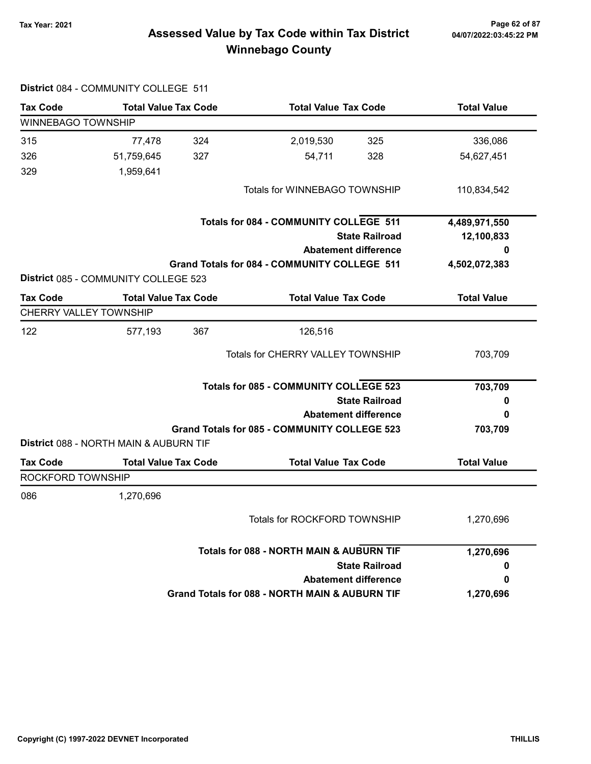## Tax Year: 2021 Page 62 of 87 Assessed Value by Tax Code within Tax District Winnebago County

|                           | District 084 - COMMUNITY COLLEGE 511   |                                          |                                                     |                       |                    |
|---------------------------|----------------------------------------|------------------------------------------|-----------------------------------------------------|-----------------------|--------------------|
| <b>Tax Code</b>           | <b>Total Value Tax Code</b>            |                                          | <b>Total Value Tax Code</b>                         |                       | <b>Total Value</b> |
| <b>WINNEBAGO TOWNSHIP</b> |                                        |                                          |                                                     |                       |                    |
| 315                       | 77,478                                 | 324                                      | 2,019,530                                           | 325                   | 336,086            |
| 326                       | 51,759,645                             | 327                                      | 54,711                                              | 328                   | 54,627,451         |
| 329                       | 1,959,641                              |                                          |                                                     |                       |                    |
|                           |                                        |                                          | Totals for WINNEBAGO TOWNSHIP                       |                       | 110,834,542        |
|                           |                                        |                                          | <b>Totals for 084 - COMMUNITY COLLEGE 511</b>       |                       | 4,489,971,550      |
|                           |                                        |                                          |                                                     | <b>State Railroad</b> | 12,100,833         |
|                           |                                        |                                          | <b>Abatement difference</b>                         |                       | 0                  |
|                           | District 085 - COMMUNITY COLLEGE 523   |                                          | <b>Grand Totals for 084 - COMMUNITY COLLEGE 511</b> |                       | 4,502,072,383      |
| <b>Tax Code</b>           | <b>Total Value Tax Code</b>            |                                          | <b>Total Value Tax Code</b>                         |                       | <b>Total Value</b> |
|                           | <b>CHERRY VALLEY TOWNSHIP</b>          |                                          |                                                     |                       |                    |
| 122                       | 577,193                                | 367                                      | 126,516                                             |                       |                    |
|                           |                                        | <b>Totals for CHERRY VALLEY TOWNSHIP</b> |                                                     | 703,709               |                    |
|                           |                                        |                                          | <b>Totals for 085 - COMMUNITY COLLEGE 523</b>       |                       | 703,709            |
|                           |                                        |                                          |                                                     | <b>State Railroad</b> | o                  |
|                           |                                        |                                          | <b>Abatement difference</b>                         |                       | 0                  |
|                           | District 088 - NORTH MAIN & AUBURN TIF |                                          | <b>Grand Totals for 085 - COMMUNITY COLLEGE 523</b> |                       | 703,709            |
| <b>Tax Code</b>           | <b>Total Value Tax Code</b>            |                                          | <b>Total Value Tax Code</b>                         |                       | <b>Total Value</b> |
| ROCKFORD TOWNSHIP         |                                        |                                          |                                                     |                       |                    |
| 086                       | 1,270,696                              |                                          |                                                     |                       |                    |
|                           |                                        |                                          | Totals for ROCKFORD TOWNSHIP                        |                       | 1,270,696          |
|                           |                                        |                                          | <b>Totals for 088 - NORTH MAIN &amp; AUBURN TIF</b> |                       | 1,270,696          |
|                           |                                        |                                          |                                                     | <b>State Railroad</b> | 0                  |
|                           |                                        |                                          | <b>Abatement difference</b>                         |                       | 0                  |
|                           |                                        |                                          | Grand Totals for 088 - NORTH MAIN & AUBURN TIF      |                       | 1,270,696          |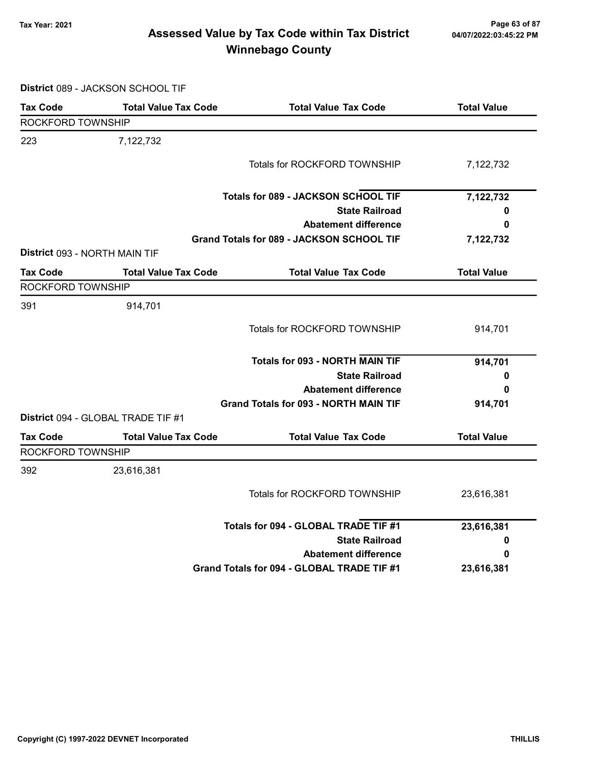### Tax Year: 2021 Page 63 of 87 Assessed Value by Tax Code within Tax District Winnebago County

District 089 - JACKSON SCHOOL TIF

| ROCKFORD TOWNSHIP<br>7,122,732<br><b>Totals for ROCKFORD TOWNSHIP</b><br>7,122,732<br><b>Totals for 089 - JACKSON SCHOOL TIF</b><br>7,122,732<br><b>State Railroad</b><br>0<br><b>Abatement difference</b><br>0<br>Grand Totals for 089 - JACKSON SCHOOL TIF<br>7,122,732<br>District 093 - NORTH MAIN TIF<br><b>Total Value</b><br><b>Total Value Tax Code</b><br><b>Total Value Tax Code</b><br>ROCKFORD TOWNSHIP<br>914,701<br>Totals for ROCKFORD TOWNSHIP<br>914,701<br><b>Totals for 093 - NORTH MAIN TIF</b><br>914,701<br><b>State Railroad</b><br>0<br><b>Abatement difference</b><br>0<br><b>Grand Totals for 093 - NORTH MAIN TIF</b><br>914,701<br>District 094 - GLOBAL TRADE TIF #1<br><b>Total Value Tax Code</b><br><b>Total Value</b><br><b>Total Value Tax Code</b><br>ROCKFORD TOWNSHIP<br>23,616,381<br><b>Totals for ROCKFORD TOWNSHIP</b><br>23,616,381<br>Totals for 094 - GLOBAL TRADE TIF #1<br>23,616,381<br><b>State Railroad</b><br>0<br><b>Abatement difference</b><br>0<br>Grand Totals for 094 - GLOBAL TRADE TIF #1<br>23,616,381 | <b>Tax Code</b> | <b>Total Value Tax Code</b> | <b>Total Value Tax Code</b> | <b>Total Value</b> |
|-------------------------------------------------------------------------------------------------------------------------------------------------------------------------------------------------------------------------------------------------------------------------------------------------------------------------------------------------------------------------------------------------------------------------------------------------------------------------------------------------------------------------------------------------------------------------------------------------------------------------------------------------------------------------------------------------------------------------------------------------------------------------------------------------------------------------------------------------------------------------------------------------------------------------------------------------------------------------------------------------------------------------------------------------------------------|-----------------|-----------------------------|-----------------------------|--------------------|
|                                                                                                                                                                                                                                                                                                                                                                                                                                                                                                                                                                                                                                                                                                                                                                                                                                                                                                                                                                                                                                                                   |                 |                             |                             |                    |
|                                                                                                                                                                                                                                                                                                                                                                                                                                                                                                                                                                                                                                                                                                                                                                                                                                                                                                                                                                                                                                                                   | 223             |                             |                             |                    |
|                                                                                                                                                                                                                                                                                                                                                                                                                                                                                                                                                                                                                                                                                                                                                                                                                                                                                                                                                                                                                                                                   |                 |                             |                             |                    |
|                                                                                                                                                                                                                                                                                                                                                                                                                                                                                                                                                                                                                                                                                                                                                                                                                                                                                                                                                                                                                                                                   |                 |                             |                             |                    |
|                                                                                                                                                                                                                                                                                                                                                                                                                                                                                                                                                                                                                                                                                                                                                                                                                                                                                                                                                                                                                                                                   |                 |                             |                             |                    |
|                                                                                                                                                                                                                                                                                                                                                                                                                                                                                                                                                                                                                                                                                                                                                                                                                                                                                                                                                                                                                                                                   |                 |                             |                             |                    |
|                                                                                                                                                                                                                                                                                                                                                                                                                                                                                                                                                                                                                                                                                                                                                                                                                                                                                                                                                                                                                                                                   |                 |                             |                             |                    |
|                                                                                                                                                                                                                                                                                                                                                                                                                                                                                                                                                                                                                                                                                                                                                                                                                                                                                                                                                                                                                                                                   |                 |                             |                             |                    |
|                                                                                                                                                                                                                                                                                                                                                                                                                                                                                                                                                                                                                                                                                                                                                                                                                                                                                                                                                                                                                                                                   | <b>Tax Code</b> |                             |                             |                    |
|                                                                                                                                                                                                                                                                                                                                                                                                                                                                                                                                                                                                                                                                                                                                                                                                                                                                                                                                                                                                                                                                   |                 |                             |                             |                    |
|                                                                                                                                                                                                                                                                                                                                                                                                                                                                                                                                                                                                                                                                                                                                                                                                                                                                                                                                                                                                                                                                   | 391             |                             |                             |                    |
|                                                                                                                                                                                                                                                                                                                                                                                                                                                                                                                                                                                                                                                                                                                                                                                                                                                                                                                                                                                                                                                                   |                 |                             |                             |                    |
|                                                                                                                                                                                                                                                                                                                                                                                                                                                                                                                                                                                                                                                                                                                                                                                                                                                                                                                                                                                                                                                                   |                 |                             |                             |                    |
|                                                                                                                                                                                                                                                                                                                                                                                                                                                                                                                                                                                                                                                                                                                                                                                                                                                                                                                                                                                                                                                                   |                 |                             |                             |                    |
|                                                                                                                                                                                                                                                                                                                                                                                                                                                                                                                                                                                                                                                                                                                                                                                                                                                                                                                                                                                                                                                                   |                 |                             |                             |                    |
|                                                                                                                                                                                                                                                                                                                                                                                                                                                                                                                                                                                                                                                                                                                                                                                                                                                                                                                                                                                                                                                                   |                 |                             |                             |                    |
|                                                                                                                                                                                                                                                                                                                                                                                                                                                                                                                                                                                                                                                                                                                                                                                                                                                                                                                                                                                                                                                                   |                 |                             |                             |                    |
|                                                                                                                                                                                                                                                                                                                                                                                                                                                                                                                                                                                                                                                                                                                                                                                                                                                                                                                                                                                                                                                                   | <b>Tax Code</b> |                             |                             |                    |
|                                                                                                                                                                                                                                                                                                                                                                                                                                                                                                                                                                                                                                                                                                                                                                                                                                                                                                                                                                                                                                                                   |                 |                             |                             |                    |
|                                                                                                                                                                                                                                                                                                                                                                                                                                                                                                                                                                                                                                                                                                                                                                                                                                                                                                                                                                                                                                                                   | 392             |                             |                             |                    |
|                                                                                                                                                                                                                                                                                                                                                                                                                                                                                                                                                                                                                                                                                                                                                                                                                                                                                                                                                                                                                                                                   |                 |                             |                             |                    |
|                                                                                                                                                                                                                                                                                                                                                                                                                                                                                                                                                                                                                                                                                                                                                                                                                                                                                                                                                                                                                                                                   |                 |                             |                             |                    |
|                                                                                                                                                                                                                                                                                                                                                                                                                                                                                                                                                                                                                                                                                                                                                                                                                                                                                                                                                                                                                                                                   |                 |                             |                             |                    |
|                                                                                                                                                                                                                                                                                                                                                                                                                                                                                                                                                                                                                                                                                                                                                                                                                                                                                                                                                                                                                                                                   |                 |                             |                             |                    |
|                                                                                                                                                                                                                                                                                                                                                                                                                                                                                                                                                                                                                                                                                                                                                                                                                                                                                                                                                                                                                                                                   |                 |                             |                             |                    |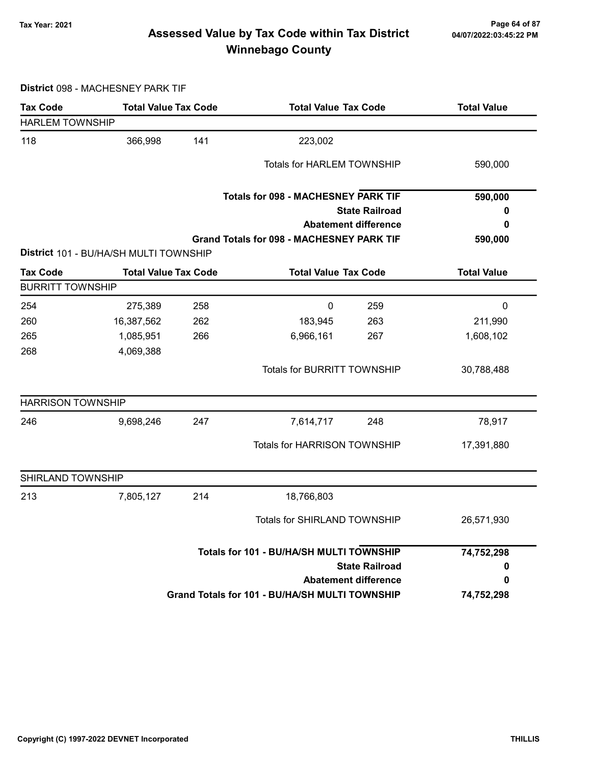### 7ax Year: 2021 Page 64 of 87<br>Assessed Value by Tax Code within Tax District 04/07/2022:03:45:22 PM Winnebago County

District 098 - MACHESNEY PARK TIF

| <b>Tax Code</b>          | <b>Total Value Tax Code</b>            |     | <b>Total Value Tax Code</b>                      |                             | <b>Total Value</b> |  |
|--------------------------|----------------------------------------|-----|--------------------------------------------------|-----------------------------|--------------------|--|
| <b>HARLEM TOWNSHIP</b>   |                                        |     |                                                  |                             |                    |  |
| 118                      | 366,998                                | 141 | 223,002                                          |                             |                    |  |
|                          |                                        |     | <b>Totals for HARLEM TOWNSHIP</b>                |                             | 590,000            |  |
|                          |                                        |     |                                                  |                             |                    |  |
|                          |                                        |     | <b>Totals for 098 - MACHESNEY PARK TIF</b>       |                             | 590,000            |  |
|                          |                                        |     |                                                  | <b>State Railroad</b>       | 0                  |  |
|                          |                                        |     |                                                  | <b>Abatement difference</b> | 0                  |  |
|                          |                                        |     | <b>Grand Totals for 098 - MACHESNEY PARK TIF</b> |                             | 590,000            |  |
|                          | District 101 - BU/HA/SH MULTI TOWNSHIP |     |                                                  |                             |                    |  |
| <b>Tax Code</b>          | <b>Total Value Tax Code</b>            |     | <b>Total Value Tax Code</b>                      |                             | <b>Total Value</b> |  |
| <b>BURRITT TOWNSHIP</b>  |                                        |     |                                                  |                             |                    |  |
| 254                      | 275,389                                | 258 | $\pmb{0}$                                        | 259                         | $\pmb{0}$          |  |
| 260                      | 16,387,562                             | 262 | 183,945                                          | 263                         | 211,990            |  |
| 265                      | 1,085,951                              | 266 | 6,966,161                                        | 267                         | 1,608,102          |  |
| 268                      | 4,069,388                              |     |                                                  |                             |                    |  |
|                          |                                        |     | Totals for BURRITT TOWNSHIP                      |                             | 30,788,488         |  |
| <b>HARRISON TOWNSHIP</b> |                                        |     |                                                  |                             |                    |  |
| 246                      | 9,698,246                              | 247 | 7,614,717                                        | 248                         | 78,917             |  |
|                          |                                        |     | <b>Totals for HARRISON TOWNSHIP</b>              |                             | 17,391,880         |  |
| SHIRLAND TOWNSHIP        |                                        |     |                                                  |                             |                    |  |
| 213                      | 7,805,127                              | 214 | 18,766,803                                       |                             |                    |  |
|                          |                                        |     | <b>Totals for SHIRLAND TOWNSHIP</b>              |                             | 26,571,930         |  |
|                          |                                        |     | Totals for 101 - BU/HA/SH MULTI TOWNSHIP         |                             | 74,752,298         |  |
|                          |                                        |     |                                                  | <b>State Railroad</b>       | 0                  |  |
|                          |                                        |     |                                                  | <b>Abatement difference</b> | 0                  |  |
|                          |                                        |     | Grand Totals for 101 - BU/HA/SH MULTI TOWNSHIP   |                             | 74,752,298         |  |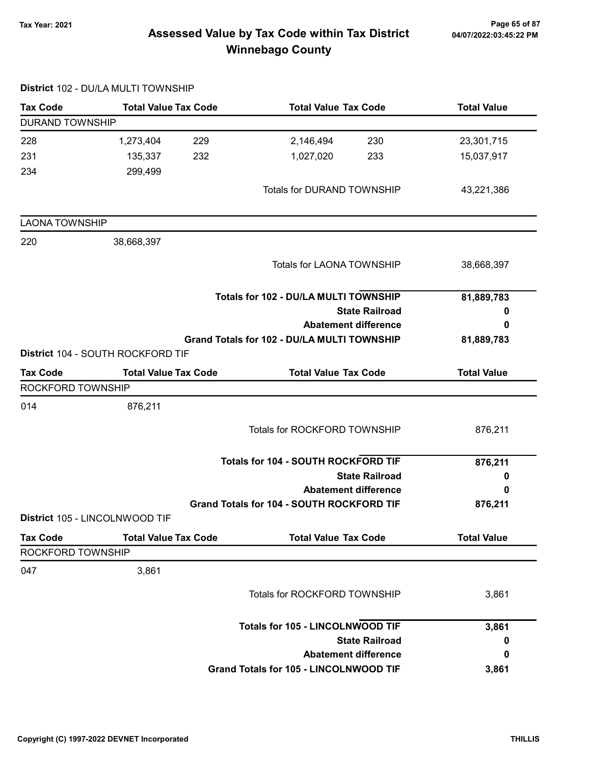### 7ax Year: 2021 Page 65 of 87<br>Assessed Value by Tax Code within Tax District 04/07/2022:03:45:22 PM Winnebago County

|                        | District 102 - DU/LA MULTI TOWNSHIP |                                                    |                    |
|------------------------|-------------------------------------|----------------------------------------------------|--------------------|
| <b>Tax Code</b>        | <b>Total Value Tax Code</b>         | <b>Total Value Tax Code</b>                        | <b>Total Value</b> |
| <b>DURAND TOWNSHIP</b> |                                     |                                                    |                    |
| 228                    | 1,273,404<br>229                    | 2,146,494<br>230                                   | 23,301,715         |
| 231                    | 135,337<br>232                      | 1,027,020<br>233                                   | 15,037,917         |
| 234                    | 299,499                             |                                                    |                    |
|                        |                                     | <b>Totals for DURAND TOWNSHIP</b>                  | 43,221,386         |
| <b>LAONA TOWNSHIP</b>  |                                     |                                                    |                    |
| 220                    | 38,668,397                          |                                                    |                    |
|                        |                                     | <b>Totals for LAONA TOWNSHIP</b>                   | 38,668,397         |
|                        |                                     | Totals for 102 - DU/LA MULTI TOWNSHIP              | 81,889,783         |
|                        |                                     | <b>State Railroad</b>                              | 0                  |
|                        |                                     | <b>Abatement difference</b>                        | 0                  |
|                        | District 104 - SOUTH ROCKFORD TIF   | <b>Grand Totals for 102 - DU/LA MULTI TOWNSHIP</b> | 81,889,783         |
| <b>Tax Code</b>        | <b>Total Value Tax Code</b>         | <b>Total Value Tax Code</b>                        | <b>Total Value</b> |
| ROCKFORD TOWNSHIP      |                                     |                                                    |                    |
| 014                    | 876,211                             |                                                    |                    |
|                        |                                     | Totals for ROCKFORD TOWNSHIP                       | 876,211            |
|                        |                                     | <b>Totals for 104 - SOUTH ROCKFORD TIF</b>         | 876,211            |
|                        |                                     | <b>State Railroad</b>                              | 0                  |
|                        |                                     | <b>Abatement difference</b>                        | 0                  |
|                        |                                     | Grand Totals for 104 - SOUTH ROCKFORD TIF          | 876,211            |
|                        | District 105 - LINCOLNWOOD TIF      |                                                    |                    |
| <b>Tax Code</b>        | <b>Total Value Tax Code</b>         | <b>Total Value Tax Code</b>                        | <b>Total Value</b> |
| ROCKFORD TOWNSHIP      |                                     |                                                    |                    |
| 047                    | 3,861                               |                                                    |                    |
|                        |                                     | Totals for ROCKFORD TOWNSHIP                       | 3,861              |
|                        |                                     | <b>Totals for 105 - LINCOLNWOOD TIF</b>            | 3,861              |
|                        |                                     | <b>State Railroad</b>                              | 0                  |
|                        |                                     | <b>Abatement difference</b>                        | 0                  |
|                        |                                     | <b>Grand Totals for 105 - LINCOLNWOOD TIF</b>      | 3,861              |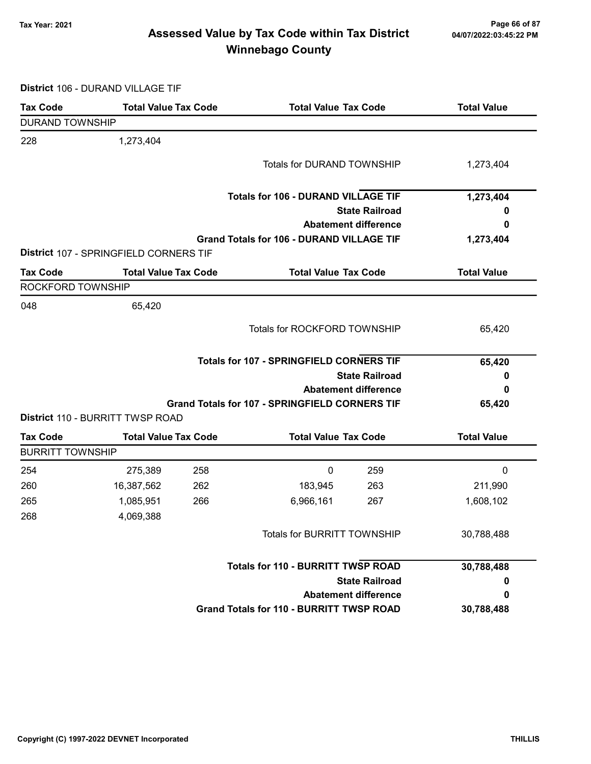### Tax Year: 2021 Page 66 of 87 Assessed Value by Tax Code within Tax District Winnebago County

District 106 - DURAND VILLAGE TIF

| <b>Tax Code</b>         | <b>Total Value Tax Code</b>            |     | <b>Total Value Tax Code</b>                           |                       | <b>Total Value</b> |
|-------------------------|----------------------------------------|-----|-------------------------------------------------------|-----------------------|--------------------|
| <b>DURAND TOWNSHIP</b>  |                                        |     |                                                       |                       |                    |
| 228                     | 1,273,404                              |     |                                                       |                       |                    |
|                         |                                        |     | <b>Totals for DURAND TOWNSHIP</b>                     |                       | 1,273,404          |
|                         |                                        |     | <b>Totals for 106 - DURAND VILLAGE TIF</b>            |                       | 1,273,404          |
|                         |                                        |     |                                                       | <b>State Railroad</b> | o                  |
|                         |                                        |     | <b>Abatement difference</b>                           |                       | 0                  |
|                         | District 107 - SPRINGFIELD CORNERS TIF |     | <b>Grand Totals for 106 - DURAND VILLAGE TIF</b>      |                       | 1,273,404          |
| <b>Tax Code</b>         | <b>Total Value Tax Code</b>            |     | <b>Total Value Tax Code</b>                           |                       | <b>Total Value</b> |
| ROCKFORD TOWNSHIP       |                                        |     |                                                       |                       |                    |
| 048                     | 65,420                                 |     |                                                       |                       |                    |
|                         |                                        |     | Totals for ROCKFORD TOWNSHIP                          |                       | 65,420             |
|                         |                                        |     | <b>Totals for 107 - SPRINGFIELD CORNERS TIF</b>       |                       | 65,420             |
|                         |                                        |     |                                                       | <b>State Railroad</b> | 0                  |
|                         |                                        |     | <b>Abatement difference</b>                           |                       | 0                  |
|                         |                                        |     | <b>Grand Totals for 107 - SPRINGFIELD CORNERS TIF</b> |                       | 65,420             |
|                         | District 110 - BURRITT TWSP ROAD       |     |                                                       |                       |                    |
| <b>Tax Code</b>         | <b>Total Value Tax Code</b>            |     | <b>Total Value Tax Code</b>                           |                       | <b>Total Value</b> |
| <b>BURRITT TOWNSHIP</b> |                                        |     |                                                       |                       |                    |
| 254                     | 275,389                                | 258 | 0                                                     | 259                   | 0                  |
| 260                     | 16,387,562                             | 262 | 183,945                                               | 263                   | 211,990            |
| 265                     | 1,085,951                              | 266 | 6,966,161                                             | 267                   | 1,608,102          |
| 268                     | 4,069,388                              |     |                                                       |                       |                    |
|                         |                                        |     | <b>Totals for BURRITT TOWNSHIP</b>                    |                       | 30,788,488         |
|                         |                                        |     | <b>Totals for 110 - BURRITT TWSP ROAD</b>             |                       | 30,788,488         |
|                         |                                        |     |                                                       | <b>State Railroad</b> | o                  |
|                         |                                        |     | <b>Abatement difference</b>                           |                       | 0                  |
|                         |                                        |     | <b>Grand Totals for 110 - BURRITT TWSP ROAD</b>       |                       | 30,788,488         |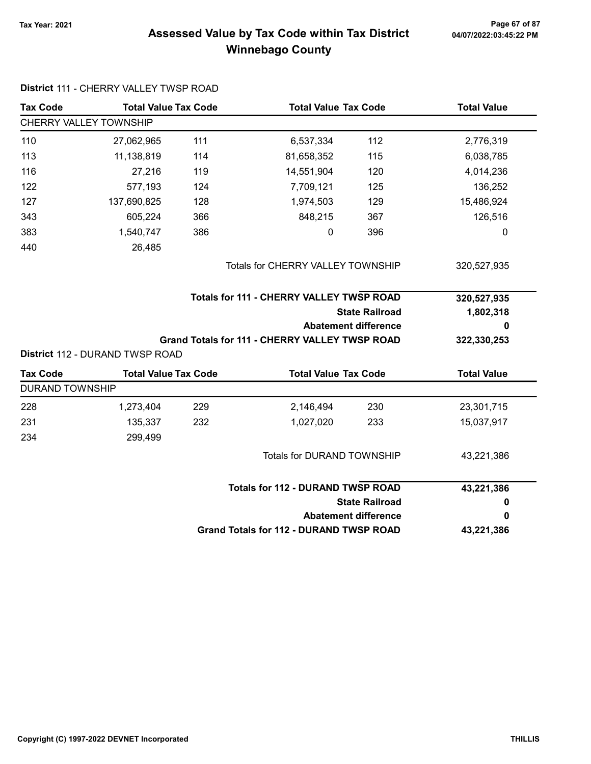### 7ax Year: 2021 Page 67 of 87<br>Assessed Value by Tax Code within Tax District 04/07/2022:03:45:22 PM Winnebago County

| <b>Tax Code</b>        | <b>Total Value Tax Code</b>                                    |     | <b>Total Value Tax Code</b>                           |                             | <b>Total Value</b> |  |
|------------------------|----------------------------------------------------------------|-----|-------------------------------------------------------|-----------------------------|--------------------|--|
|                        | CHERRY VALLEY TOWNSHIP                                         |     |                                                       |                             |                    |  |
| 110                    | 27,062,965                                                     | 111 | 6,537,334                                             | 112                         | 2,776,319          |  |
| 113                    | 11,138,819                                                     | 114 | 81,658,352                                            | 115                         | 6,038,785          |  |
| 116                    | 27,216                                                         | 119 | 14,551,904                                            | 120                         | 4,014,236          |  |
| 122                    | 577,193                                                        | 124 | 7,709,121                                             | 125                         | 136,252            |  |
| 127                    | 137,690,825                                                    | 128 | 1,974,503                                             | 129                         | 15,486,924         |  |
| 343                    | 605,224                                                        | 366 | 848,215                                               | 367                         | 126,516            |  |
| 383                    | 1,540,747                                                      | 386 | 0                                                     | 396                         | 0                  |  |
| 440                    | 26,485                                                         |     |                                                       |                             |                    |  |
|                        |                                                                |     | Totals for CHERRY VALLEY TOWNSHIP                     |                             | 320,527,935        |  |
|                        |                                                                |     | <b>Totals for 111 - CHERRY VALLEY TWSP ROAD</b>       |                             | 320,527,935        |  |
|                        |                                                                |     |                                                       |                             |                    |  |
|                        |                                                                |     |                                                       | <b>State Railroad</b>       | 1,802,318          |  |
|                        |                                                                |     |                                                       | <b>Abatement difference</b> | 0                  |  |
|                        |                                                                |     | <b>Grand Totals for 111 - CHERRY VALLEY TWSP ROAD</b> |                             | 322,330,253        |  |
| <b>Tax Code</b>        | District 112 - DURAND TWSP ROAD<br><b>Total Value Tax Code</b> |     | <b>Total Value Tax Code</b>                           |                             | <b>Total Value</b> |  |
| <b>DURAND TOWNSHIP</b> |                                                                |     |                                                       |                             |                    |  |
| 228                    | 1,273,404                                                      | 229 | 2,146,494                                             | 230                         | 23,301,715         |  |
| 231                    | 135,337                                                        | 232 | 1,027,020                                             | 233                         | 15,037,917         |  |
| 234                    | 299,499                                                        |     |                                                       |                             |                    |  |
|                        |                                                                |     | Totals for DURAND TOWNSHIP                            |                             | 43,221,386         |  |
|                        |                                                                |     | <b>Totals for 112 - DURAND TWSP ROAD</b>              |                             |                    |  |
|                        |                                                                |     |                                                       | <b>State Railroad</b>       | 43,221,386<br>0    |  |
|                        |                                                                |     |                                                       | <b>Abatement difference</b> | 0                  |  |

#### District 111 - CHERRY VALLEY TWSP ROAD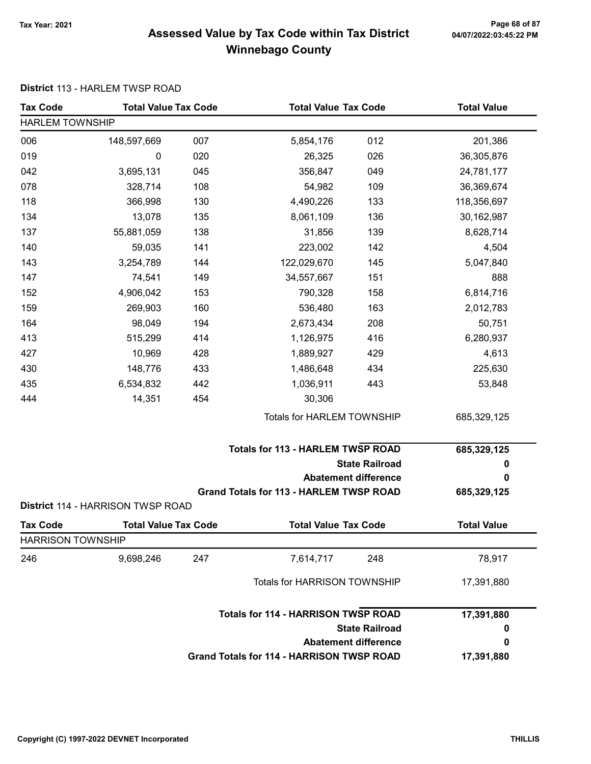### Tax Year: 2021 Page 68 of 87 Assessed Value by Tax Code within Tax District Winnebago County

#### District 113 - HARLEM TWSP ROAD

| <b>Tax Code</b>          | <b>Total Value Tax Code</b>       |     | <b>Total Value Tax Code</b>                      |                             | <b>Total Value</b> |
|--------------------------|-----------------------------------|-----|--------------------------------------------------|-----------------------------|--------------------|
| <b>HARLEM TOWNSHIP</b>   |                                   |     |                                                  |                             |                    |
| 006                      | 148,597,669                       | 007 | 5,854,176                                        | 012                         | 201,386            |
| 019                      | 0                                 | 020 | 26,325                                           | 026                         | 36,305,876         |
| 042                      | 3,695,131                         | 045 | 356,847                                          | 049                         | 24,781,177         |
| 078                      | 328,714                           | 108 | 54,982                                           | 109                         | 36,369,674         |
| 118                      | 366,998                           | 130 | 4,490,226                                        | 133                         | 118,356,697        |
| 134                      | 13,078                            | 135 | 8,061,109                                        | 136                         | 30,162,987         |
| 137                      | 55,881,059                        | 138 | 31,856                                           | 139                         | 8,628,714          |
| 140                      | 59,035                            | 141 | 223,002                                          | 142                         | 4,504              |
| 143                      | 3,254,789                         | 144 | 122,029,670                                      | 145                         | 5,047,840          |
| 147                      | 74,541                            | 149 | 34,557,667                                       | 151                         | 888                |
| 152                      | 4,906,042                         | 153 | 790,328                                          | 158                         | 6,814,716          |
| 159                      | 269,903                           | 160 | 536,480                                          | 163                         | 2,012,783          |
| 164                      | 98,049                            | 194 | 2,673,434                                        | 208                         | 50,751             |
| 413                      | 515,299                           | 414 | 1,126,975                                        | 416                         | 6,280,937          |
| 427                      | 10,969                            | 428 | 1,889,927                                        | 429                         | 4,613              |
| 430                      | 148,776                           | 433 | 1,486,648                                        | 434                         | 225,630            |
| 435                      | 6,534,832                         | 442 | 1,036,911                                        | 443                         | 53,848             |
| 444                      | 14,351                            | 454 | 30,306                                           |                             |                    |
|                          |                                   |     | Totals for HARLEM TOWNSHIP                       |                             | 685,329,125        |
|                          |                                   |     | <b>Totals for 113 - HARLEM TWSP ROAD</b>         |                             | 685,329,125        |
|                          |                                   |     |                                                  | <b>State Railroad</b>       | 0                  |
|                          |                                   |     |                                                  | <b>Abatement difference</b> | 0                  |
|                          | District 114 - HARRISON TWSP ROAD |     | <b>Grand Totals for 113 - HARLEM TWSP ROAD</b>   |                             | 685,329,125        |
| <b>Tax Code</b>          | <b>Total Value Tax Code</b>       |     | <b>Total Value Tax Code</b>                      |                             | <b>Total Value</b> |
| <b>HARRISON TOWNSHIP</b> |                                   |     |                                                  |                             |                    |
| 246                      | 9,698,246                         | 247 | 7,614,717                                        | 248                         | 78,917             |
|                          |                                   |     | <b>Totals for HARRISON TOWNSHIP</b>              |                             | 17,391,880         |
|                          |                                   |     | <b>Totals for 114 - HARRISON TWSP ROAD</b>       |                             | 17,391,880         |
|                          |                                   |     |                                                  | <b>State Railroad</b>       | 0                  |
|                          |                                   |     |                                                  | <b>Abatement difference</b> | 0                  |
|                          |                                   |     | <b>Grand Totals for 114 - HARRISON TWSP ROAD</b> |                             | 17,391,880         |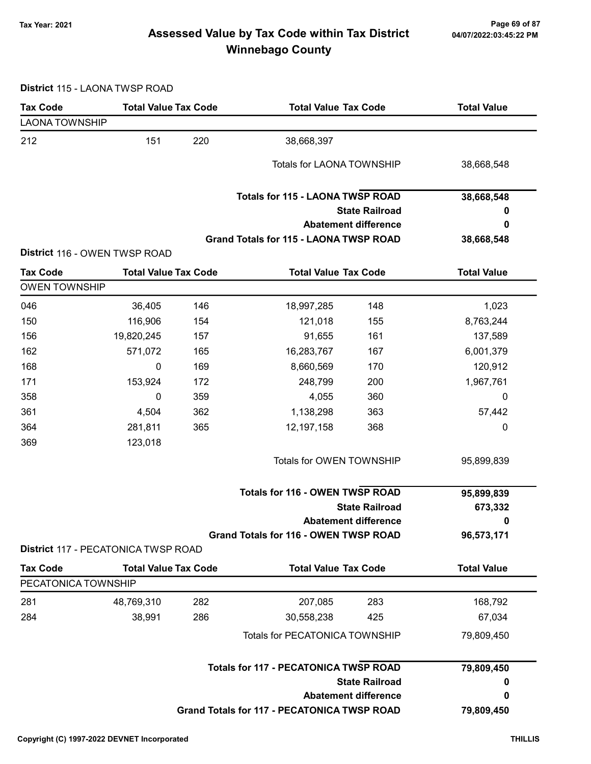### 7ax Year: 2021 Page 69 of 87<br>Assessed Value by Tax Code within Tax District 04/07/2022:03:45:22 PM Winnebago County

District 115 - LAONA TWSP ROAD

| <b>Tax Code</b>       | <b>Total Value Tax Code</b>                |     | <b>Total Value Tax Code</b>                        |                             | <b>Total Value</b> |  |
|-----------------------|--------------------------------------------|-----|----------------------------------------------------|-----------------------------|--------------------|--|
| <b>LAONA TOWNSHIP</b> |                                            |     |                                                    |                             |                    |  |
| 212                   | 151                                        | 220 | 38,668,397                                         |                             |                    |  |
|                       |                                            |     | <b>Totals for LAONA TOWNSHIP</b>                   |                             | 38,668,548         |  |
|                       |                                            |     | <b>Totals for 115 - LAONA TWSP ROAD</b>            |                             | 38,668,548         |  |
|                       |                                            |     |                                                    | <b>State Railroad</b>       | 0                  |  |
|                       |                                            |     |                                                    | <b>Abatement difference</b> | 0                  |  |
|                       |                                            |     | <b>Grand Totals for 115 - LAONA TWSP ROAD</b>      |                             | 38,668,548         |  |
|                       | District 116 - OWEN TWSP ROAD              |     |                                                    |                             |                    |  |
| <b>Tax Code</b>       | <b>Total Value Tax Code</b>                |     | <b>Total Value Tax Code</b>                        |                             | <b>Total Value</b> |  |
| <b>OWEN TOWNSHIP</b>  |                                            |     |                                                    |                             |                    |  |
| 046                   | 36,405                                     | 146 | 18,997,285                                         | 148                         | 1,023              |  |
| 150                   | 116,906                                    | 154 | 121,018                                            | 155                         | 8,763,244          |  |
| 156                   | 19,820,245                                 | 157 | 91,655                                             | 161                         | 137,589            |  |
| 162                   | 571,072                                    | 165 | 16,283,767                                         | 167                         | 6,001,379          |  |
| 168                   | $\pmb{0}$                                  | 169 | 8,660,569                                          | 170                         | 120,912            |  |
| 171                   | 153,924                                    | 172 | 248,799                                            | 200                         | 1,967,761          |  |
| 358                   | 0                                          | 359 | 4,055                                              | 360                         | 0                  |  |
| 361                   | 4,504                                      | 362 | 1,138,298                                          | 363                         | 57,442             |  |
| 364                   | 281,811                                    | 365 | 12,197,158                                         | 368                         | 0                  |  |
| 369                   | 123,018                                    |     |                                                    |                             |                    |  |
|                       |                                            |     | Totals for OWEN TOWNSHIP                           |                             | 95,899,839         |  |
|                       |                                            |     | <b>Totals for 116 - OWEN TWSP ROAD</b>             |                             | 95,899,839         |  |
|                       |                                            |     |                                                    | <b>State Railroad</b>       | 673,332            |  |
|                       |                                            |     |                                                    | <b>Abatement difference</b> | 0                  |  |
|                       | <b>District 117 - PECATONICA TWSP ROAD</b> |     | <b>Grand Totals for 116 - OWEN TWSP ROAD</b>       |                             | 96,573,171         |  |
| <b>Tax Code</b>       | <b>Total Value Tax Code</b>                |     | <b>Total Value Tax Code</b>                        |                             | <b>Total Value</b> |  |
| PECATONICA TOWNSHIP   |                                            |     |                                                    |                             |                    |  |
| 281                   | 48,769,310                                 | 282 | 207,085                                            | 283                         | 168,792            |  |
| 284                   | 38,991                                     | 286 | 30,558,238                                         | 425                         | 67,034             |  |
|                       |                                            |     |                                                    |                             |                    |  |
|                       |                                            |     | Totals for PECATONICA TOWNSHIP                     |                             | 79,809,450         |  |
|                       |                                            |     | <b>Totals for 117 - PECATONICA TWSP ROAD</b>       |                             | 79,809,450         |  |
|                       |                                            |     |                                                    | <b>State Railroad</b>       | 0                  |  |
|                       |                                            |     |                                                    | <b>Abatement difference</b> | 0                  |  |
|                       |                                            |     | <b>Grand Totals for 117 - PECATONICA TWSP ROAD</b> |                             | 79,809,450         |  |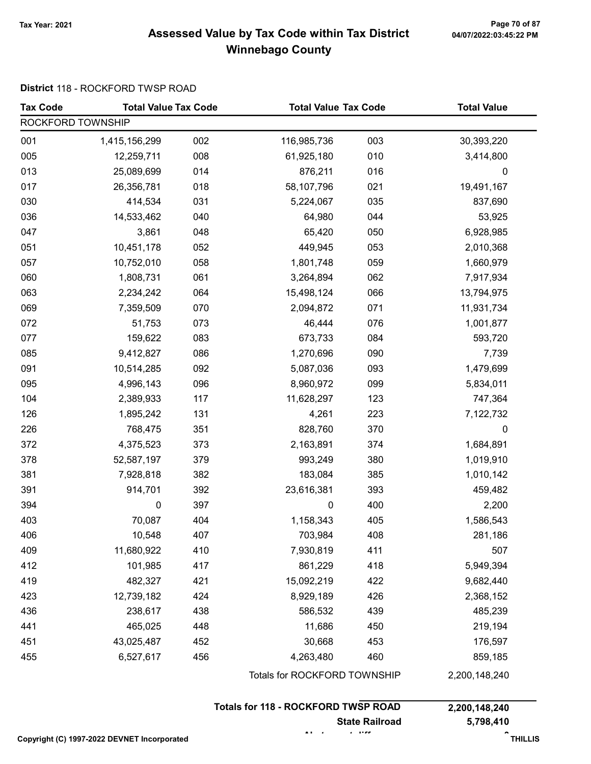### Tax Year: 2021 Page 70 of 87 Assessed Value by Tax Code within Tax District Winnebago County

#### District 118 - ROCKFORD TWSP ROAD

| <b>Tax Code</b>   | <b>Total Value Tax Code</b> |     | <b>Total Value Tax Code</b>  |     | <b>Total Value</b> |  |
|-------------------|-----------------------------|-----|------------------------------|-----|--------------------|--|
| ROCKFORD TOWNSHIP |                             |     |                              |     |                    |  |
| 001               | 1,415,156,299               | 002 | 116,985,736                  | 003 | 30,393,220         |  |
| 005               | 12,259,711                  | 008 | 61,925,180                   | 010 | 3,414,800          |  |
| 013               | 25,089,699                  | 014 | 876,211                      | 016 | 0                  |  |
| 017               | 26,356,781                  | 018 | 58,107,796                   | 021 | 19,491,167         |  |
| 030               | 414,534                     | 031 | 5,224,067                    | 035 | 837,690            |  |
| 036               | 14,533,462                  | 040 | 64,980                       | 044 | 53,925             |  |
| 047               | 3,861                       | 048 | 65,420                       | 050 | 6,928,985          |  |
| 051               | 10,451,178                  | 052 | 449,945                      | 053 | 2,010,368          |  |
| 057               | 10,752,010                  | 058 | 1,801,748                    | 059 | 1,660,979          |  |
| 060               | 1,808,731                   | 061 | 3,264,894                    | 062 | 7,917,934          |  |
| 063               | 2,234,242                   | 064 | 15,498,124                   | 066 | 13,794,975         |  |
| 069               | 7,359,509                   | 070 | 2,094,872                    | 071 | 11,931,734         |  |
| 072               | 51,753                      | 073 | 46,444                       | 076 | 1,001,877          |  |
| 077               | 159,622                     | 083 | 673,733                      | 084 | 593,720            |  |
| 085               | 9,412,827                   | 086 | 1,270,696                    | 090 | 7,739              |  |
| 091               | 10,514,285                  | 092 | 5,087,036                    | 093 | 1,479,699          |  |
| 095               | 4,996,143                   | 096 | 8,960,972                    | 099 | 5,834,011          |  |
| 104               | 2,389,933                   | 117 | 11,628,297                   | 123 | 747,364            |  |
| 126               | 1,895,242                   | 131 | 4,261                        | 223 | 7,122,732          |  |
| 226               | 768,475                     | 351 | 828,760                      | 370 | 0                  |  |
| 372               | 4,375,523                   | 373 | 2,163,891                    | 374 | 1,684,891          |  |
| 378               | 52,587,197                  | 379 | 993,249                      | 380 | 1,019,910          |  |
| 381               | 7,928,818                   | 382 | 183,084                      | 385 | 1,010,142          |  |
| 391               | 914,701                     | 392 | 23,616,381                   | 393 | 459,482            |  |
| 394               | 0                           | 397 | 0                            | 400 | 2,200              |  |
| 403               | 70,087                      | 404 | 1,158,343                    | 405 | 1,586,543          |  |
| 406               | 10,548                      | 407 | 703,984                      | 408 | 281,186            |  |
| 409               | 11,680,922                  | 410 | 7,930,819                    | 411 | 507                |  |
| 412               | 101,985                     | 417 | 861,229                      | 418 | 5,949,394          |  |
| 419               | 482,327                     | 421 | 15,092,219                   | 422 | 9,682,440          |  |
| 423               | 12,739,182                  | 424 | 8,929,189                    | 426 | 2,368,152          |  |
| 436               | 238,617                     | 438 | 586,532                      | 439 | 485,239            |  |
| 441               | 465,025                     | 448 | 11,686                       | 450 | 219,194            |  |
| 451               | 43,025,487                  | 452 | 30,668                       | 453 | 176,597            |  |
| 455               | 6,527,617                   | 456 | 4,263,480                    | 460 | 859,185            |  |
|                   |                             |     | Totals for ROCKFORD TOWNSHIP |     | 2,200,148,240      |  |

| <b>Totals for 118 - ROCKFORD TWSP ROAD</b> | 2,200,148,240 |
|--------------------------------------------|---------------|
| <b>State Railroad</b>                      | 5,798,410     |
|                                            |               |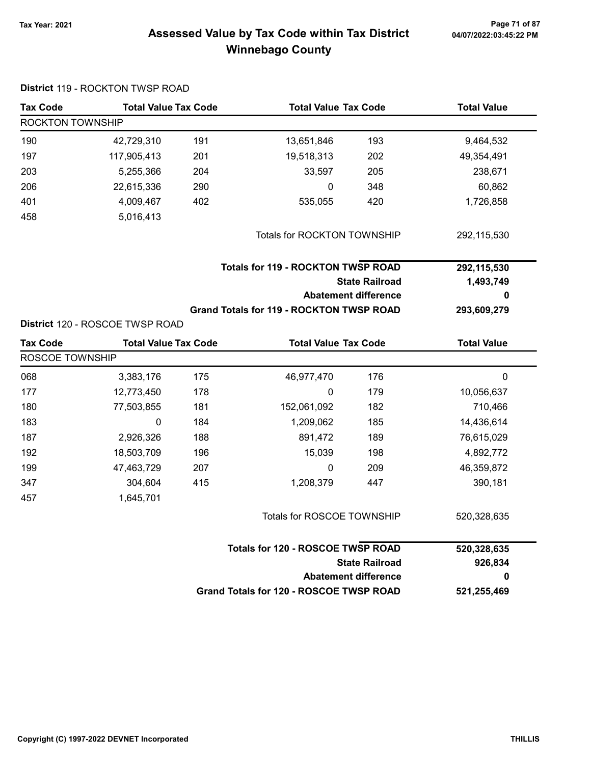#### Tax Year: 2021 Page 71 of 87 Assessed Value by Tax Code within Tax District 04/07/2022:03:45:22 PM Winnebago County

|                  | District 119 - ROCKTON TWSP ROAD |     |                                                 |                             |                    |  |
|------------------|----------------------------------|-----|-------------------------------------------------|-----------------------------|--------------------|--|
| <b>Tax Code</b>  | <b>Total Value Tax Code</b>      |     | <b>Total Value Tax Code</b>                     |                             | <b>Total Value</b> |  |
| ROCKTON TOWNSHIP |                                  |     |                                                 |                             |                    |  |
| 190              | 42,729,310                       | 191 | 13,651,846                                      | 193                         | 9,464,532          |  |
| 197              | 117,905,413                      | 201 | 19,518,313                                      | 202                         | 49,354,491         |  |
| 203              | 5,255,366                        | 204 | 33,597                                          | 205                         | 238,671            |  |
| 206              | 22,615,336                       | 290 | 0                                               | 348                         | 60,862             |  |
| 401              | 4,009,467                        | 402 | 535,055                                         | 420                         | 1,726,858          |  |
| 458              | 5,016,413                        |     |                                                 |                             |                    |  |
|                  |                                  |     | <b>Totals for ROCKTON TOWNSHIP</b>              |                             | 292,115,530        |  |
|                  |                                  |     |                                                 |                             |                    |  |
|                  |                                  |     | <b>Totals for 119 - ROCKTON TWSP ROAD</b>       |                             | 292,115,530        |  |
|                  |                                  |     |                                                 | <b>State Railroad</b>       | 1,493,749          |  |
|                  |                                  |     |                                                 | <b>Abatement difference</b> | 0                  |  |
|                  |                                  |     | <b>Grand Totals for 119 - ROCKTON TWSP ROAD</b> |                             | 293,609,279        |  |
|                  | District 120 - ROSCOE TWSP ROAD  |     |                                                 |                             |                    |  |
| <b>Tax Code</b>  | <b>Total Value Tax Code</b>      |     | <b>Total Value Tax Code</b>                     |                             | <b>Total Value</b> |  |
| ROSCOE TOWNSHIP  |                                  |     |                                                 |                             |                    |  |
| 068              | 3,383,176                        | 175 | 46,977,470                                      | 176                         | $\mathbf 0$        |  |
| 177              | 12,773,450                       | 178 | 0                                               | 179                         | 10,056,637         |  |
| 180              | 77,503,855                       | 181 | 152,061,092                                     | 182                         | 710,466            |  |
| 183              | 0                                | 184 | 1,209,062                                       | 185                         | 14,436,614         |  |
| 187              | 2,926,326                        | 188 | 891,472                                         | 189                         | 76,615,029         |  |
| 192              | 18,503,709                       | 196 | 15,039                                          | 198                         | 4,892,772          |  |
| 199              | 47,463,729                       | 207 | 0                                               | 209                         | 46,359,872         |  |
| 347              | 304,604                          | 415 | 1,208,379                                       | 447                         | 390,181            |  |
| 457              | 1,645,701                        |     |                                                 |                             |                    |  |
|                  |                                  |     | Totals for ROSCOE TOWNSHIP                      |                             | 520,328,635        |  |
|                  |                                  |     | <b>Totals for 120 - ROSCOE TWSP ROAD</b>        |                             | 520,328,635        |  |
|                  |                                  |     |                                                 | <b>State Railroad</b>       | 926,834            |  |
|                  |                                  |     |                                                 | <b>Abatement difference</b> | 0                  |  |
|                  |                                  |     | Grand Totals for 120 - ROSCOE TWSP ROAD         |                             | 521,255,469        |  |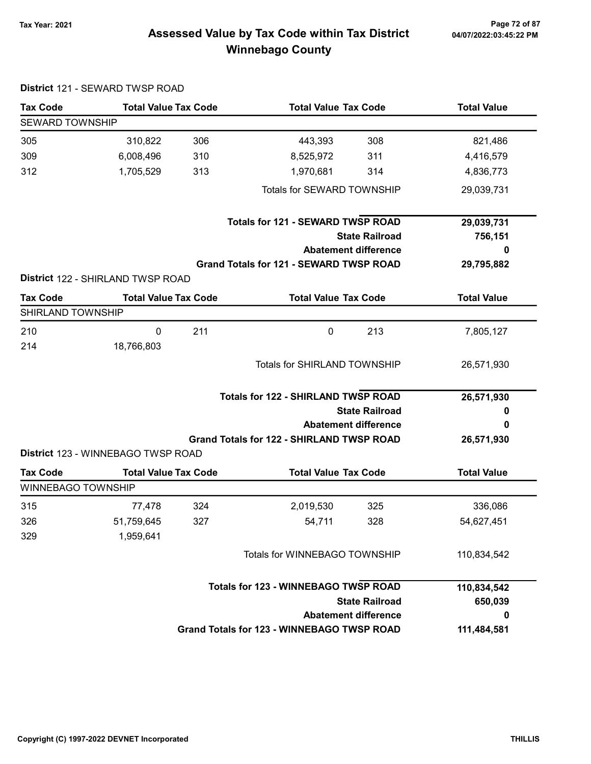District 121 - SEWARD TWSP ROAD

## Tax Year: 2021 Page 72 of 87 Assessed Value by Tax Code within Tax District Winnebago County

| <b>Tax Code</b>           | <b>Total Value Tax Code</b>                                |                                            |                                                   | <b>Total Value Tax Code</b> |                    |  |
|---------------------------|------------------------------------------------------------|--------------------------------------------|---------------------------------------------------|-----------------------------|--------------------|--|
| <b>SEWARD TOWNSHIP</b>    |                                                            |                                            |                                                   |                             |                    |  |
| 305                       | 310,822                                                    | 306                                        | 443,393                                           | 308                         | 821,486            |  |
| 309                       | 6,008,496                                                  | 310                                        | 8,525,972                                         | 311                         | 4,416,579          |  |
| 312                       | 1,705,529                                                  | 313                                        | 1,970,681                                         | 314                         | 4,836,773          |  |
|                           |                                                            |                                            | Totals for SEWARD TOWNSHIP                        |                             | 29,039,731         |  |
|                           |                                                            |                                            | <b>Totals for 121 - SEWARD TWSP ROAD</b>          |                             | 29,039,731         |  |
|                           |                                                            |                                            | <b>State Railroad</b>                             |                             | 756,151            |  |
|                           |                                                            |                                            | <b>Abatement difference</b>                       |                             | 0                  |  |
|                           | <b>District 122 - SHIRLAND TWSP ROAD</b>                   |                                            | Grand Totals for 121 - SEWARD TWSP ROAD           |                             | 29,795,882         |  |
| <b>Tax Code</b>           | <b>Total Value Tax Code</b>                                |                                            | <b>Total Value Tax Code</b>                       |                             | <b>Total Value</b> |  |
| SHIRLAND TOWNSHIP         |                                                            |                                            |                                                   |                             |                    |  |
| 210                       | $\mathbf 0$                                                | 211                                        | $\mathbf 0$                                       | 213                         | 7,805,127          |  |
| 214                       | 18,766,803                                                 |                                            |                                                   |                             |                    |  |
|                           |                                                            |                                            | <b>Totals for SHIRLAND TOWNSHIP</b>               |                             | 26,571,930         |  |
|                           |                                                            | <b>Totals for 122 - SHIRLAND TWSP ROAD</b> |                                                   |                             | 26,571,930         |  |
|                           |                                                            |                                            | <b>State Railroad</b>                             | o                           |                    |  |
|                           |                                                            |                                            |                                                   | <b>Abatement difference</b> |                    |  |
|                           | District 123 - WINNEBAGO TWSP ROAD                         |                                            | <b>Grand Totals for 122 - SHIRLAND TWSP ROAD</b>  |                             | 26,571,930         |  |
| <b>Tax Code</b>           | <b>Total Value Tax Code</b><br><b>Total Value Tax Code</b> |                                            |                                                   | <b>Total Value</b>          |                    |  |
| <b>WINNEBAGO TOWNSHIP</b> |                                                            |                                            |                                                   |                             |                    |  |
| 315                       | 77,478                                                     | 324                                        | 2,019,530                                         | 325                         | 336,086            |  |
| 326                       | 51,759,645                                                 | 327                                        | 54,711                                            | 328                         | 54,627,451         |  |
| 329                       | 1,959,641                                                  |                                            |                                                   |                             |                    |  |
|                           |                                                            |                                            | Totals for WINNEBAGO TOWNSHIP                     | 110,834,542                 |                    |  |
|                           |                                                            |                                            | <b>Totals for 123 - WINNEBAGO TWSP ROAD</b>       | 110,834,542                 |                    |  |
|                           |                                                            |                                            | <b>State Railroad</b>                             | 650,039                     |                    |  |
|                           |                                                            |                                            |                                                   |                             |                    |  |
|                           |                                                            |                                            | <b>Grand Totals for 123 - WINNEBAGO TWSP ROAD</b> | <b>Abatement difference</b> | 0<br>111,484,581   |  |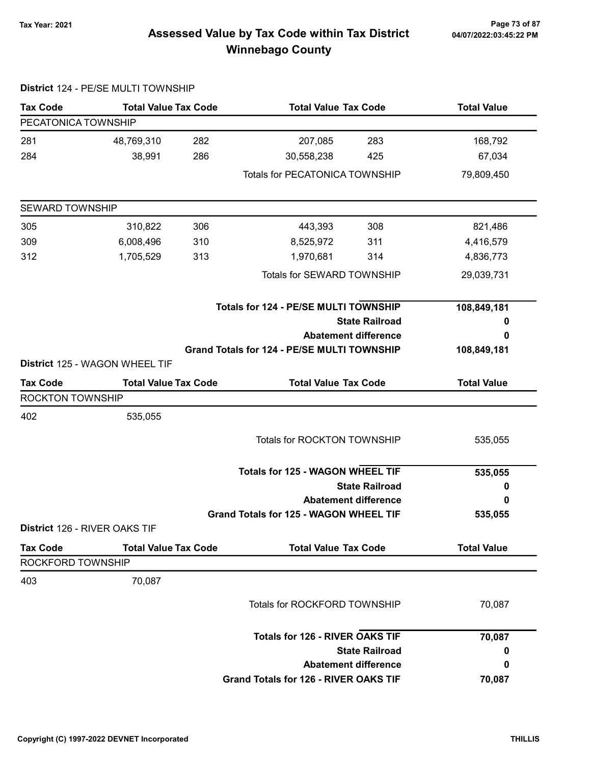## 04/07/2022:03:45:22 PM

### Tax Year: 2021 Page 73 of 87 Assessed Value by Tax Code within Tax District Winnebago County

| <b>Tax Code</b>        | <b>Total Value Tax Code</b>    |     | <b>Total Value Tax Code</b>                        |                             | <b>Total Value</b> |
|------------------------|--------------------------------|-----|----------------------------------------------------|-----------------------------|--------------------|
| PECATONICA TOWNSHIP    |                                |     |                                                    |                             |                    |
| 281                    | 48,769,310                     | 282 | 207,085                                            | 283                         | 168,792            |
| 284                    | 38,991                         | 286 | 30,558,238                                         | 425                         | 67,034             |
|                        |                                |     | <b>Totals for PECATONICA TOWNSHIP</b>              |                             | 79,809,450         |
| <b>SEWARD TOWNSHIP</b> |                                |     |                                                    |                             |                    |
| 305                    | 310,822                        | 306 | 443,393                                            | 308                         | 821,486            |
| 309                    | 6,008,496                      | 310 | 8,525,972                                          | 311                         | 4,416,579          |
| 312                    | 1,705,529                      | 313 | 1,970,681                                          | 314                         | 4,836,773          |
|                        |                                |     | Totals for SEWARD TOWNSHIP                         |                             | 29,039,731         |
|                        |                                |     | Totals for 124 - PE/SE MULTI TOWNSHIP              |                             | 108,849,181        |
|                        |                                |     |                                                    | <b>State Railroad</b>       | 0                  |
|                        |                                |     |                                                    | <b>Abatement difference</b> | 0                  |
|                        | District 125 - WAGON WHEEL TIF |     | <b>Grand Totals for 124 - PE/SE MULTI TOWNSHIP</b> |                             | 108,849,181        |
| <b>Tax Code</b>        | <b>Total Value Tax Code</b>    |     | <b>Total Value Tax Code</b>                        |                             | <b>Total Value</b> |
| ROCKTON TOWNSHIP       |                                |     |                                                    |                             |                    |
| 402                    | 535,055                        |     |                                                    |                             |                    |
|                        |                                |     | <b>Totals for ROCKTON TOWNSHIP</b>                 |                             | 535,055            |
|                        |                                |     | <b>Totals for 125 - WAGON WHEEL TIF</b>            |                             | 535,055            |
|                        |                                |     |                                                    | <b>State Railroad</b>       | 0                  |
|                        |                                |     |                                                    | <b>Abatement difference</b> | 0                  |
|                        |                                |     | Grand Totals for 125 - WAGON WHEEL TIF             |                             | 535,055            |
|                        | District 126 - RIVER OAKS TIF  |     |                                                    |                             |                    |
| <b>Tax Code</b>        | <b>Total Value Tax Code</b>    |     | <b>Total Value Tax Code</b>                        |                             | <b>Total Value</b> |
| ROCKFORD TOWNSHIP      |                                |     |                                                    |                             |                    |
| 403                    | 70,087                         |     |                                                    |                             |                    |
|                        |                                |     | <b>Totals for ROCKFORD TOWNSHIP</b>                |                             | 70,087             |
|                        |                                |     | <b>Totals for 126 - RIVER OAKS TIF</b>             |                             | 70,087             |
|                        |                                |     |                                                    | <b>State Railroad</b>       | 0                  |
|                        |                                |     |                                                    | <b>Abatement difference</b> | 0                  |
|                        |                                |     | Grand Totals for 126 - RIVER OAKS TIF              |                             | 70,087             |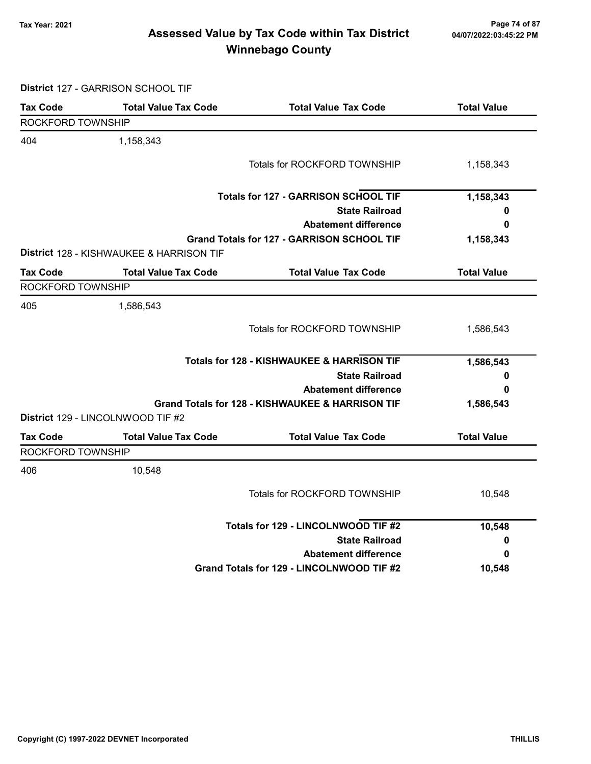### 7ax Year: 2021 Page 74 of 87<br>Assessed Value by Tax Code within Tax District 04/07/2022:03:45:22 PM Winnebago County

District 127 - GARRISON SCHOOL TIF

| <b>Tax Code</b>   | <b>Total Value Tax Code</b>              | <b>Total Value Tax Code</b>                      | <b>Total Value</b> |
|-------------------|------------------------------------------|--------------------------------------------------|--------------------|
| ROCKFORD TOWNSHIP |                                          |                                                  |                    |
| 404               | 1,158,343                                |                                                  |                    |
|                   |                                          | Totals for ROCKFORD TOWNSHIP                     | 1,158,343          |
|                   |                                          | <b>Totals for 127 - GARRISON SCHOOL TIF</b>      | 1,158,343          |
|                   |                                          | <b>State Railroad</b>                            | 0                  |
|                   |                                          | <b>Abatement difference</b>                      | 0                  |
|                   |                                          | Grand Totals for 127 - GARRISON SCHOOL TIF       | 1,158,343          |
|                   | District 128 - KISHWAUKEE & HARRISON TIF |                                                  |                    |
| <b>Tax Code</b>   | <b>Total Value Tax Code</b>              | <b>Total Value Tax Code</b>                      | <b>Total Value</b> |
| ROCKFORD TOWNSHIP |                                          |                                                  |                    |
| 405               | 1,586,543                                |                                                  |                    |
|                   |                                          | Totals for ROCKFORD TOWNSHIP                     | 1,586,543          |
|                   |                                          | Totals for 128 - KISHWAUKEE & HARRISON TIF       | 1,586,543          |
|                   |                                          | <b>State Railroad</b>                            | 0                  |
|                   |                                          | <b>Abatement difference</b>                      | 0                  |
|                   |                                          | Grand Totals for 128 - KISHWAUKEE & HARRISON TIF | 1,586,543          |
|                   | District 129 - LINCOLNWOOD TIF #2        |                                                  |                    |
| <b>Tax Code</b>   | <b>Total Value Tax Code</b>              | <b>Total Value Tax Code</b>                      | <b>Total Value</b> |
| ROCKFORD TOWNSHIP |                                          |                                                  |                    |
| 406               | 10,548                                   |                                                  |                    |
|                   |                                          | Totals for ROCKFORD TOWNSHIP                     | 10,548             |
|                   |                                          | Totals for 129 - LINCOLNWOOD TIF #2              | 10,548             |
|                   |                                          | <b>State Railroad</b>                            | 0                  |
|                   |                                          | <b>Abatement difference</b>                      | 0                  |
|                   |                                          | Grand Totals for 129 - LINCOLNWOOD TIF #2        | 10,548             |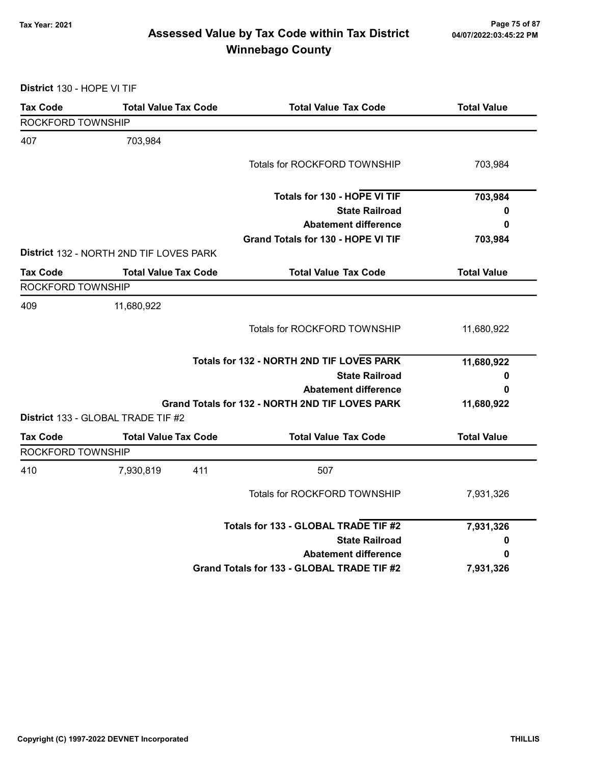### 78 Page 75 of 87<br>Assessed Value by Tax Code within Tax District مa/07/2022:03:45:22 PM Winnebago County

District 130 - HOPE VI TIF

| <b>Tax Code</b>   | <b>Total Value Tax Code</b>             | <b>Total Value Tax Code</b>                     | <b>Total Value</b> |
|-------------------|-----------------------------------------|-------------------------------------------------|--------------------|
| ROCKFORD TOWNSHIP |                                         |                                                 |                    |
| 407               | 703,984                                 |                                                 |                    |
|                   |                                         | Totals for ROCKFORD TOWNSHIP                    | 703,984            |
|                   |                                         | Totals for 130 - HOPE VI TIF                    | 703,984            |
|                   |                                         | <b>State Railroad</b>                           | 0                  |
|                   |                                         | <b>Abatement difference</b>                     | 0                  |
|                   |                                         | Grand Totals for 130 - HOPE VI TIF              | 703,984            |
|                   | District 132 - NORTH 2ND TIF LOVES PARK |                                                 |                    |
| <b>Tax Code</b>   | <b>Total Value Tax Code</b>             | <b>Total Value Tax Code</b>                     | <b>Total Value</b> |
| ROCKFORD TOWNSHIP |                                         |                                                 |                    |
| 409               | 11,680,922                              |                                                 |                    |
|                   |                                         | Totals for ROCKFORD TOWNSHIP                    | 11,680,922         |
|                   |                                         | Totals for 132 - NORTH 2ND TIF LOVES PARK       | 11,680,922         |
|                   |                                         | <b>State Railroad</b>                           | 0                  |
|                   |                                         | <b>Abatement difference</b>                     | 0                  |
|                   | District 133 - GLOBAL TRADE TIF #2      | Grand Totals for 132 - NORTH 2ND TIF LOVES PARK | 11,680,922         |
| <b>Tax Code</b>   | <b>Total Value Tax Code</b>             | <b>Total Value Tax Code</b>                     | <b>Total Value</b> |
| ROCKFORD TOWNSHIP |                                         |                                                 |                    |
| 410               | 7,930,819<br>411                        | 507                                             |                    |
|                   |                                         | Totals for ROCKFORD TOWNSHIP                    | 7,931,326          |
|                   |                                         | Totals for 133 - GLOBAL TRADE TIF #2            | 7,931,326          |
|                   |                                         | <b>State Railroad</b>                           | 0                  |
|                   |                                         | <b>Abatement difference</b>                     | 0                  |
|                   |                                         | Grand Totals for 133 - GLOBAL TRADE TIF #2      | 7,931,326          |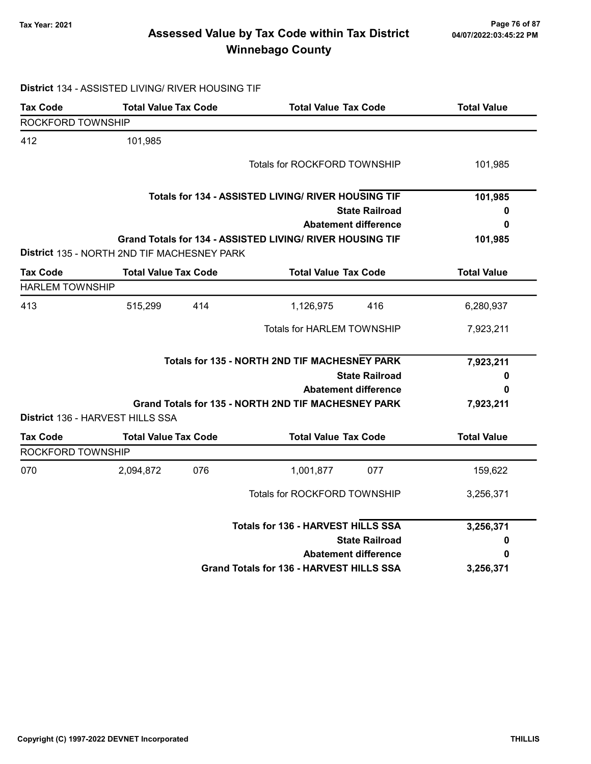### Tax Year: 2021 Page 76 of 87 Assessed Value by Tax Code within Tax District Winnebago County

# District 134 - ASSISTED LIVING/ RIVER HOUSING TIF

| <b>Tax Code</b>        | <b>Total Value Tax Code</b>                 |     | <b>Total Value Tax Code</b>                               |                             | <b>Total Value</b> |
|------------------------|---------------------------------------------|-----|-----------------------------------------------------------|-----------------------------|--------------------|
| ROCKFORD TOWNSHIP      |                                             |     |                                                           |                             |                    |
| 412                    | 101,985                                     |     |                                                           |                             |                    |
|                        |                                             |     | Totals for ROCKFORD TOWNSHIP                              |                             | 101,985            |
|                        |                                             |     | Totals for 134 - ASSISTED LIVING/ RIVER HOUSING TIF       |                             | 101,985            |
|                        |                                             |     |                                                           | <b>State Railroad</b>       | 0                  |
|                        |                                             |     |                                                           | <b>Abatement difference</b> | 0                  |
|                        |                                             |     | Grand Totals for 134 - ASSISTED LIVING/ RIVER HOUSING TIF |                             | 101,985            |
|                        | District 135 - NORTH 2ND TIF MACHESNEY PARK |     |                                                           |                             |                    |
| <b>Tax Code</b>        | <b>Total Value Tax Code</b>                 |     | <b>Total Value Tax Code</b>                               |                             | <b>Total Value</b> |
| <b>HARLEM TOWNSHIP</b> |                                             |     |                                                           |                             |                    |
| 413                    | 515,299                                     | 414 | 1,126,975                                                 | 416                         | 6,280,937          |
|                        |                                             |     | <b>Totals for HARLEM TOWNSHIP</b>                         |                             | 7,923,211          |
|                        |                                             |     | Totals for 135 - NORTH 2ND TIF MACHESNEY PARK             |                             | 7,923,211          |
|                        |                                             |     |                                                           | <b>State Railroad</b>       | 0                  |
|                        |                                             |     |                                                           | <b>Abatement difference</b> | 0                  |
|                        |                                             |     | Grand Totals for 135 - NORTH 2ND TIF MACHESNEY PARK       |                             | 7,923,211          |
|                        | District 136 - HARVEST HILLS SSA            |     |                                                           |                             |                    |
| <b>Tax Code</b>        | <b>Total Value Tax Code</b>                 |     | <b>Total Value Tax Code</b>                               |                             | <b>Total Value</b> |
| ROCKFORD TOWNSHIP      |                                             |     |                                                           |                             |                    |
| 070                    | 2,094,872                                   | 076 | 1,001,877                                                 | 077                         | 159,622            |
|                        |                                             |     | <b>Totals for ROCKFORD TOWNSHIP</b>                       |                             | 3,256,371          |
|                        |                                             |     | <b>Totals for 136 - HARVEST HILLS SSA</b>                 |                             | 3,256,371          |
|                        |                                             |     |                                                           | <b>State Railroad</b>       | 0                  |
|                        |                                             |     |                                                           | <b>Abatement difference</b> | 0                  |
|                        |                                             |     | Grand Totals for 136 - HARVEST HILLS SSA                  |                             | 3,256,371          |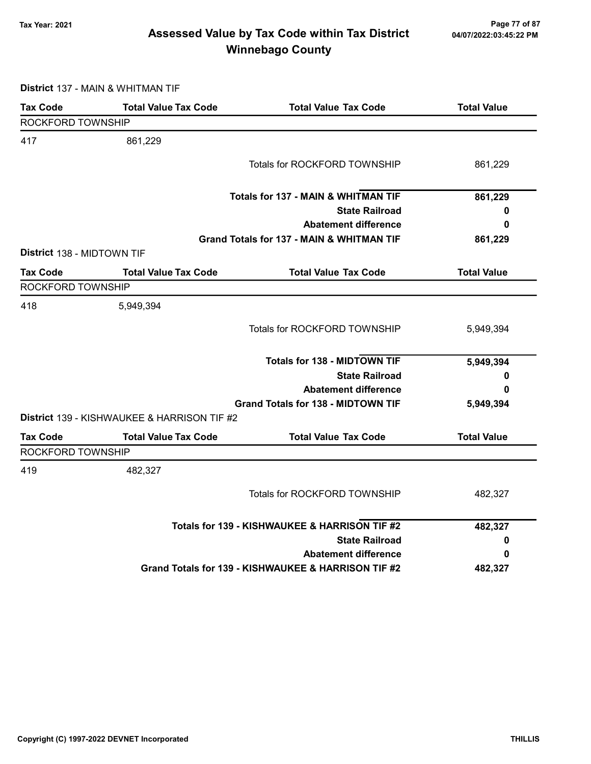### 77 of 87<br>Assessed Value by Tax Code within Tax District <sub>04/07/2022:03:45:22</sub> pm Winnebago County

District 137 - MAIN & WHITMAN TIF

| <b>Tax Code</b>            | <b>Total Value Tax Code</b>                 | <b>Total Value Tax Code</b>                         | <b>Total Value</b> |
|----------------------------|---------------------------------------------|-----------------------------------------------------|--------------------|
| ROCKFORD TOWNSHIP          |                                             |                                                     |                    |
| 417                        | 861,229                                     |                                                     |                    |
|                            |                                             | <b>Totals for ROCKFORD TOWNSHIP</b>                 | 861,229            |
|                            |                                             | <b>Totals for 137 - MAIN &amp; WHITMAN TIF</b>      | 861,229            |
|                            |                                             | <b>State Railroad</b>                               | 0                  |
|                            |                                             | <b>Abatement difference</b>                         | 0                  |
|                            |                                             | Grand Totals for 137 - MAIN & WHITMAN TIF           | 861,229            |
| District 138 - MIDTOWN TIF |                                             |                                                     |                    |
| <b>Tax Code</b>            | <b>Total Value Tax Code</b>                 | <b>Total Value Tax Code</b>                         | <b>Total Value</b> |
| ROCKFORD TOWNSHIP          |                                             |                                                     |                    |
| 418                        | 5,949,394                                   |                                                     |                    |
|                            |                                             | Totals for ROCKFORD TOWNSHIP                        | 5,949,394          |
|                            |                                             | <b>Totals for 138 - MIDTOWN TIF</b>                 | 5,949,394          |
|                            |                                             | <b>State Railroad</b>                               | 0                  |
|                            |                                             | <b>Abatement difference</b>                         | 0                  |
|                            |                                             | <b>Grand Totals for 138 - MIDTOWN TIF</b>           | 5,949,394          |
|                            | District 139 - KISHWAUKEE & HARRISON TIF #2 |                                                     |                    |
| <b>Tax Code</b>            | <b>Total Value Tax Code</b>                 | <b>Total Value Tax Code</b>                         | <b>Total Value</b> |
| ROCKFORD TOWNSHIP          |                                             |                                                     |                    |
| 419                        | 482,327                                     |                                                     |                    |
|                            |                                             | <b>Totals for ROCKFORD TOWNSHIP</b>                 | 482,327            |
|                            |                                             | Totals for 139 - KISHWAUKEE & HARRISON TIF #2       | 482,327            |
|                            |                                             | <b>State Railroad</b>                               | 0                  |
|                            |                                             | <b>Abatement difference</b>                         | 0                  |
|                            |                                             | Grand Totals for 139 - KISHWAUKEE & HARRISON TIF #2 | 482,327            |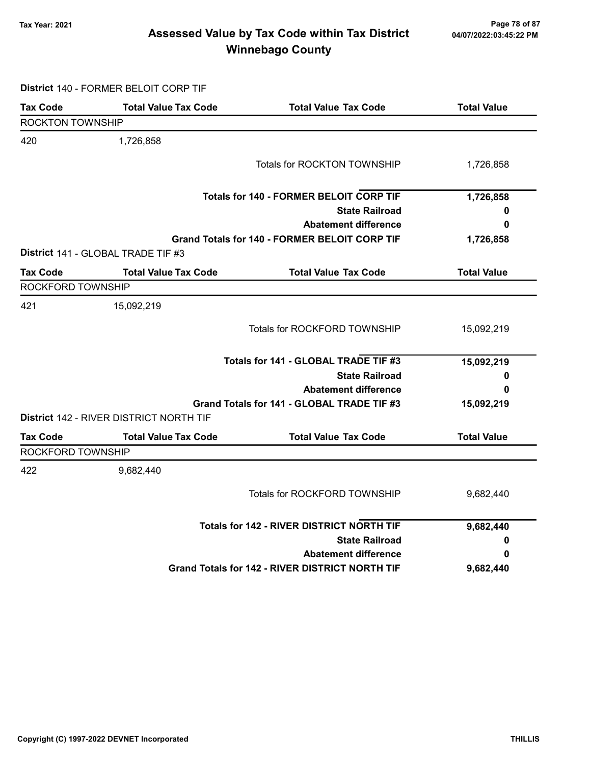### Tax Year: 2021 Page 78 of 87 Assessed Value by Tax Code within Tax District Winnebago County

District 140 - FORMER BELOIT CORP TIF

| <b>Tax Code</b>         | <b>Total Value Tax Code</b>             | <b>Total Value Tax Code</b>                            | <b>Total Value</b> |
|-------------------------|-----------------------------------------|--------------------------------------------------------|--------------------|
| <b>ROCKTON TOWNSHIP</b> |                                         |                                                        |                    |
| 420                     | 1,726,858                               |                                                        |                    |
|                         |                                         | Totals for ROCKTON TOWNSHIP                            | 1,726,858          |
|                         |                                         | <b>Totals for 140 - FORMER BELOIT CORP TIF</b>         | 1,726,858          |
|                         |                                         | <b>State Railroad</b>                                  | 0                  |
|                         |                                         | <b>Abatement difference</b>                            | 0                  |
|                         |                                         | <b>Grand Totals for 140 - FORMER BELOIT CORP TIF</b>   | 1,726,858          |
|                         | District 141 - GLOBAL TRADE TIF #3      |                                                        |                    |
| Tax Code                | <b>Total Value Tax Code</b>             | <b>Total Value Tax Code</b>                            | <b>Total Value</b> |
| ROCKFORD TOWNSHIP       |                                         |                                                        |                    |
| 421                     | 15,092,219                              |                                                        |                    |
|                         |                                         | Totals for ROCKFORD TOWNSHIP                           | 15,092,219         |
|                         |                                         | Totals for 141 - GLOBAL TRADE TIF #3                   | 15,092,219         |
|                         |                                         | <b>State Railroad</b>                                  | 0                  |
|                         |                                         | <b>Abatement difference</b>                            | 0                  |
|                         |                                         | Grand Totals for 141 - GLOBAL TRADE TIF #3             | 15,092,219         |
|                         | District 142 - RIVER DISTRICT NORTH TIF |                                                        |                    |
| <b>Tax Code</b>         | <b>Total Value Tax Code</b>             | <b>Total Value Tax Code</b>                            | <b>Total Value</b> |
| ROCKFORD TOWNSHIP       |                                         |                                                        |                    |
| 422                     | 9,682,440                               |                                                        |                    |
|                         |                                         | <b>Totals for ROCKFORD TOWNSHIP</b>                    | 9,682,440          |
|                         |                                         | <b>Totals for 142 - RIVER DISTRICT NORTH TIF</b>       | 9,682,440          |
|                         |                                         | <b>State Railroad</b>                                  | 0                  |
|                         |                                         | <b>Abatement difference</b>                            | 0                  |
|                         |                                         | <b>Grand Totals for 142 - RIVER DISTRICT NORTH TIF</b> | 9,682,440          |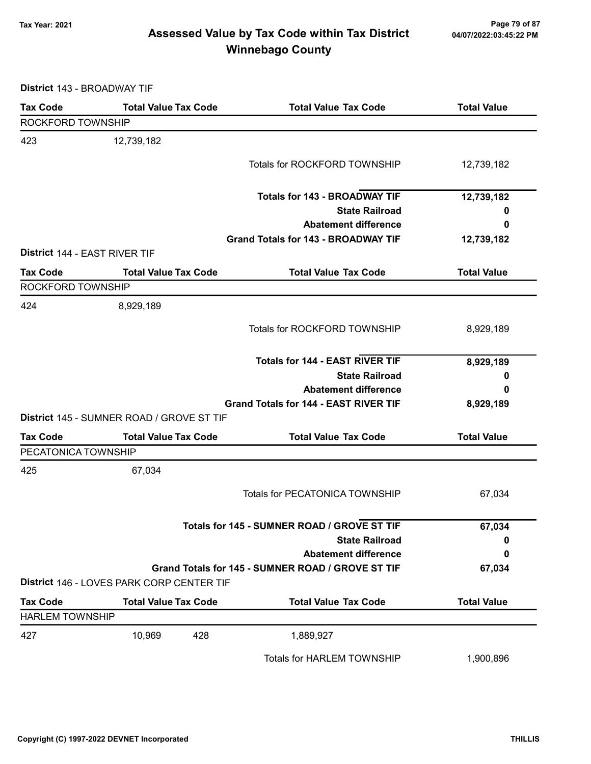### Tax Year: 2021 Page 79 of 87 Assessed Value by Tax Code within Tax District Winnebago County

District 143 - BROADWAY TIF

| <b>Tax Code</b>               | <b>Total Value Tax Code</b>               | <b>Total Value Tax Code</b>                       | <b>Total Value</b> |
|-------------------------------|-------------------------------------------|---------------------------------------------------|--------------------|
| ROCKFORD TOWNSHIP             |                                           |                                                   |                    |
| 423                           | 12,739,182                                |                                                   |                    |
|                               |                                           | Totals for ROCKFORD TOWNSHIP                      | 12,739,182         |
|                               |                                           |                                                   |                    |
|                               |                                           | <b>Totals for 143 - BROADWAY TIF</b>              | 12,739,182         |
|                               |                                           | <b>State Railroad</b>                             | 0                  |
|                               |                                           | <b>Abatement difference</b>                       | 0                  |
|                               |                                           | <b>Grand Totals for 143 - BROADWAY TIF</b>        | 12,739,182         |
| District 144 - EAST RIVER TIF |                                           |                                                   |                    |
| <b>Tax Code</b>               | <b>Total Value Tax Code</b>               | <b>Total Value Tax Code</b>                       | <b>Total Value</b> |
| ROCKFORD TOWNSHIP             |                                           |                                                   |                    |
| 424                           | 8,929,189                                 |                                                   |                    |
|                               |                                           | Totals for ROCKFORD TOWNSHIP                      | 8,929,189          |
|                               |                                           |                                                   |                    |
|                               |                                           | <b>Totals for 144 - EAST RIVER TIF</b>            | 8,929,189          |
|                               |                                           | <b>State Railroad</b>                             | 0                  |
|                               |                                           | <b>Abatement difference</b>                       | 0                  |
|                               |                                           | <b>Grand Totals for 144 - EAST RIVER TIF</b>      | 8,929,189          |
|                               | District 145 - SUMNER ROAD / GROVE ST TIF |                                                   |                    |
| <b>Tax Code</b>               | <b>Total Value Tax Code</b>               | <b>Total Value Tax Code</b>                       | <b>Total Value</b> |
| PECATONICA TOWNSHIP           |                                           |                                                   |                    |
| 425                           | 67,034                                    |                                                   |                    |
|                               |                                           | <b>Totals for PECATONICA TOWNSHIP</b>             | 67,034             |
|                               |                                           |                                                   |                    |
|                               |                                           | Totals for 145 - SUMNER ROAD / GROVE ST TIF       | 67,034             |
|                               |                                           | <b>State Railroad</b>                             | 0                  |
|                               |                                           | <b>Abatement difference</b>                       | 0                  |
|                               |                                           | Grand Totals for 145 - SUMNER ROAD / GROVE ST TIF | 67,034             |
|                               | District 146 - LOVES PARK CORP CENTER TIF |                                                   |                    |
| <b>Tax Code</b>               | <b>Total Value Tax Code</b>               | <b>Total Value Tax Code</b>                       | <b>Total Value</b> |
| <b>HARLEM TOWNSHIP</b>        |                                           |                                                   |                    |
| 427                           | 10,969<br>428                             | 1,889,927                                         |                    |
|                               |                                           | <b>Totals for HARLEM TOWNSHIP</b>                 | 1,900,896          |
|                               |                                           |                                                   |                    |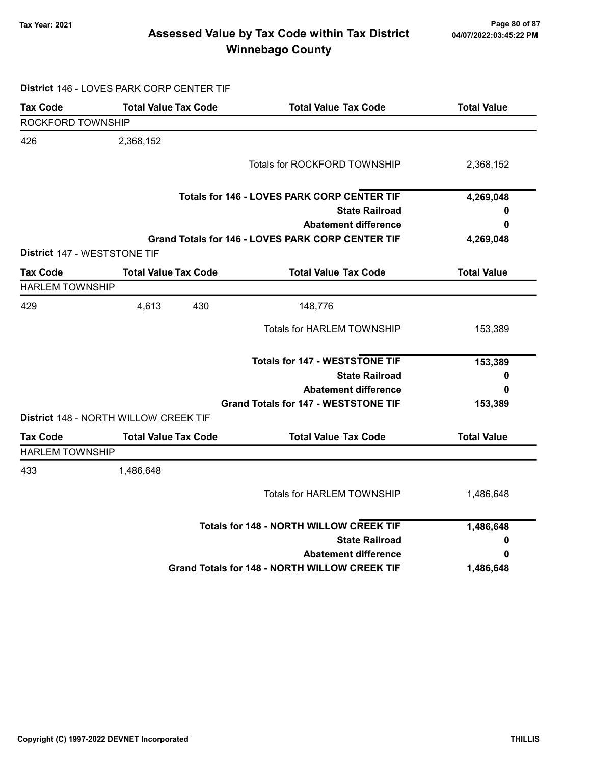#### Tax Year: 2021 Page 80 of 87 Assessed Value by Tax Code within Tax District Winnebago County

Tax Code Total Value Tax Code Total Value Tax Code Total Value ROCKFORD TOWNSHIP 426 2,368,152 Totals for ROCKFORD TOWNSHIP 2,368,152 State Railroad Totals for 146 - LOVES PARK CORP CENTER TIF Abatement difference Grand Totals for 146 - LOVES PARK CORP CENTER TIF District 147 - WESTSTONE TIF HARLEM TOWNSHIP 429 4,613 148,776 430 State Railroad Totals for 147 - WESTSTONE TIF

District 146 - LOVES PARK CORP CENTER TIF

|                              |                                       | <b>Totals for 146 - LOVES PARK CORP CENTER TIF</b>       | 4,269,048          |
|------------------------------|---------------------------------------|----------------------------------------------------------|--------------------|
|                              |                                       | <b>State Railroad</b>                                    | 0                  |
|                              |                                       | <b>Abatement difference</b>                              | 0                  |
|                              |                                       | <b>Grand Totals for 146 - LOVES PARK CORP CENTER TIF</b> | 4,269,048          |
| District 147 - WESTSTONE TIF |                                       |                                                          |                    |
| <b>Tax Code</b>              | <b>Total Value Tax Code</b>           | <b>Total Value Tax Code</b>                              | <b>Total Value</b> |
| <b>HARLEM TOWNSHIP</b>       |                                       |                                                          |                    |
| 429                          | 4,613<br>430                          | 148,776                                                  |                    |
|                              |                                       | <b>Totals for HARLEM TOWNSHIP</b>                        | 153,389            |
|                              |                                       | <b>Totals for 147 - WESTSTONE TIF</b>                    | 153,389            |
|                              |                                       | <b>State Railroad</b>                                    | 0                  |
|                              |                                       | <b>Abatement difference</b>                              | 0                  |
|                              |                                       | <b>Grand Totals for 147 - WESTSTONE TIF</b>              | 153,389            |
|                              | District 148 - NORTH WILLOW CREEK TIF |                                                          |                    |
| Tax Code                     | <b>Total Value Tax Code</b>           | <b>Total Value Tax Code</b>                              | <b>Total Value</b> |
| <b>HARLEM TOWNSHIP</b>       |                                       |                                                          |                    |
| 433                          | 1,486,648                             |                                                          |                    |
|                              |                                       | <b>Totals for HARLEM TOWNSHIP</b>                        | 1,486,648          |
|                              |                                       | <b>Totals for 148 - NORTH WILLOW CREEK TIF</b>           | 1,486,648          |
|                              |                                       | <b>State Railroad</b>                                    | 0                  |
|                              |                                       | <b>Abatement difference</b>                              | 0                  |
|                              |                                       | Grand Totals for 148 - NORTH WILLOW CREEK TIF            | 1,486,648          |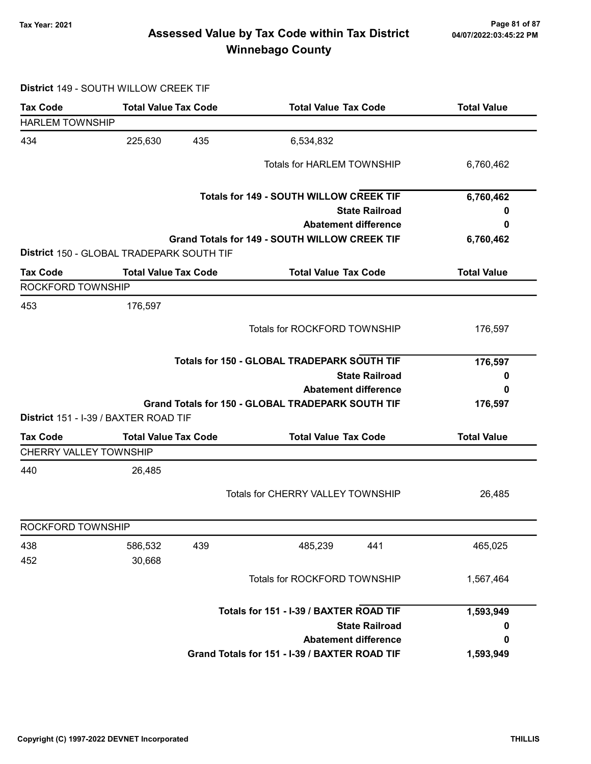### 7ax Year: 2021 Page 81 of 87<br>Assessed Value by Tax Code within Tax District 04/07/2022:03:45:22 PM Winnebago County

#### District 149 - SOUTH WILLOW CREEK TIF

| <b>Tax Code</b>                                  | <b>Total Value Tax Code</b>               | <b>Total Value Tax Code</b>                          | <b>Total Value</b> |
|--------------------------------------------------|-------------------------------------------|------------------------------------------------------|--------------------|
| <b>HARLEM TOWNSHIP</b>                           |                                           |                                                      |                    |
| 434                                              | 435<br>225,630                            | 6,534,832                                            |                    |
|                                                  |                                           | <b>Totals for HARLEM TOWNSHIP</b>                    | 6,760,462          |
|                                                  |                                           | <b>Totals for 149 - SOUTH WILLOW CREEK TIF</b>       | 6,760,462          |
|                                                  |                                           | <b>State Railroad</b>                                | o                  |
|                                                  |                                           | <b>Abatement difference</b>                          | 0                  |
|                                                  | District 150 - GLOBAL TRADEPARK SOUTH TIF | Grand Totals for 149 - SOUTH WILLOW CREEK TIF        | 6,760,462          |
| <b>Tax Code</b>                                  | <b>Total Value Tax Code</b>               | <b>Total Value Tax Code</b>                          | <b>Total Value</b> |
| ROCKFORD TOWNSHIP                                |                                           |                                                      |                    |
| 453                                              | 176,597                                   |                                                      |                    |
|                                                  |                                           | <b>Totals for ROCKFORD TOWNSHIP</b>                  | 176,597            |
|                                                  |                                           | Totals for 150 - GLOBAL TRADEPARK SOUTH TIF          | 176,597            |
|                                                  |                                           | <b>State Railroad</b>                                | 0                  |
|                                                  |                                           | <b>Abatement difference</b>                          | 0                  |
|                                                  |                                           | Grand Totals for 150 - GLOBAL TRADEPARK SOUTH TIF    | 176,597            |
|                                                  | District 151 - I-39 / BAXTER ROAD TIF     |                                                      |                    |
| <b>Tax Code</b><br><b>CHERRY VALLEY TOWNSHIP</b> | <b>Total Value Tax Code</b>               | <b>Total Value Tax Code</b>                          | <b>Total Value</b> |
| 440                                              | 26,485                                    |                                                      |                    |
|                                                  |                                           | <b>Totals for CHERRY VALLEY TOWNSHIP</b>             | 26,485             |
| ROCKFORD TOWNSHIP                                |                                           |                                                      |                    |
| 438                                              | 586,532<br>439                            | 485,239<br>441                                       | 465,025            |
| 452                                              | 30,668                                    |                                                      |                    |
|                                                  |                                           | Totals for ROCKFORD TOWNSHIP                         | 1,567,464          |
|                                                  |                                           |                                                      |                    |
|                                                  |                                           | Totals for 151 - I-39 / BAXTER ROAD TIF              | 1,593,949          |
|                                                  |                                           | <b>State Railroad</b><br><b>Abatement difference</b> | 0<br>0             |
|                                                  |                                           | Grand Totals for 151 - I-39 / BAXTER ROAD TIF        |                    |
|                                                  |                                           |                                                      | 1,593,949          |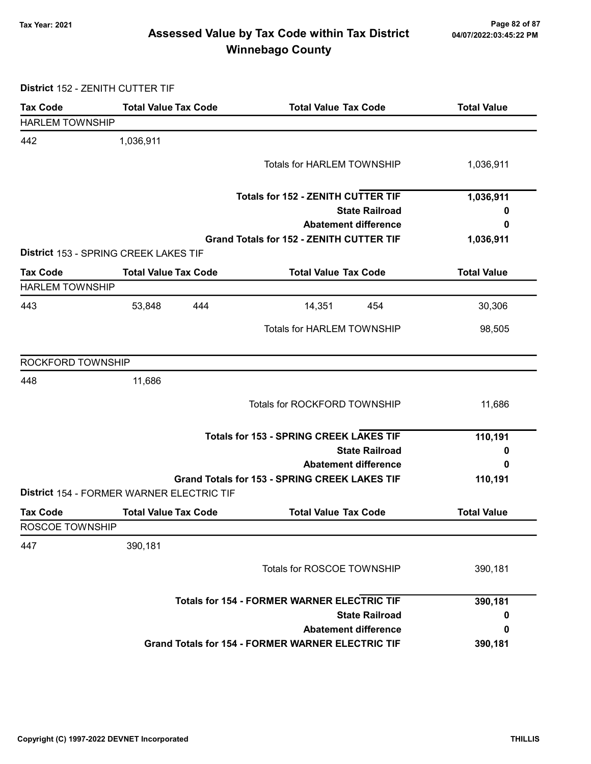### Tax Year: 2021 Page 82 of 87 Assessed Value by Tax Code within Tax District Winnebago County

District 152 - ZENITH CUTTER TIF

| <b>Tax Code</b>        | <b>Total Value Tax Code</b>               | <b>Total Value Tax Code</b>                              | <b>Total Value</b> |
|------------------------|-------------------------------------------|----------------------------------------------------------|--------------------|
| <b>HARLEM TOWNSHIP</b> |                                           |                                                          |                    |
| 442                    | 1,036,911                                 |                                                          |                    |
|                        |                                           | <b>Totals for HARLEM TOWNSHIP</b>                        | 1,036,911          |
|                        |                                           |                                                          |                    |
|                        |                                           | <b>Totals for 152 - ZENITH CUTTER TIF</b>                | 1,036,911          |
|                        |                                           | <b>State Railroad</b>                                    | 0                  |
|                        |                                           | <b>Abatement difference</b>                              | 0                  |
|                        |                                           | <b>Grand Totals for 152 - ZENITH CUTTER TIF</b>          | 1,036,911          |
|                        | District 153 - SPRING CREEK LAKES TIF     |                                                          |                    |
| <b>Tax Code</b>        | <b>Total Value Tax Code</b>               | <b>Total Value Tax Code</b>                              | <b>Total Value</b> |
| <b>HARLEM TOWNSHIP</b> |                                           |                                                          |                    |
| 443                    | 53,848<br>444                             | 14,351<br>454                                            | 30,306             |
|                        |                                           | <b>Totals for HARLEM TOWNSHIP</b>                        | 98,505             |
|                        |                                           |                                                          |                    |
| ROCKFORD TOWNSHIP      |                                           |                                                          |                    |
| 448                    | 11,686                                    |                                                          |                    |
|                        |                                           | Totals for ROCKFORD TOWNSHIP                             | 11,686             |
|                        |                                           |                                                          |                    |
|                        |                                           | <b>Totals for 153 - SPRING CREEK LAKES TIF</b>           | 110,191            |
|                        |                                           | <b>State Railroad</b>                                    | 0                  |
|                        |                                           | <b>Abatement difference</b>                              | 0                  |
|                        |                                           | <b>Grand Totals for 153 - SPRING CREEK LAKES TIF</b>     | 110,191            |
|                        | District 154 - FORMER WARNER ELECTRIC TIF |                                                          |                    |
| <b>Tax Code</b>        | <b>Total Value Tax Code</b>               | <b>Total Value Tax Code</b>                              | <b>Total Value</b> |
| ROSCOE TOWNSHIP        |                                           |                                                          |                    |
| 447                    | 390,181                                   |                                                          |                    |
|                        |                                           | Totals for ROSCOE TOWNSHIP                               | 390,181            |
|                        |                                           |                                                          |                    |
|                        |                                           | <b>Totals for 154 - FORMER WARNER ELECTRIC TIF</b>       | 390,181            |
|                        |                                           | <b>State Railroad</b>                                    | 0                  |
|                        |                                           | <b>Abatement difference</b>                              | 0                  |
|                        |                                           | <b>Grand Totals for 154 - FORMER WARNER ELECTRIC TIF</b> | 390,181            |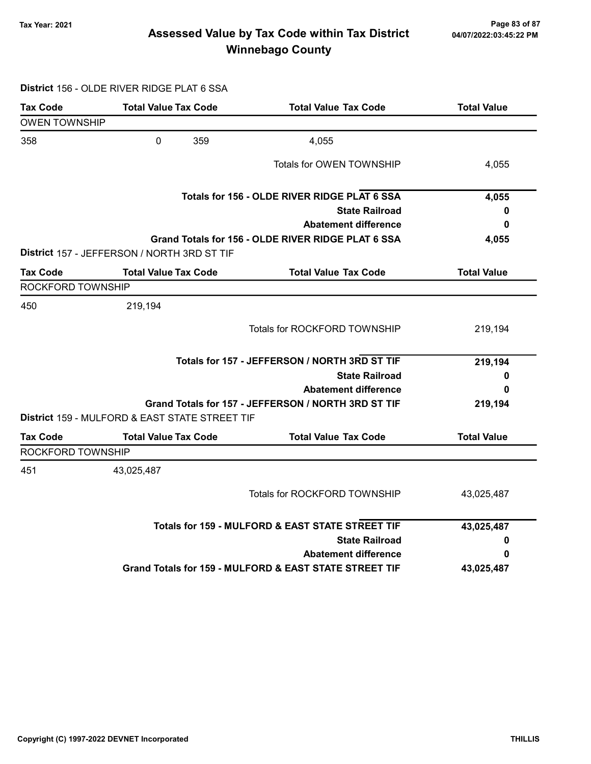### Tax Year: 2021 Page 83 of 87 Assessed Value by Tax Code within Tax District Winnebago County

#### District 156 - OLDE RIVER RIDGE PLAT 6 SSA

| <b>Tax Code</b>      | <b>Total Value Tax Code</b>                    | <b>Total Value Tax Code</b>                            | <b>Total Value</b> |
|----------------------|------------------------------------------------|--------------------------------------------------------|--------------------|
| <b>OWEN TOWNSHIP</b> |                                                |                                                        |                    |
| 358                  | $\mathbf 0$<br>359                             | 4,055                                                  |                    |
|                      |                                                | Totals for OWEN TOWNSHIP                               | 4,055              |
|                      |                                                | Totals for 156 - OLDE RIVER RIDGE PLAT 6 SSA           | 4,055              |
|                      |                                                | <b>State Railroad</b>                                  | 0                  |
|                      |                                                | <b>Abatement difference</b>                            | 0                  |
|                      | District 157 - JEFFERSON / NORTH 3RD ST TIF    | Grand Totals for 156 - OLDE RIVER RIDGE PLAT 6 SSA     | 4,055              |
| <b>Tax Code</b>      | <b>Total Value Tax Code</b>                    | <b>Total Value Tax Code</b>                            | <b>Total Value</b> |
| ROCKFORD TOWNSHIP    |                                                |                                                        |                    |
| 450                  | 219,194                                        |                                                        |                    |
|                      |                                                | Totals for ROCKFORD TOWNSHIP                           | 219,194            |
|                      |                                                | Totals for 157 - JEFFERSON / NORTH 3RD ST TIF          | 219,194            |
|                      |                                                | <b>State Railroad</b>                                  | 0                  |
|                      |                                                | <b>Abatement difference</b>                            | 0                  |
|                      | District 159 - MULFORD & EAST STATE STREET TIF | Grand Totals for 157 - JEFFERSON / NORTH 3RD ST TIF    | 219,194            |
| <b>Tax Code</b>      | <b>Total Value Tax Code</b>                    | <b>Total Value Tax Code</b>                            | <b>Total Value</b> |
| ROCKFORD TOWNSHIP    |                                                |                                                        |                    |
| 451                  | 43,025,487                                     |                                                        |                    |
|                      |                                                | Totals for ROCKFORD TOWNSHIP                           | 43,025,487         |
|                      |                                                | Totals for 159 - MULFORD & EAST STATE STREET TIF       | 43,025,487         |
|                      |                                                | <b>State Railroad</b>                                  | 0                  |
|                      |                                                | <b>Abatement difference</b>                            | 0                  |
|                      |                                                | Grand Totals for 159 - MULFORD & EAST STATE STREET TIF | 43,025,487         |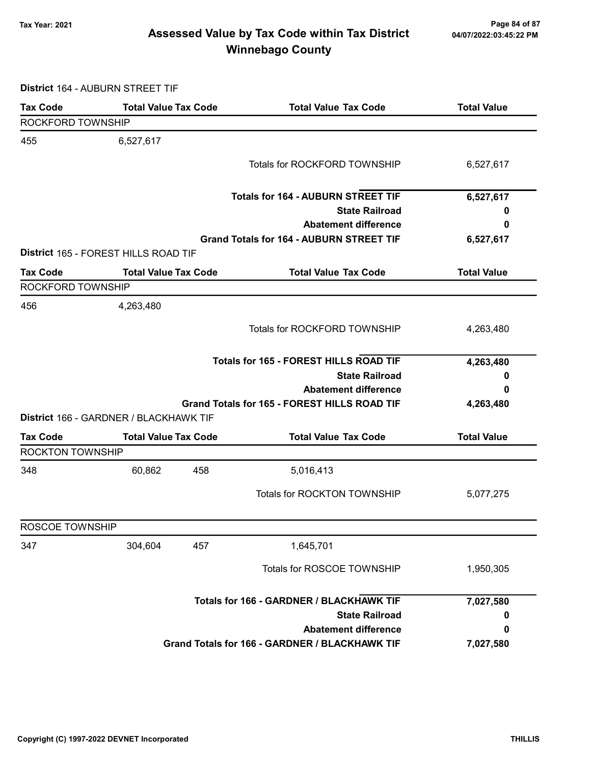### 7ax Year: 2021 Page 84 of 87<br>Assessed Value by Tax Code within Tax District 04/07/2022:03:45:22 PM Winnebago County

District 164 - AUBURN STREET TIF

| <b>Tax Code</b>         | <b>Total Value Tax Code</b>            | <b>Total Value Tax Code</b>                     | <b>Total Value</b> |
|-------------------------|----------------------------------------|-------------------------------------------------|--------------------|
| ROCKFORD TOWNSHIP       |                                        |                                                 |                    |
| 455                     | 6,527,617                              |                                                 |                    |
|                         |                                        | Totals for ROCKFORD TOWNSHIP                    | 6,527,617          |
|                         |                                        |                                                 |                    |
|                         |                                        | <b>Totals for 164 - AUBURN STREET TIF</b>       | 6,527,617          |
|                         |                                        | <b>State Railroad</b>                           | 0                  |
|                         |                                        | <b>Abatement difference</b>                     | 0                  |
|                         |                                        | <b>Grand Totals for 164 - AUBURN STREET TIF</b> | 6,527,617          |
|                         | District 165 - FOREST HILLS ROAD TIF   |                                                 |                    |
| <b>Tax Code</b>         | <b>Total Value Tax Code</b>            | <b>Total Value Tax Code</b>                     | <b>Total Value</b> |
| ROCKFORD TOWNSHIP       |                                        |                                                 |                    |
| 456                     | 4,263,480                              |                                                 |                    |
|                         |                                        | Totals for ROCKFORD TOWNSHIP                    | 4,263,480          |
|                         |                                        |                                                 |                    |
|                         |                                        | <b>Totals for 165 - FOREST HILLS ROAD TIF</b>   | 4,263,480          |
|                         |                                        | <b>State Railroad</b>                           | 0                  |
|                         |                                        | <b>Abatement difference</b>                     | 0                  |
|                         |                                        | Grand Totals for 165 - FOREST HILLS ROAD TIF    | 4,263,480          |
|                         | District 166 - GARDNER / BLACKHAWK TIF |                                                 |                    |
| <b>Tax Code</b>         | <b>Total Value Tax Code</b>            | <b>Total Value Tax Code</b>                     | <b>Total Value</b> |
| <b>ROCKTON TOWNSHIP</b> |                                        |                                                 |                    |
| 348                     | 60,862<br>458                          | 5,016,413                                       |                    |
|                         |                                        | <b>Totals for ROCKTON TOWNSHIP</b>              |                    |
|                         |                                        |                                                 | 5,077,275          |
| ROSCOE TOWNSHIP         |                                        |                                                 |                    |
| 347                     | 457<br>304,604                         | 1,645,701                                       |                    |
|                         |                                        | Totals for ROSCOE TOWNSHIP                      | 1,950,305          |
|                         |                                        |                                                 |                    |
|                         |                                        | Totals for 166 - GARDNER / BLACKHAWK TIF        | 7,027,580          |
|                         |                                        | <b>State Railroad</b>                           |                    |
|                         |                                        | <b>Abatement difference</b>                     | 0                  |
|                         |                                        | Grand Totals for 166 - GARDNER / BLACKHAWK TIF  | 7,027,580          |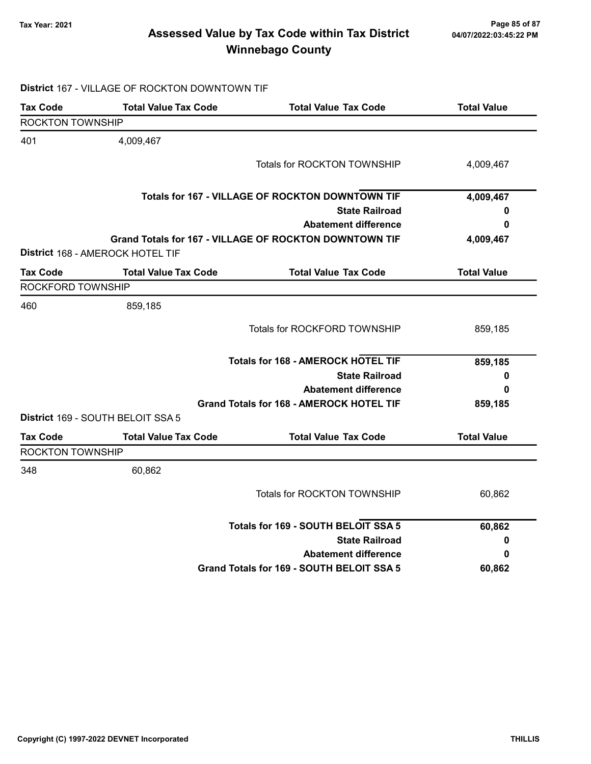#### 7ax Year: 2021 Page 85 of 87<br>Assessed Value by Tax Code within Tax District 04/07/2022:03:45:22 PM Winnebago County

#### Tax Code Total Value Tax Code Total Value Tax Code Total Value ROCKTON TOWNSHIP 401 4,009,467 Totals for ROCKTON TOWNSHIP 4,009,467 State Railroad Totals for 167 - VILLAGE OF ROCKTON DOWNTOWN TIF Abatement difference Grand Totals for 167 - VILLAGE OF ROCKTON DOWNTOWN TIF 4,009,467 0 0 4,009,467 District 168 - AMEROCK HOTEL TIF Tax Code Total Value Tax Code Total Value Tax Code Total Value ROCKFORD TOWNSHIP 460 859,185 Totals for ROCKFORD TOWNSHIP 859,185 State Railroad Totals for 168 - AMEROCK HOTEL TIF Abatement difference Grand Totals for 168 - AMEROCK HOTEL TIF 859,185 0 0 859,185 District 169 - SOUTH BELOIT SSA 5 Tax Code Total Value Tax Code Total Value Tax Code Total Value Tax Code ROCKTON TOWNSHIP 348 60,862 Totals for ROCKTON TOWNSHIP 60,862

| Totals for 169 - SOUTH BELOIT SSA 5       | 60,862 |
|-------------------------------------------|--------|
| <b>State Railroad</b>                     | 0      |
| <b>Abatement difference</b>               | 0      |
| Grand Totals for 169 - SOUTH BELOIT SSA 5 | 60,862 |

#### District 167 - VILLAGE OF ROCKTON DOWNTOWN TIF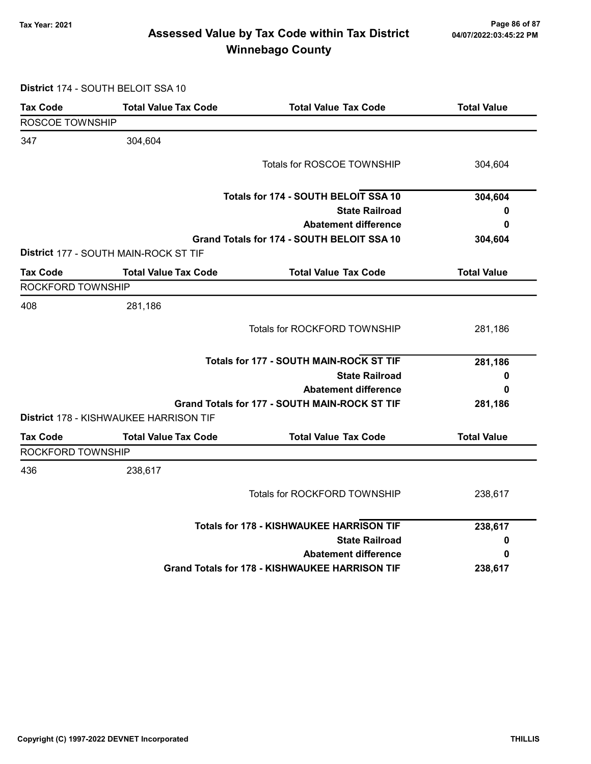### Tax Year: 2021 Page 86 of 87 Assessed Value by Tax Code within Tax District Winnebago County

District 174 - SOUTH BELOIT SSA 10

| <b>Tax Code</b>   | <b>Total Value Tax Code</b>            | <b>Total Value Tax Code</b>                           | <b>Total Value</b> |
|-------------------|----------------------------------------|-------------------------------------------------------|--------------------|
| ROSCOE TOWNSHIP   |                                        |                                                       |                    |
| 347               | 304,604                                |                                                       |                    |
|                   |                                        | <b>Totals for ROSCOE TOWNSHIP</b>                     | 304,604            |
|                   |                                        | Totals for 174 - SOUTH BELOIT SSA 10                  | 304,604            |
|                   |                                        | <b>State Railroad</b>                                 | 0                  |
|                   |                                        | <b>Abatement difference</b>                           | 0                  |
|                   | District 177 - SOUTH MAIN-ROCK ST TIF  | Grand Totals for 174 - SOUTH BELOIT SSA 10            | 304,604            |
| Tax Code          | <b>Total Value Tax Code</b>            | <b>Total Value Tax Code</b>                           | <b>Total Value</b> |
| ROCKFORD TOWNSHIP |                                        |                                                       |                    |
| 408               | 281,186                                |                                                       |                    |
|                   |                                        | Totals for ROCKFORD TOWNSHIP                          | 281,186            |
|                   |                                        | Totals for 177 - SOUTH MAIN-ROCK ST TIF               | 281,186            |
|                   |                                        | <b>State Railroad</b>                                 | 0                  |
|                   |                                        | <b>Abatement difference</b>                           | 0                  |
|                   | District 178 - KISHWAUKEE HARRISON TIF | Grand Totals for 177 - SOUTH MAIN-ROCK ST TIF         | 281,186            |
| <b>Tax Code</b>   | <b>Total Value Tax Code</b>            | <b>Total Value Tax Code</b>                           | <b>Total Value</b> |
| ROCKFORD TOWNSHIP |                                        |                                                       |                    |
| 436               | 238,617                                |                                                       |                    |
|                   |                                        | Totals for ROCKFORD TOWNSHIP                          | 238,617            |
|                   |                                        | <b>Totals for 178 - KISHWAUKEE HARRISON TIF</b>       | 238,617            |
|                   |                                        | <b>State Railroad</b>                                 | 0                  |
|                   |                                        | <b>Abatement difference</b>                           | 0                  |
|                   |                                        | <b>Grand Totals for 178 - KISHWAUKEE HARRISON TIF</b> | 238,617            |